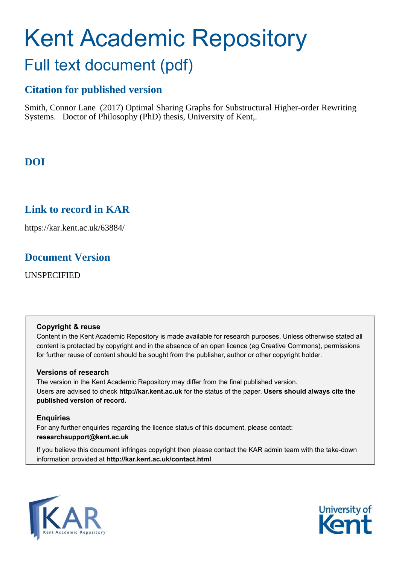# Kent Academic Repository Full text document (pdf)

# **Citation for published version**

Smith, Connor Lane (2017) Optimal Sharing Graphs for Substructural Higher-order Rewriting Systems. Doctor of Philosophy (PhD) thesis, University of Kent,.

# **DOI**

# **Link to record in KAR**

https://kar.kent.ac.uk/63884/

# **Document Version**

UNSPECIFIED

#### **Copyright & reuse**

Content in the Kent Academic Repository is made available for research purposes. Unless otherwise stated all content is protected by copyright and in the absence of an open licence (eg Creative Commons), permissions for further reuse of content should be sought from the publisher, author or other copyright holder.

### **Versions of research**

The version in the Kent Academic Repository may differ from the final published version. Users are advised to check **http://kar.kent.ac.uk** for the status of the paper. **Users should always cite the published version of record.**

### **Enquiries**

For any further enquiries regarding the licence status of this document, please contact: **researchsupport@kent.ac.uk**

If you believe this document infringes copyright then please contact the KAR admin team with the take-down information provided at **http://kar.kent.ac.uk/contact.html**



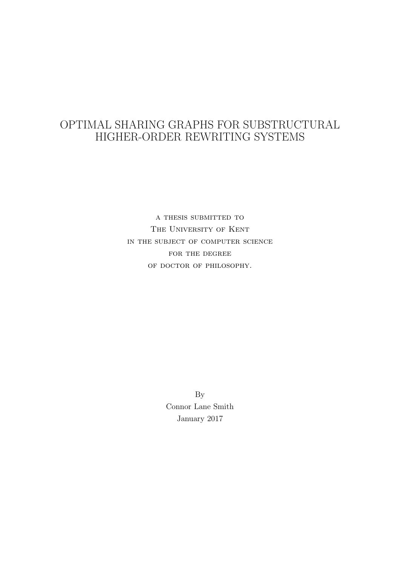# OPTIMAL SHARING GRAPHS FOR SUBSTRUCTURAL HIGHER-ORDER REWRITING SYSTEMS

a thesis submitted to The University of Kent in the subject of computer science FOR THE DEGREE OF DOCTOR OF PHILOSOPHY.

> By Connor Lane Smith January 2017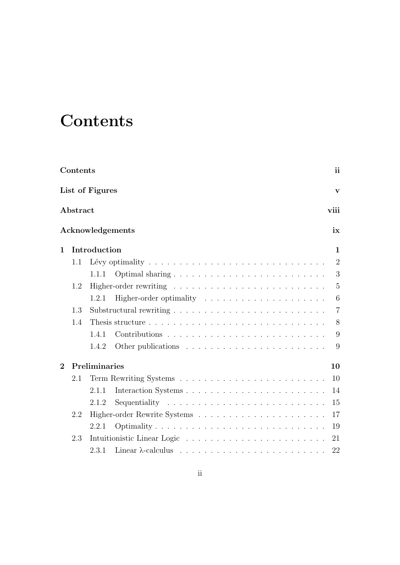# **Contents**

|                | Contents |                 |                                                                                                |  |  |  | ii             |
|----------------|----------|-----------------|------------------------------------------------------------------------------------------------|--|--|--|----------------|
|                |          | List of Figures |                                                                                                |  |  |  | $\mathbf{V}$   |
|                | Abstract |                 |                                                                                                |  |  |  | viii           |
|                |          |                 | Acknowledgements                                                                               |  |  |  | ix             |
| $\mathbf 1$    |          | Introduction    |                                                                                                |  |  |  | $\mathbf 1$    |
|                | 1.1      |                 | Lévy optimality $\ldots \ldots \ldots \ldots \ldots \ldots \ldots \ldots \ldots \ldots \ldots$ |  |  |  | $\overline{2}$ |
|                |          | 1.1.1           |                                                                                                |  |  |  | 3              |
|                | 1.2      |                 |                                                                                                |  |  |  | $\overline{5}$ |
|                |          | 1.2.1           |                                                                                                |  |  |  | 6              |
|                | 1.3      |                 |                                                                                                |  |  |  | $\overline{7}$ |
|                | 1.4      |                 |                                                                                                |  |  |  | 8              |
|                |          | 1.4.1           |                                                                                                |  |  |  | 9              |
|                |          | 1.4.2           |                                                                                                |  |  |  | 9              |
| $\overline{2}$ |          | Preliminaries   |                                                                                                |  |  |  | 10             |
|                | 2.1      |                 |                                                                                                |  |  |  | 10             |
|                |          | 2.1.1           |                                                                                                |  |  |  | 14             |
|                |          | 2.1.2           |                                                                                                |  |  |  | 15             |
|                | 2.2      |                 |                                                                                                |  |  |  | 17             |
|                |          | 2.2.1           | Optimality                                                                                     |  |  |  | 19             |
|                | 2.3      |                 |                                                                                                |  |  |  | 21             |
|                |          | 2.3.1           | Linear $\lambda$ -calculus $\ldots \ldots \ldots \ldots \ldots \ldots \ldots \ldots$           |  |  |  | 22             |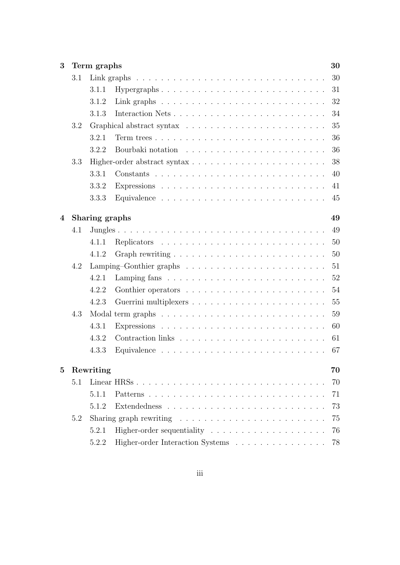| 3        |     | Term graphs    |                                                                              | 30 |
|----------|-----|----------------|------------------------------------------------------------------------------|----|
|          | 3.1 |                |                                                                              | 30 |
|          |     | 3.1.1          | Hypergraphs                                                                  | 31 |
|          |     | 3.1.2          | Link graphs $\ldots \ldots \ldots \ldots \ldots \ldots \ldots \ldots \ldots$ | 32 |
|          |     | 3.1.3          |                                                                              | 34 |
|          | 3.2 |                |                                                                              | 35 |
|          |     | 3.2.1          |                                                                              | 36 |
|          |     | 3.2.2          |                                                                              | 36 |
|          | 3.3 |                |                                                                              | 38 |
|          |     | 3.3.1          |                                                                              | 40 |
|          |     | 3.3.2          |                                                                              | 41 |
|          |     | 3.3.3          |                                                                              | 45 |
| 4        |     | Sharing graphs |                                                                              | 49 |
|          | 4.1 |                |                                                                              | 49 |
|          |     | 4.1.1          |                                                                              | 50 |
|          |     | 4.1.2          |                                                                              | 50 |
|          | 4.2 |                |                                                                              | 51 |
|          |     | 4.2.1          |                                                                              | 52 |
|          |     | 4.2.2          |                                                                              | 54 |
|          |     | 4.2.3          |                                                                              | 55 |
|          | 4.3 |                |                                                                              | 59 |
|          |     | 4.3.1          |                                                                              | 60 |
|          |     | 4.3.2          |                                                                              | 61 |
|          |     | 4.3.3          |                                                                              | 67 |
| $\bf{5}$ |     | Rewriting      |                                                                              | 70 |
|          | 5.1 |                | Linear HRSs                                                                  | 70 |
|          |     | 5.1.1          |                                                                              | 71 |
|          |     | 5.1.2          |                                                                              | 73 |
|          | 5.2 |                | Sharing graph rewriting $\ldots \ldots \ldots \ldots \ldots \ldots \ldots$   | 75 |
|          |     | 5.2.1          |                                                                              | 76 |
|          |     | 5.2.2          | Higher-order Interaction Systems                                             | 78 |
|          |     |                |                                                                              |    |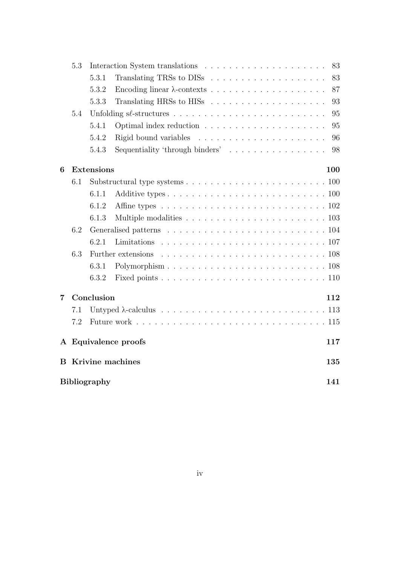|                | 5.3                      |                     |                                                                                                 | 83  |  |  |  |  |  |  |
|----------------|--------------------------|---------------------|-------------------------------------------------------------------------------------------------|-----|--|--|--|--|--|--|
|                |                          | 5.3.1               |                                                                                                 | 83  |  |  |  |  |  |  |
|                |                          | 5.3.2               |                                                                                                 | 87  |  |  |  |  |  |  |
|                |                          | 5.3.3               |                                                                                                 | 93  |  |  |  |  |  |  |
|                | 5.4                      |                     |                                                                                                 | 95  |  |  |  |  |  |  |
|                |                          | 5.4.1               |                                                                                                 | 95  |  |  |  |  |  |  |
|                |                          | 5.4.2               |                                                                                                 | 96  |  |  |  |  |  |  |
|                |                          | 5.4.3               | Sequentiality 'through binders'                                                                 | 98  |  |  |  |  |  |  |
| 6              | <b>Extensions</b><br>100 |                     |                                                                                                 |     |  |  |  |  |  |  |
|                | 6.1                      |                     |                                                                                                 |     |  |  |  |  |  |  |
|                |                          | 6.1.1               |                                                                                                 |     |  |  |  |  |  |  |
|                |                          | 6.1.2               | Affine types $\ldots \ldots \ldots \ldots \ldots \ldots \ldots \ldots \ldots \ldots \ldots 102$ |     |  |  |  |  |  |  |
|                |                          | 6.1.3               |                                                                                                 |     |  |  |  |  |  |  |
|                | 6.2                      |                     |                                                                                                 |     |  |  |  |  |  |  |
|                |                          | 6.2.1               |                                                                                                 |     |  |  |  |  |  |  |
|                | 6.3                      |                     |                                                                                                 |     |  |  |  |  |  |  |
|                |                          | 6.3.1               |                                                                                                 |     |  |  |  |  |  |  |
|                |                          | 6.3.2               |                                                                                                 |     |  |  |  |  |  |  |
| $\overline{7}$ | Conclusion<br>112        |                     |                                                                                                 |     |  |  |  |  |  |  |
|                | 7.1                      |                     |                                                                                                 |     |  |  |  |  |  |  |
|                | 7.2                      |                     |                                                                                                 |     |  |  |  |  |  |  |
|                |                          |                     | A Equivalence proofs                                                                            | 117 |  |  |  |  |  |  |
|                |                          |                     | <b>B</b> Krivine machines                                                                       | 135 |  |  |  |  |  |  |
|                |                          | <b>Bibliography</b> |                                                                                                 | 141 |  |  |  |  |  |  |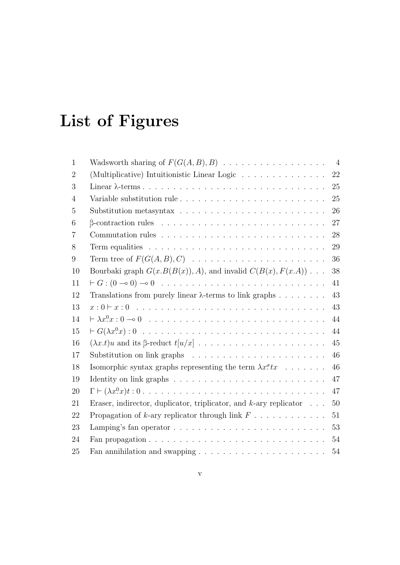# List of Figures

| $\mathbf{1}$   |                                                                                                                   | $\overline{4}$ |
|----------------|-------------------------------------------------------------------------------------------------------------------|----------------|
| $\overline{2}$ | (Multiplicative) Intuitionistic Linear Logic                                                                      | $22\,$         |
| 3              |                                                                                                                   | 25             |
| $\overline{4}$ |                                                                                                                   | 25             |
| 5              | Substitution metasyntax $\ldots \ldots \ldots \ldots \ldots \ldots \ldots \ldots$                                 | 26             |
| 6              |                                                                                                                   | 27             |
| 7              | Commutation rules $\ldots \ldots \ldots \ldots \ldots \ldots \ldots \ldots \ldots$                                | 28             |
| 8              |                                                                                                                   | 29             |
| 9              | Term tree of $F(G(A, B), C)$                                                                                      | 36             |
| 10             | Bourbaki graph $G(x.B(B(x)), A)$ , and invalid $C(B(x), F(x.A))$                                                  | 38             |
| 11             |                                                                                                                   | 41             |
| 12             | Translations from purely linear $\lambda$ -terms to link graphs                                                   | 43             |
| 13             | $x: 0 \vdash x: 0 \ldots \ldots \ldots \ldots \ldots \ldots \ldots \ldots \ldots \ldots \ldots \ldots$            | 43             |
| 14             |                                                                                                                   | 44             |
| 15             |                                                                                                                   | 44             |
| 16             |                                                                                                                   | 45             |
| 17             |                                                                                                                   | 46             |
| 18             | Isomorphic syntax graphs representing the term $\lambda x^{\sigma} t x$                                           | 46             |
| 19             |                                                                                                                   | 47             |
| 20             | $\Gamma \vdash (\lambda x^0 x)t : 0 \ldots \ldots \ldots \ldots \ldots \ldots \ldots \ldots \ldots \ldots \ldots$ | 47             |
| 21             | Eraser, indirector, duplicator, triplicator, and $k$ -ary replicator $\ldots$                                     | 50             |
| 22             | Propagation of k-ary replicator through link $F \dots \dots \dots \dots$                                          | 51             |
| 23             | Lamping's fan operator                                                                                            | 53             |
| 24             |                                                                                                                   | 54             |
| 25             | Fan annihilation and swapping $\ldots \ldots \ldots \ldots \ldots \ldots \ldots$                                  | 54             |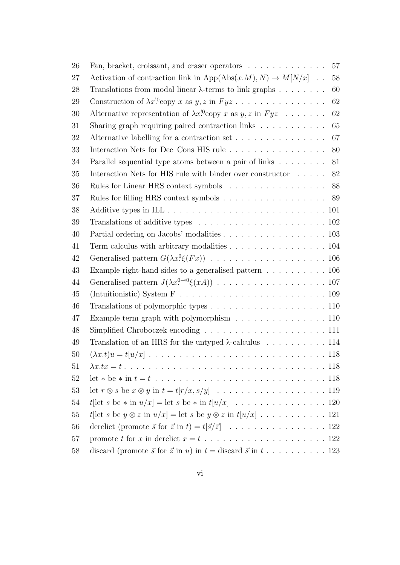| 26 | Fan, bracket, croissant, and eraser operators<br>57                                                          |
|----|--------------------------------------------------------------------------------------------------------------|
| 27 | Activation of contraction link in App(Abs(x.M), N) $\rightarrow$ M[N/x]<br>58                                |
| 28 | 60<br>Translations from modal linear $\lambda$ -terms to link graphs                                         |
| 29 | 62                                                                                                           |
| 30 | Alternative representation of $\lambda x$ <sup>10</sup> copy x as y, z in Fyz<br>62                          |
| 31 | 65<br>Sharing graph requiring paired contraction links                                                       |
| 32 | Alternative labelling for a contraction set<br>67                                                            |
| 33 | Interaction Nets for Dec-Cons HIS rule<br>80                                                                 |
| 34 | Parallel sequential type atoms between a pair of links<br>81                                                 |
| 35 | Interaction Nets for HIS rule with binder over constructor $\ldots \ldots$<br>82                             |
| 36 | 88                                                                                                           |
| 37 | Rules for filling HRS context symbols 89                                                                     |
| 38 |                                                                                                              |
| 39 | Translations of additive types $\ldots \ldots \ldots \ldots \ldots \ldots \ldots \ldots 102$                 |
| 40 | Partial ordering on Jacobs' modalities 103                                                                   |
| 41 | Term calculus with arbitrary modalities 104                                                                  |
| 42 |                                                                                                              |
| 43 | Example right-hand sides to a generalised pattern $\dots \dots \dots \dots \dots$                            |
| 44 |                                                                                                              |
| 45 |                                                                                                              |
| 46 |                                                                                                              |
| 47 | Example term graph with polymorphism 110                                                                     |
| 48 |                                                                                                              |
| 49 | Translation of an HRS for the untyped $\lambda$ -calculus 114                                                |
| 50 |                                                                                                              |
| 51 |                                                                                                              |
| 52 |                                                                                                              |
| 53 |                                                                                                              |
| 54 |                                                                                                              |
| 55 | t[let s be $y \otimes z$ in $u/x$ ] = let s be $y \otimes z$ in $t[u/x]$ 121                                 |
| 56 |                                                                                                              |
| 57 |                                                                                                              |
| 58 | discard (promote $\vec{s}$ for $\vec{z}$ in u) in $t =$ discard $\vec{s}$ in $t \dots \dots \dots \dots 123$ |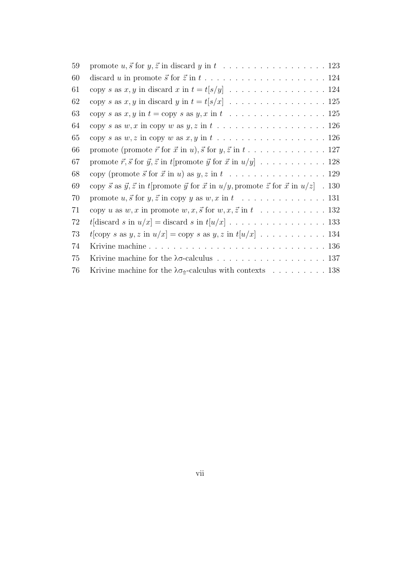| promote (promote $\vec{r}$ for $\vec{x}$ in $u$ ), $\vec{s}$ for $y, \vec{z}$ in $t, \ldots, \ldots, \ldots, 127$                    |
|--------------------------------------------------------------------------------------------------------------------------------------|
|                                                                                                                                      |
|                                                                                                                                      |
| copy $\vec{s}$ as $\vec{y}, \vec{z}$ in t[promote $\vec{y}$ for $\vec{x}$ in $u/y$ , promote $\vec{z}$ for $\vec{x}$ in $u/z$ ]. 130 |
|                                                                                                                                      |
| copy u as $w, x$ in promote $w, x, \vec{s}$ for $w, x, \vec{z}$ in $t \dots \dots \dots \dots \dots \dots \dots 132$                 |
| t[discard s in $u/x$ ] = discard s in $t[u/x]$ 133                                                                                   |
| $t$ [copy s as $y, z$ in $u/x$ ] = copy s as $y, z$ in $t[u/x]$ 134                                                                  |
|                                                                                                                                      |
|                                                                                                                                      |
| Krivine machine for the $\lambda \sigma_{\hat{\theta}}$ -calculus with contexts  138                                                 |
|                                                                                                                                      |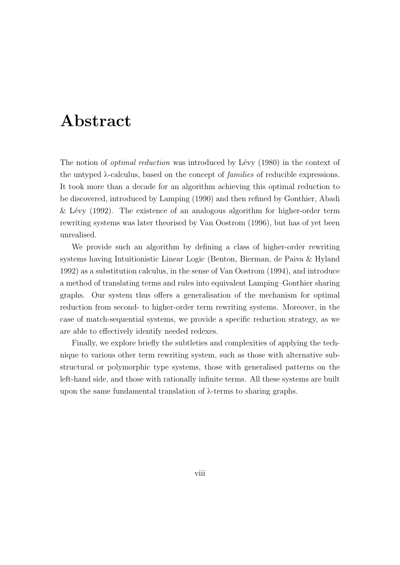# Abstract

The notion of *optimal reduction* was introduced by Lévy (1980) in the context of the untyped  $\lambda$ -calculus, based on the concept of *families* of reducible expressions. It took more than a decade for an algorithm achieving this optimal reduction to be discovered, introduced by Lamping (1990) and then refined by Gonthier, Abadi & Lévy (1992). The existence of an analogous algorithm for higher-order term rewriting systems was later theorised by Van Oostrom (1996), but has of yet been unrealised.

We provide such an algorithm by defining a class of higher-order rewriting systems having Intuitionistic Linear Logic (Benton, Bierman, de Paiva & Hyland 1992) as a substitution calculus, in the sense of Van Oostrom (1994), and introduce a method of translating terms and rules into equivalent Lamping–Gonthier sharing graphs. Our system thus offers a generalisation of the mechanism for optimal reduction from second- to higher-order term rewriting systems. Moreover, in the case of match-sequential systems, we provide a specific reduction strategy, as we are able to effectively identify needed redexes.

Finally, we explore briefly the subtleties and complexities of applying the technique to various other term rewriting system, such as those with alternative substructural or polymorphic type systems, those with generalised patterns on the left-hand side, and those with rationally infinite terms. All these systems are built upon the same fundamental translation of  $\lambda$ -terms to sharing graphs.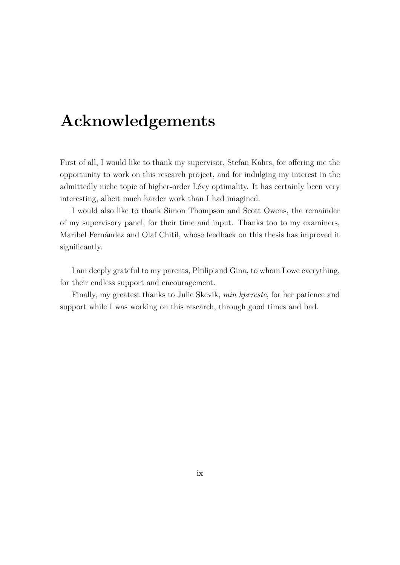# Acknowledgements

First of all, I would like to thank my supervisor, Stefan Kahrs, for offering me the opportunity to work on this research project, and for indulging my interest in the admittedly niche topic of higher-order Lévy optimality. It has certainly been very interesting, albeit much harder work than I had imagined.

I would also like to thank Simon Thompson and Scott Owens, the remainder of my supervisory panel, for their time and input. Thanks too to my examiners, Maribel Fernández and Olaf Chitil, whose feedback on this thesis has improved it significantly.

I am deeply grateful to my parents, Philip and Gina, to whom I owe everything, for their endless support and encouragement.

Finally, my greatest thanks to Julie Skevik, min kjæreste, for her patience and support while I was working on this research, through good times and bad.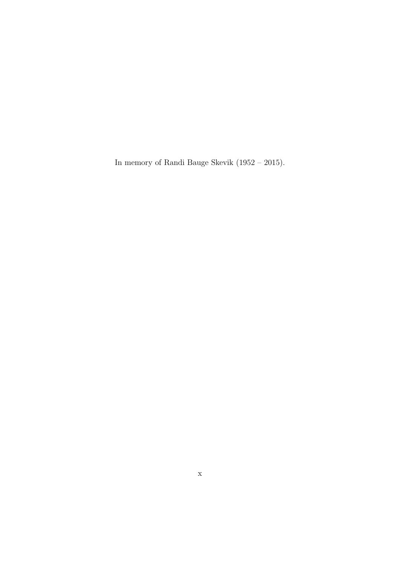In memory of Randi Bauge Skevik (1952 – 2015).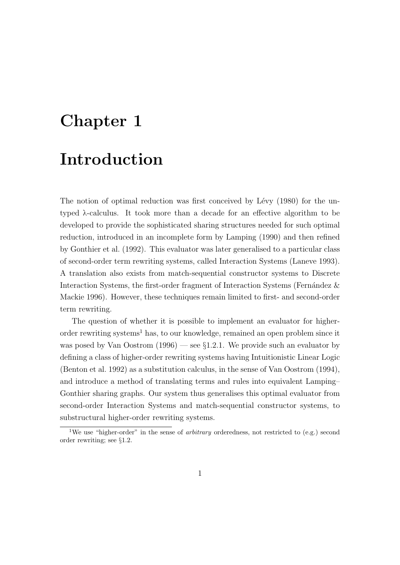# Chapter 1 Introduction

The notion of optimal reduction was first conceived by Lévy (1980) for the untyped λ-calculus. It took more than a decade for an effective algorithm to be developed to provide the sophisticated sharing structures needed for such optimal reduction, introduced in an incomplete form by Lamping (1990) and then refined by Gonthier et al. (1992). This evaluator was later generalised to a particular class of second-order term rewriting systems, called Interaction Systems (Laneve 1993). A translation also exists from match-sequential constructor systems to Discrete Interaction Systems, the first-order fragment of Interaction Systems (Fernández & Mackie 1996). However, these techniques remain limited to first- and second-order term rewriting.

The question of whether it is possible to implement an evaluator for higherorder rewriting systems<sup>1</sup> has, to our knowledge, remained an open problem since it was posed by Van Oostrom  $(1996)$  — see §1.2.1. We provide such an evaluator by defining a class of higher-order rewriting systems having Intuitionistic Linear Logic (Benton et al. 1992) as a substitution calculus, in the sense of Van Oostrom (1994), and introduce a method of translating terms and rules into equivalent Lamping– Gonthier sharing graphs. Our system thus generalises this optimal evaluator from second-order Interaction Systems and match-sequential constructor systems, to substructural higher-order rewriting systems.

<sup>&</sup>lt;sup>1</sup>We use "higher-order" in the sense of *arbitrary* orderedness, not restricted to (e.g.) second order rewriting; see §1.2.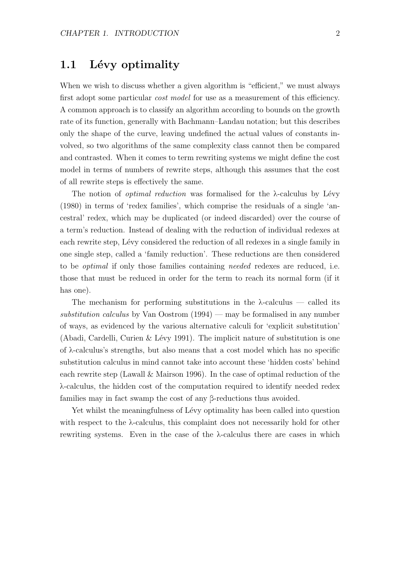## 1.1 Lévy optimality

When we wish to discuss whether a given algorithm is "efficient," we must always first adopt some particular *cost model* for use as a measurement of this efficiency. A common approach is to classify an algorithm according to bounds on the growth rate of its function, generally with Bachmann–Landau notation; but this describes only the shape of the curve, leaving undefined the actual values of constants involved, so two algorithms of the same complexity class cannot then be compared and contrasted. When it comes to term rewriting systems we might define the cost model in terms of numbers of rewrite steps, although this assumes that the cost of all rewrite steps is effectively the same.

The notion of *optimal reduction* was formalised for the  $\lambda$ -calculus by Lévy (1980) in terms of 'redex families', which comprise the residuals of a single 'ancestral' redex, which may be duplicated (or indeed discarded) over the course of a term's reduction. Instead of dealing with the reduction of individual redexes at each rewrite step, Lévy considered the reduction of all redexes in a single family in one single step, called a 'family reduction'. These reductions are then considered to be *optimal* if only those families containing *needed* redexes are reduced, i.e. those that must be reduced in order for the term to reach its normal form (if it has one).

The mechanism for performing substitutions in the  $\lambda$ -calculus — called its substitution calculus by Van Oostrom  $(1994)$  — may be formalised in any number of ways, as evidenced by the various alternative calculi for 'explicit substitution' (Abadi, Cardelli, Curien & Lévy 1991). The implicit nature of substitution is one of λ-calculus's strengths, but also means that a cost model which has no specific substitution calculus in mind cannot take into account these 'hidden costs' behind each rewrite step (Lawall & Mairson 1996). In the case of optimal reduction of the λ-calculus, the hidden cost of the computation required to identify needed redex families may in fact swamp the cost of any β-reductions thus avoided.

Yet whilst the meaningfulness of Lévy optimality has been called into question with respect to the λ-calculus, this complaint does not necessarily hold for other rewriting systems. Even in the case of the  $\lambda$ -calculus there are cases in which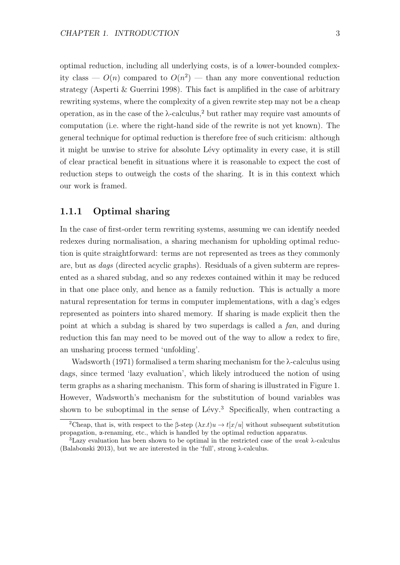optimal reduction, including all underlying costs, is of a lower-bounded complexity class —  $O(n)$  compared to  $O(n^2)$  — than any more conventional reduction strategy (Asperti & Guerrini 1998). This fact is amplified in the case of arbitrary rewriting systems, where the complexity of a given rewrite step may not be a cheap operation, as in the case of the  $\lambda$ -calculus,<sup>2</sup> but rather may require vast amounts of computation (i.e. where the right-hand side of the rewrite is not yet known). The general technique for optimal reduction is therefore free of such criticism: although it might be unwise to strive for absolute Lévy optimality in every case, it is still of clear practical benefit in situations where it is reasonable to expect the cost of reduction steps to outweigh the costs of the sharing. It is in this context which our work is framed.

### 1.1.1 Optimal sharing

In the case of first-order term rewriting systems, assuming we can identify needed redexes during normalisation, a sharing mechanism for upholding optimal reduction is quite straightforward: terms are not represented as trees as they commonly are, but as dags (directed acyclic graphs). Residuals of a given subterm are represented as a shared subdag, and so any redexes contained within it may be reduced in that one place only, and hence as a family reduction. This is actually a more natural representation for terms in computer implementations, with a dag's edges represented as pointers into shared memory. If sharing is made explicit then the point at which a subdag is shared by two superdags is called a fan, and during reduction this fan may need to be moved out of the way to allow a redex to fire, an unsharing process termed 'unfolding'.

Wadsworth (1971) formalised a term sharing mechanism for the λ-calculus using dags, since termed 'lazy evaluation', which likely introduced the notion of using term graphs as a sharing mechanism. This form of sharing is illustrated in Figure 1. However, Wadsworth's mechanism for the substitution of bound variables was shown to be suboptimal in the sense of  $Lévy.<sup>3</sup>$  Specifically, when contracting a

<sup>&</sup>lt;sup>2</sup>Cheap, that is, with respect to the β-step  $(\lambda x.t)u \rightarrow t[x/u]$  without subsequent substitution propagation, α-renaming, etc., which is handled by the optimal reduction apparatus.

<sup>&</sup>lt;sup>3</sup>Lazy evaluation has been shown to be optimal in the restricted case of the *weak*  $\lambda$ -calculus (Balabonski 2013), but we are interested in the 'full', strong λ-calculus.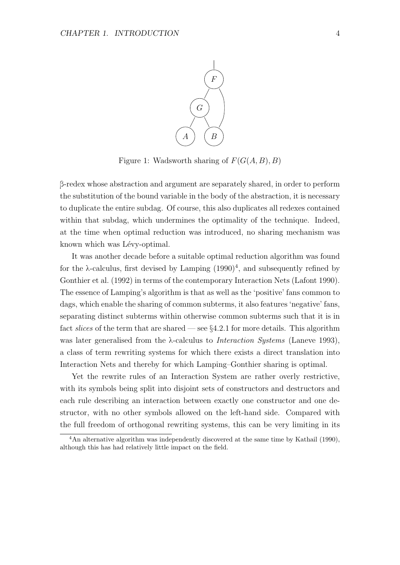

Figure 1: Wadsworth sharing of  $F(G(A, B), B)$ 

β-redex whose abstraction and argument are separately shared, in order to perform the substitution of the bound variable in the body of the abstraction, it is necessary to duplicate the entire subdag. Of course, this also duplicates all redexes contained within that subdag, which undermines the optimality of the technique. Indeed, at the time when optimal reduction was introduced, no sharing mechanism was known which was Lévy-optimal.

It was another decade before a suitable optimal reduction algorithm was found for the  $\lambda$ -calculus, first devised by Lamping  $(1990)^4$ , and subsequently refined by Gonthier et al. (1992) in terms of the contemporary Interaction Nets (Lafont 1990). The essence of Lamping's algorithm is that as well as the 'positive' fans common to dags, which enable the sharing of common subterms, it also features 'negative' fans, separating distinct subterms within otherwise common subterms such that it is in fact *slices* of the term that are shared — see  $\S 4.2.1$  for more details. This algorithm was later generalised from the  $\lambda$ -calculus to *Interaction Systems* (Laneve 1993), a class of term rewriting systems for which there exists a direct translation into Interaction Nets and thereby for which Lamping–Gonthier sharing is optimal.

Yet the rewrite rules of an Interaction System are rather overly restrictive, with its symbols being split into disjoint sets of constructors and destructors and each rule describing an interaction between exactly one constructor and one destructor, with no other symbols allowed on the left-hand side. Compared with the full freedom of orthogonal rewriting systems, this can be very limiting in its

<sup>&</sup>lt;sup>4</sup>An alternative algorithm was independently discovered at the same time by Kathail (1990), although this has had relatively little impact on the field.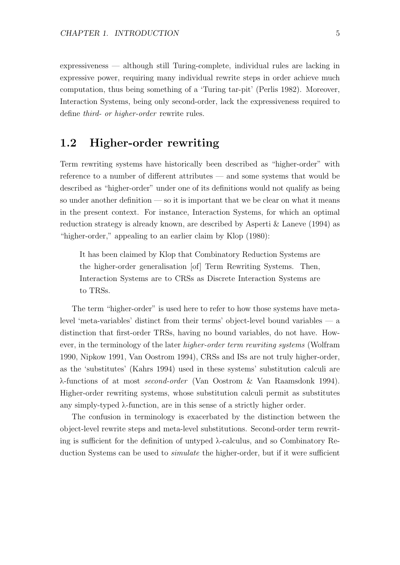expressiveness — although still Turing-complete, individual rules are lacking in expressive power, requiring many individual rewrite steps in order achieve much computation, thus being something of a 'Turing tar-pit' (Perlis 1982). Moreover, Interaction Systems, being only second-order, lack the expressiveness required to define third- or higher-order rewrite rules.

## 1.2 Higher-order rewriting

Term rewriting systems have historically been described as "higher-order" with reference to a number of different attributes — and some systems that would be described as "higher-order" under one of its definitions would not qualify as being so under another definition — so it is important that we be clear on what it means in the present context. For instance, Interaction Systems, for which an optimal reduction strategy is already known, are described by Asperti & Laneve (1994) as "higher-order," appealing to an earlier claim by Klop (1980):

It has been claimed by Klop that Combinatory Reduction Systems are the higher-order generalisation [of] Term Rewriting Systems. Then, Interaction Systems are to CRSs as Discrete Interaction Systems are to TRSs.

The term "higher-order" is used here to refer to how those systems have metalevel 'meta-variables' distinct from their terms' object-level bound variables — a distinction that first-order TRSs, having no bound variables, do not have. However, in the terminology of the later *higher-order term rewriting systems* (Wolfram 1990, Nipkow 1991, Van Oostrom 1994), CRSs and ISs are not truly higher-order, as the 'substitutes' (Kahrs 1994) used in these systems' substitution calculi are λ-functions of at most second-order (Van Oostrom & Van Raamsdonk 1994). Higher-order rewriting systems, whose substitution calculi permit as substitutes any simply-typed λ-function, are in this sense of a strictly higher order.

The confusion in terminology is exacerbated by the distinction between the object-level rewrite steps and meta-level substitutions. Second-order term rewriting is sufficient for the definition of untyped λ-calculus, and so Combinatory Reduction Systems can be used to *simulate* the higher-order, but if it were sufficient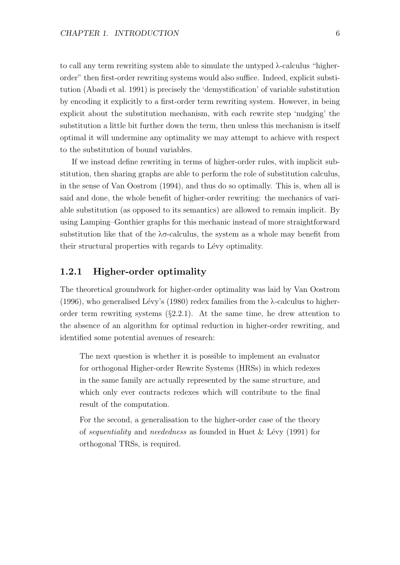to call any term rewriting system able to simulate the untyped λ-calculus "higherorder" then first-order rewriting systems would also suffice. Indeed, explicit substitution (Abadi et al. 1991) is precisely the 'demystification' of variable substitution by encoding it explicitly to a first-order term rewriting system. However, in being explicit about the substitution mechanism, with each rewrite step 'nudging' the substitution a little bit further down the term, then unless this mechanism is itself optimal it will undermine any optimality we may attempt to achieve with respect to the substitution of bound variables.

If we instead define rewriting in terms of higher-order rules, with implicit substitution, then sharing graphs are able to perform the role of substitution calculus, in the sense of Van Oostrom (1994), and thus do so optimally. This is, when all is said and done, the whole benefit of higher-order rewriting: the mechanics of variable substitution (as opposed to its semantics) are allowed to remain implicit. By using Lamping–Gonthier graphs for this mechanic instead of more straightforward substitution like that of the  $\lambda \sigma$ -calculus, the system as a whole may benefit from their structural properties with regards to Lévy optimality.

#### 1.2.1 Higher-order optimality

The theoretical groundwork for higher-order optimality was laid by Van Oostrom (1996), who generalised Lévy's (1980) redex families from the  $\lambda$ -calculus to higherorder term rewriting systems (§2.2.1). At the same time, he drew attention to the absence of an algorithm for optimal reduction in higher-order rewriting, and identified some potential avenues of research:

The next question is whether it is possible to implement an evaluator for orthogonal Higher-order Rewrite Systems (HRSs) in which redexes in the same family are actually represented by the same structure, and which only ever contracts redexes which will contribute to the final result of the computation.

For the second, a generalisation to the higher-order case of the theory of *sequentiality* and *neededness* as founded in Huet  $\&$  Lévy (1991) for orthogonal TRSs, is required.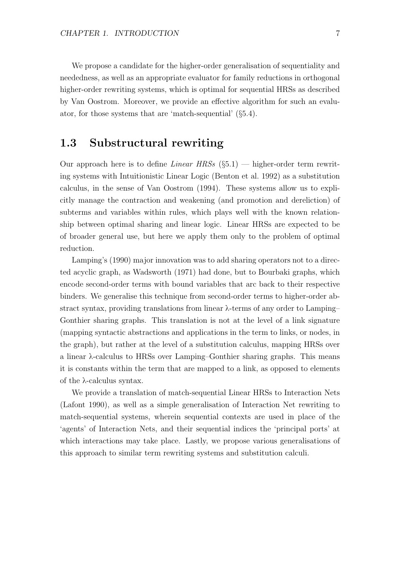We propose a candidate for the higher-order generalisation of sequentiality and neededness, as well as an appropriate evaluator for family reductions in orthogonal higher-order rewriting systems, which is optimal for sequential HRSs as described by Van Oostrom. Moreover, we provide an effective algorithm for such an evaluator, for those systems that are 'match-sequential' (§5.4).

### 1.3 Substructural rewriting

Our approach here is to define *Linear HRSs*  $(\S 5.1)$  — higher-order term rewriting systems with Intuitionistic Linear Logic (Benton et al. 1992) as a substitution calculus, in the sense of Van Oostrom (1994). These systems allow us to explicitly manage the contraction and weakening (and promotion and dereliction) of subterms and variables within rules, which plays well with the known relationship between optimal sharing and linear logic. Linear HRSs are expected to be of broader general use, but here we apply them only to the problem of optimal reduction.

Lamping's (1990) major innovation was to add sharing operators not to a directed acyclic graph, as Wadsworth (1971) had done, but to Bourbaki graphs, which encode second-order terms with bound variables that arc back to their respective binders. We generalise this technique from second-order terms to higher-order abstract syntax, providing translations from linear λ-terms of any order to Lamping– Gonthier sharing graphs. This translation is not at the level of a link signature (mapping syntactic abstractions and applications in the term to links, or nodes, in the graph), but rather at the level of a substitution calculus, mapping HRSs over a linear λ-calculus to HRSs over Lamping–Gonthier sharing graphs. This means it is constants within the term that are mapped to a link, as opposed to elements of the λ-calculus syntax.

We provide a translation of match-sequential Linear HRSs to Interaction Nets (Lafont 1990), as well as a simple generalisation of Interaction Net rewriting to match-sequential systems, wherein sequential contexts are used in place of the 'agents' of Interaction Nets, and their sequential indices the 'principal ports' at which interactions may take place. Lastly, we propose various generalisations of this approach to similar term rewriting systems and substitution calculi.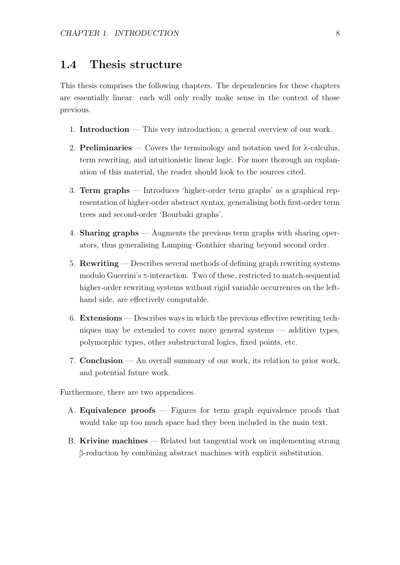## 1.4 Thesis structure

This thesis comprises the following chapters. The dependencies for these chapters are essentially linear: each will only really make sense in the context of those previous.

- 1. Introduction This very introduction; a general overview of our work.
- 2. **Preliminaries** Covers the terminology and notation used for  $\lambda$ -calculus, term rewriting, and intuitionistic linear logic. For more thorough an explanation of this material, the reader should look to the sources cited.
- 3. Term graphs Introduces 'higher-order term graphs' as a graphical representation of higher-order abstract syntax, generalising both first-order term trees and second-order 'Bourbaki graphs'.
- 4. Sharing graphs Augments the previous term graphs with sharing operators, thus generalising Lamping–Gonthier sharing beyond second order.
- 5. Rewriting Describes several methods of defining graph rewriting systems modulo Guerrini's  $\pi$ -interaction. Two of these, restricted to match-sequential higher-order rewriting systems without rigid variable occurrences on the lefthand side, are effectively computable.
- 6. Extensions Describes ways in which the previous effective rewriting techniques may be extended to cover more general systems — additive types, polymorphic types, other substructural logics, fixed points, etc.
- 7. Conclusion An overall summary of our work, its relation to prior work, and potential future work.

Furthermore, there are two appendices.

- A. **Equivalence proofs**  $\overline{\phantom{a}}$  Figures for term graph equivalence proofs that would take up too much space had they been included in the main text.
- B. Krivine machines Related but tangential work on implementing strong β-reduction by combining abstract machines with explicit substitution.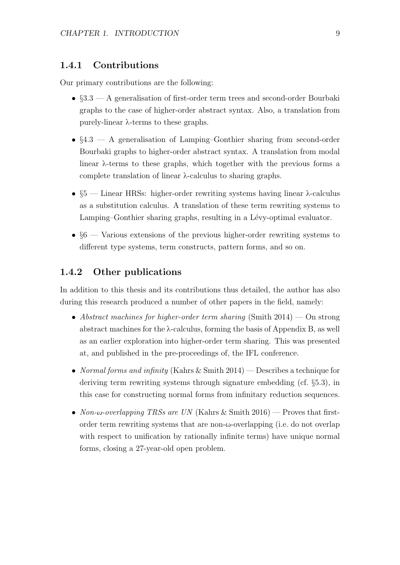#### 1.4.1 Contributions

Our primary contributions are the following:

- §3.3 A generalisation of first-order term trees and second-order Bourbaki graphs to the case of higher-order abstract syntax. Also, a translation from purely-linear λ-terms to these graphs.
- §4.3 A generalisation of Lamping–Gonthier sharing from second-order Bourbaki graphs to higher-order abstract syntax. A translation from modal linear λ-terms to these graphs, which together with the previous forms a complete translation of linear λ-calculus to sharing graphs.
- §5 Linear HRSs: higher-order rewriting systems having linear λ-calculus as a substitution calculus. A translation of these term rewriting systems to Lamping–Gonthier sharing graphs, resulting in a Lévy-optimal evaluator.
- $§6$  Various extensions of the previous higher-order rewriting systems to different type systems, term constructs, pattern forms, and so on.

#### 1.4.2 Other publications

In addition to this thesis and its contributions thus detailed, the author has also during this research produced a number of other papers in the field, namely:

- Abstract machines for higher-order term sharing (Smith  $2014$ ) On strong abstract machines for the λ-calculus, forming the basis of Appendix B, as well as an earlier exploration into higher-order term sharing. This was presented at, and published in the pre-proceedings of, the IFL conference.
- Normal forms and infinity (Kahrs & Smith 2014) Describes a technique for deriving term rewriting systems through signature embedding (cf. §5.3), in this case for constructing normal forms from infinitary reduction sequences.
- Non- $\omega$ -overlapping TRSs are UN (Kahrs & Smith 2016) Proves that firstorder term rewriting systems that are non-ω-overlapping (i.e. do not overlap with respect to unification by rationally infinite terms) have unique normal forms, closing a 27-year-old open problem.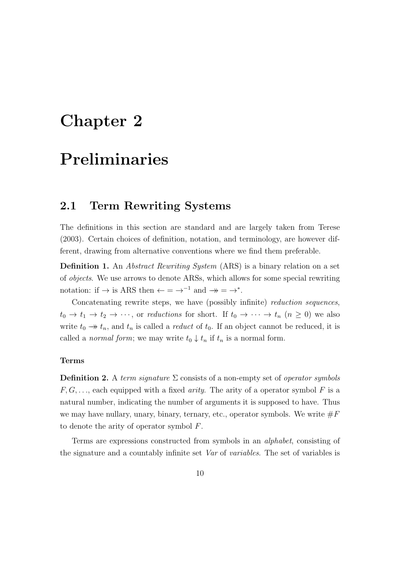# Chapter 2

# Preliminaries

### 2.1 Term Rewriting Systems

The definitions in this section are standard and are largely taken from Terese (2003). Certain choices of definition, notation, and terminology, are however different, drawing from alternative conventions where we find them preferable.

**Definition 1.** An *Abstract Rewriting System* (ARS) is a binary relation on a set of objects. We use arrows to denote ARSs, which allows for some special rewriting notation: if  $\rightarrow$  is ARS then  $\leftarrow$  =  $\rightarrow^{-1}$  and  $\rightarrow \rightarrow$  =  $\rightarrow^*$ .

Concatenating rewrite steps, we have (possibly infinite) reduction sequences,  $t_0 \to t_1 \to t_2 \to \cdots$ , or reductions for short. If  $t_0 \to \cdots \to t_n$   $(n \geq 0)$  we also write  $t_0 \rightarrow t_n$ , and  $t_n$  is called a *reduct* of  $t_0$ . If an object cannot be reduced, it is called a *normal form*; we may write  $t_0 \downarrow t_n$  if  $t_n$  is a normal form.

#### Terms

**Definition 2.** A term signature  $\Sigma$  consists of a non-empty set of *operator symbols*  $F, G, \ldots$ , each equipped with a fixed *arity*. The arity of a operator symbol F is a natural number, indicating the number of arguments it is supposed to have. Thus we may have nullary, unary, binary, ternary, etc., operator symbols. We write  $\#F$ to denote the arity of operator symbol F.

Terms are expressions constructed from symbols in an alphabet, consisting of the signature and a countably infinite set Var of variables. The set of variables is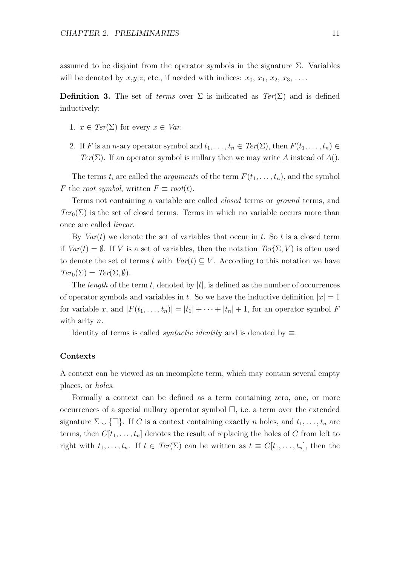assumed to be disjoint from the operator symbols in the signature  $\Sigma$ . Variables will be denoted by  $x,y,z$ , etc., if needed with indices:  $x_0, x_1, x_2, x_3, \ldots$ .

**Definition 3.** The set of terms over  $\Sigma$  is indicated as  $Ter(\Sigma)$  and is defined inductively:

- 1.  $x \in \text{Ter}(\Sigma)$  for every  $x \in \text{Var}$ .
- 2. If F is an n-ary operator symbol and  $t_1, \ldots, t_n \in \mathit{Ter}(\Sigma)$ , then  $F(t_1, \ldots, t_n) \in$ Ter(Σ). If an operator symbol is nullary then we may write A instead of  $A()$ .

The terms  $t_i$  are called the *arguments* of the term  $F(t_1, \ldots, t_n)$ , and the symbol F the root symbol, written  $F \equiv root(t)$ .

Terms not containing a variable are called closed terms or ground terms, and  $Ter_0(\Sigma)$  is the set of closed terms. Terms in which no variable occurs more than once are called linear.

By  $Var(t)$  we denote the set of variables that occur in t. So t is a closed term if  $Var(t) = \emptyset$ . If V is a set of variables, then the notation  $Ter(\Sigma, V)$  is often used to denote the set of terms t with  $Var(t) \subseteq V$ . According to this notation we have  $Ter_0(\Sigma) = Ter(\Sigma, \emptyset).$ 

The *length* of the term t, denoted by  $|t|$ , is defined as the number of occurrences of operator symbols and variables in t. So we have the inductive definition  $|x| = 1$ for variable x, and  $|F(t_1, \ldots, t_n)| = |t_1| + \cdots + |t_n| + 1$ , for an operator symbol F with arity n.

Identity of terms is called *syntactic identity* and is denoted by  $\equiv$ .

#### Contexts

A context can be viewed as an incomplete term, which may contain several empty places, or holes.

Formally a context can be defined as a term containing zero, one, or more occurrences of a special nullary operator symbol  $\Box$ , i.e. a term over the extended signature  $\Sigma \cup \{\Box\}$ . If C is a context containing exactly n holes, and  $t_1, \ldots, t_n$  are terms, then  $C[t_1, \ldots, t_n]$  denotes the result of replacing the holes of C from left to right with  $t_1, \ldots, t_n$ . If  $t \in Ter(\Sigma)$  can be written as  $t \equiv C[t_1, \ldots, t_n]$ , then the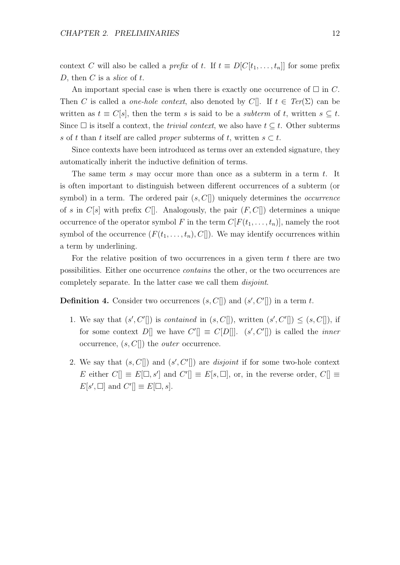context C will also be called a prefix of t. If  $t \equiv D[C[t_1, \ldots, t_n]]$  for some prefix D, then C is a slice of  $t$ .

An important special case is when there is exactly one occurrence of  $\Box$  in C. Then C is called a *one-hole context*, also denoted by C[]. If  $t \in Ter(\Sigma)$  can be written as  $t \equiv C[s]$ , then the term s is said to be a subterm of t, written  $s \subseteq t$ . Since  $\square$  is itself a context, the *trivial context*, we also have  $t \subseteq t$ . Other subterms s of t than t itself are called proper subterms of t, written  $s \subset t$ .

Since contexts have been introduced as terms over an extended signature, they automatically inherit the inductive definition of terms.

The same term s may occur more than once as a subterm in a term  $t$ . It is often important to distinguish between different occurrences of a subterm (or symbol) in a term. The ordered pair  $(s, C\|)$  uniquely determines the *occurrence* of s in  $C[s]$  with prefix  $C[$ . Analogously, the pair  $(F, C[$ ) determines a unique occurrence of the operator symbol F in the term  $C[F(t_1, \ldots, t_n)]$ , namely the root symbol of the occurrence  $(F(t_1, \ldots, t_n), C])$ . We may identify occurrences within a term by underlining.

For the relative position of two occurrences in a given term  $t$  there are two possibilities. Either one occurrence contains the other, or the two occurrences are completely separate. In the latter case we call them disjoint.

**Definition 4.** Consider two occurrences  $(s, C[])$  and  $(s', C'[])$  in a term t.

- 1. We say that  $(s', C'$ ] is *contained* in  $(s, C$ ], written  $(s', C'$ ]  $\leq (s, C$ ], if for some context D[ we have  $C'$ ]  $\equiv C[D]$ ].  $(s', C'$ ] is called the *inner* occurrence,  $(s, C[])$  the *outer* occurrence.
- 2. We say that  $(s, C[])$  and  $(s', C']$  are *disjoint* if for some two-hole context E either  $C[\equiv E[\Box, s']$  and  $C'[\equiv E[s, \Box],$  or, in the reverse order,  $C[\equiv s]$  $E[s', \Box]$  and  $C'[] \equiv E[\Box, s].$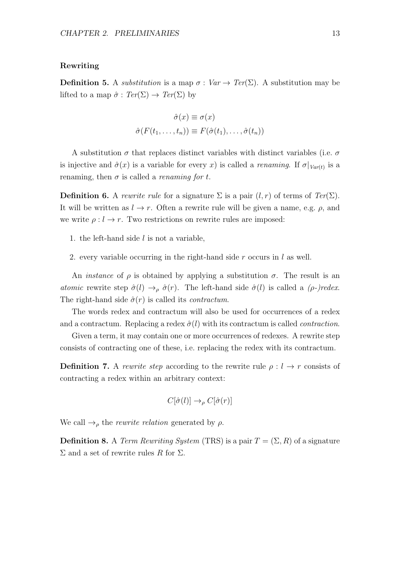#### Rewriting

**Definition 5.** A *substitution* is a map  $\sigma : Var \rightarrow Ter(\Sigma)$ . A substitution may be lifted to a map  $\hat{\sigma}$ :  $Ter(\Sigma) \rightarrow Ter(\Sigma)$  by

$$
\hat{\sigma}(x) \equiv \sigma(x)
$$

$$
\hat{\sigma}(F(t_1, \dots, t_n)) \equiv F(\hat{\sigma}(t_1), \dots, \hat{\sigma}(t_n))
$$

A substitution  $\sigma$  that replaces distinct variables with distinct variables (i.e.  $\sigma$ is injective and  $\hat{\sigma}(x)$  is a variable for every x) is called a *renaming*. If  $\sigma|_{Var(t)}$  is a renaming, then  $\sigma$  is called a *renaming for t*.

**Definition 6.** A rewrite rule for a signature  $\Sigma$  is a pair  $(l, r)$  of terms of  $Ter(\Sigma)$ . It will be written as  $l \to r$ . Often a rewrite rule will be given a name, e.g.  $\rho$ , and we write  $\rho: l \to r$ . Two restrictions on rewrite rules are imposed:

- 1. the left-hand side  $l$  is not a variable,
- 2. every variable occurring in the right-hand side  $r$  occurs in  $l$  as well.

An *instance* of  $\rho$  is obtained by applying a substitution  $\sigma$ . The result is an atomic rewrite step  $\hat{\sigma}(l) \rightarrow_{\rho} \hat{\sigma}(r)$ . The left-hand side  $\hat{\sigma}(l)$  is called a  $(\rho$ -)redex. The right-hand side  $\hat{\sigma}(r)$  is called its *contractum*.

The words redex and contractum will also be used for occurrences of a redex and a contractum. Replacing a redex  $\hat{\sigma}(l)$  with its contractum is called *contraction*.

Given a term, it may contain one or more occurrences of redexes. A rewrite step consists of contracting one of these, i.e. replacing the redex with its contractum.

**Definition 7.** A rewrite step according to the rewrite rule  $\rho: l \to r$  consists of contracting a redex within an arbitrary context:

$$
C[\hat{\sigma}(l)] \to_{\rho} C[\hat{\sigma}(r)]
$$

We call  $\rightarrow$ <sub>ρ</sub> the *rewrite relation* generated by ρ.

**Definition 8.** A Term Rewriting System (TRS) is a pair  $T = (\Sigma, R)$  of a signature  $\Sigma$  and a set of rewrite rules R for  $\Sigma$ .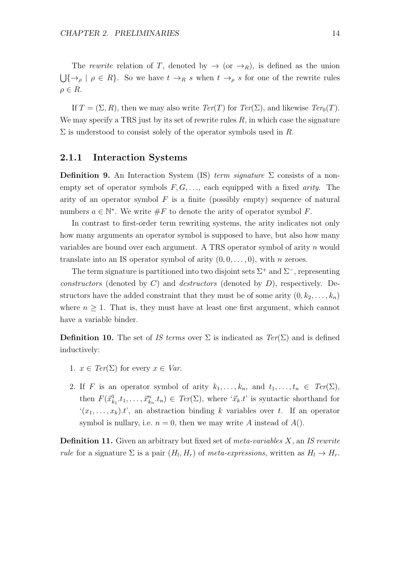The rewrite relation of T, denoted by  $\rightarrow$  (or  $\rightarrow$ <sub>R</sub>), is defined as the union  $\bigcup{\{\rightarrow_\rho \mid \rho \in R\}}$ . So we have  $t \rightarrow_R s$  when  $t \rightarrow_\rho s$  for one of the rewrite rules  $\rho \in R$ .

If  $T = (\Sigma, R)$ , then we may also write  $Ter(T)$  for  $Ter(\Sigma)$ , and likewise  $Ter_0(T)$ . We may specify a TRS just by its set of rewrite rules  $R$ , in which case the signature  $\Sigma$  is understood to consist solely of the operator symbols used in R.

#### 2.1.1 Interaction Systems

Definition 9. An Interaction System (IS) term signature  $\Sigma$  consists of a nonempty set of operator symbols  $F, G, \ldots$  each equipped with a fixed *arity*. The arity of an operator symbol  $F$  is a finite (possibly empty) sequence of natural numbers  $a \in \mathbb{N}^*$ . We write  $\#F$  to denote the arity of operator symbol F.

In contrast to first-order term rewriting systems, the arity indicates not only how many arguments an operator symbol is supposed to have, but also how many variables are bound over each argument. A TRS operator symbol of arity n would translate into an IS operator symbol of arity  $(0, 0, \ldots, 0)$ , with n zeroes.

The term signature is partitioned into two disjoint sets  $\Sigma^+$  and  $\Sigma^-$ , representing constructors (denoted by  $C$ ) and *destructors* (denoted by  $D$ ), respectively. Destructors have the added constraint that they must be of some arity  $(0, k_2, \ldots, k_n)$ where  $n \geq 1$ . That is, they must have at least one first argument, which cannot have a variable binder.

**Definition 10.** The set of IS terms over  $\Sigma$  is indicated as  $Ter(\Sigma)$  and is defined inductively:

- 1.  $x \in \text{Ter}(\Sigma)$  for every  $x \in \text{Var}$ .
- 2. If F is an operator symbol of arity  $k_1, \ldots, k_n$ , and  $t_1, \ldots, t_n \in \text{Ter}(\Sigma)$ , then  $F(\vec{x}_{k_1}^1,t_1,\ldots,\vec{x}_{k_n}^n,t_n) \in Ter(\Sigma)$ , where ' $\vec{x}_k$ ' is syntactic shorthand for  $(x_1, \ldots, x_k)$ .t, an abstraction binding k variables over t. If an operator symbol is nullary, i.e.  $n = 0$ , then we may write A instead of  $A()$ .

**Definition 11.** Given an arbitrary but fixed set of meta-variables  $X$ , an IS rewrite *rule* for a signature  $\Sigma$  is a pair  $(H_l, H_r)$  of *meta-expressions*, written as  $H_l \to H_r$ .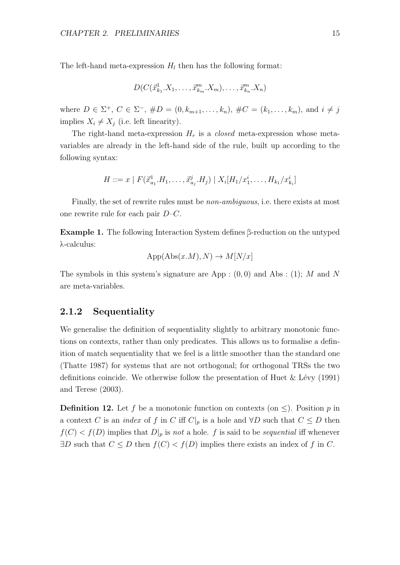The left-hand meta-expression  $H_l$  then has the following format:

$$
D(C(\vec{x}_{k_1}^1, X_1, \ldots, \vec{x}_{k_m}^m, X_m), \ldots, \vec{x}_{k_n}^m, X_n)
$$

where  $D \in \Sigma^+$ ,  $C \in \Sigma^-$ ,  $\#D = (0, k_{m+1}, \ldots, k_n)$ ,  $\#C = (k_1, \ldots, k_m)$ , and  $i \neq j$ implies  $X_i \neq X_j$  (i.e. left linearity).

The right-hand meta-expression  $H_r$  is a *closed* meta-expression whose metavariables are already in the left-hand side of the rule, built up according to the following syntax:

$$
H ::= x \mid F(\vec{x}_{a_1}^1, H_1, \dots, \vec{x}_{a_j}^j, H_j) \mid X_i[H_1/x_1^i, \dots, H_{k_1}/x_{k_i}^i]
$$

Finally, the set of rewrite rules must be non-ambiguous, i.e. there exists at most one rewrite rule for each pair  $D-C$ .

Example 1. The following Interaction System defines β-reduction on the untyped λ-calculus:

$$
App(Abs(x.M), N) \to M[N/x]
$$

The symbols in this system's signature are App :  $(0,0)$  and Abs : (1); M and N are meta-variables.

#### 2.1.2 Sequentiality

We generalise the definition of sequentiality slightly to arbitrary monotonic functions on contexts, rather than only predicates. This allows us to formalise a definition of match sequentiality that we feel is a little smoother than the standard one (Thatte 1987) for systems that are not orthogonal; for orthogonal TRSs the two definitions coincide. We otherwise follow the presentation of Huet & L´evy (1991) and Terese (2003).

**Definition 12.** Let f be a monotonic function on contexts (on  $\leq$ ). Position p in a context C is an *index* of f in C iff  $C|_p$  is a hole and  $\forall D$  such that  $C \leq D$  then  $f(C) < f(D)$  implies that  $D|_p$  is not a hole. f is said to be sequential iff whenever  $\exists D$  such that  $C \leq D$  then  $f(C) < f(D)$  implies there exists an index of f in C.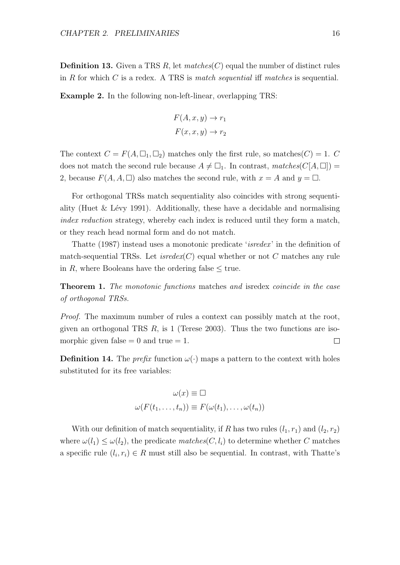**Definition 13.** Given a TRS R, let matches  $(C)$  equal the number of distinct rules in R for which C is a redex. A TRS is match sequential iff matches is sequential.

Example 2. In the following non-left-linear, overlapping TRS:

$$
F(A, x, y) \to r_1
$$

$$
F(x, x, y) \to r_2
$$

The context  $C = F(A, \Box_1, \Box_2)$  matches only the first rule, so matches  $(C) = 1$ . C does not match the second rule because  $A \neq \Box_1$ . In contrast, matches( $C[A, \Box]$ ) = 2, because  $F(A, A, \square)$  also matches the second rule, with  $x = A$  and  $y = \square$ .

For orthogonal TRSs match sequentiality also coincides with strong sequentiality (Huet  $&$  Lévy 1991). Additionally, these have a decidable and normalising index reduction strategy, whereby each index is reduced until they form a match, or they reach head normal form and do not match.

Thatte (1987) instead uses a monotonic predicate *'isredex'* in the definition of match-sequential TRSs. Let  $isredex(C)$  equal whether or not C matches any rule in R, where Booleans have the ordering false  $\leq$  true.

**Theorem 1.** The monotonic functions matches and isredex coincide in the case of orthogonal TRSs.

Proof. The maximum number of rules a context can possibly match at the root, given an orthogonal TRS  $R$ , is 1 (Terese 2003). Thus the two functions are isomorphic given false  $= 0$  and true  $= 1$ .  $\Box$ 

**Definition 14.** The *prefix* function  $\omega(\cdot)$  maps a pattern to the context with holes substituted for its free variables:

$$
\omega(x) \equiv \Box
$$
  

$$
\omega(F(t_1, \ldots, t_n)) \equiv F(\omega(t_1), \ldots, \omega(t_n))
$$

With our definition of match sequentiality, if R has two rules  $(l_1, r_1)$  and  $(l_2, r_2)$ where  $\omega(l_1) \leq \omega(l_2)$ , the predicate matches  $(C, l_i)$  to determine whether C matches a specific rule  $(l_i, r_i) \in R$  must still also be sequential. In contrast, with Thatte's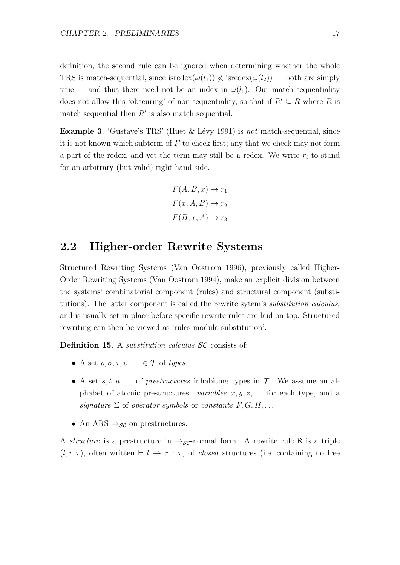definition, the second rule can be ignored when determining whether the whole TRS is match-sequential, since isredex $(\omega(l_1)) \nless$  isredex $(\omega(l_2))$  — both are simply true — and thus there need not be an index in  $\omega(l_1)$ . Our match sequentiality does not allow this 'obscuring' of non-sequentiality, so that if  $R' \subseteq R$  where R is match sequential then  $R'$  is also match sequential.

**Example 3.** 'Gustave's TRS' (Huet  $\&$  Lévy 1991) is not match-sequential, since it is not known which subterm of  $F$  to check first; any that we check may not form a part of the redex, and yet the term may still be a redex. We write  $r_i$  to stand for an arbitrary (but valid) right-hand side.

$$
F(A, B, x) \to r_1
$$

$$
F(x, A, B) \to r_2
$$

$$
F(B, x, A) \to r_3
$$

### 2.2 Higher-order Rewrite Systems

Structured Rewriting Systems (Van Oostrom 1996), previously called Higher-Order Rewriting Systems (Van Oostrom 1994), make an explicit division between the systems' combinatorial component (rules) and structural component (substitutions). The latter component is called the rewrite sytem's substitution calculus, and is usually set in place before specific rewrite rules are laid on top. Structured rewriting can then be viewed as 'rules modulo substitution'.

Definition 15. A *substitution calculus* SC consists of:

- A set  $\rho, \sigma, \tau, \nu, \ldots \in \mathcal{T}$  of types.
- A set  $s, t, u, \ldots$  of prestructures inhabiting types in  $\mathcal{T}$ . We assume an alphabet of atomic prestructures: variables  $x, y, z, \ldots$  for each type, and a signature  $\Sigma$  of operator symbols or constants  $F, G, H, \ldots$
- An ARS  $\rightarrow_{\mathcal{SC}}$  on prestructures.

A structure is a prestructure in  $\rightarrow_{\mathcal{SC}}$ -normal form. A rewrite rule  $\aleph$  is a triple  $(l, r, \tau)$ , often written  $\vdash l \rightarrow r : \tau$ , of *closed* structures (i.e. containing no free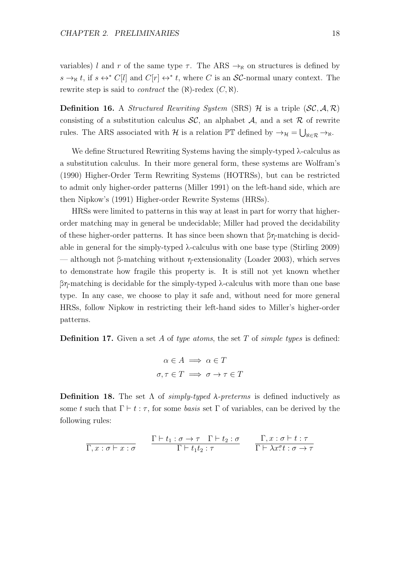variables) l and r of the same type  $\tau$ . The ARS  $\rightarrow_{\aleph}$  on structures is defined by  $s \to_{\aleph} t$ , if  $s \leftrightarrow^* C[l]$  and  $C[r] \leftrightarrow^* t$ , where C is an SC-normal unary context. The rewrite step is said to *contract* the  $(\aleph)$ -redex  $(C, \aleph)$ .

**Definition 16.** A *Structured Rewriting System* (SRS)  $\mathcal{H}$  is a triple (*SC*,  $\mathcal{A}, \mathcal{R}$ ) consisting of a substitution calculus  $\mathcal{SC}$ , an alphabet  $\mathcal{A}$ , and a set  $\mathcal{R}$  of rewrite rules. The ARS associated with  $\mathcal H$  is a relation  $\mathbb PT$  defined by  $\to_{\mathcal H} = \bigcup_{\aleph \in \mathcal R} \to_{\aleph}$ .

We define Structured Rewriting Systems having the simply-typed λ-calculus as a substitution calculus. In their more general form, these systems are Wolfram's (1990) Higher-Order Term Rewriting Systems (HOTRSs), but can be restricted to admit only higher-order patterns (Miller 1991) on the left-hand side, which are then Nipkow's (1991) Higher-order Rewrite Systems (HRSs).

HRSs were limited to patterns in this way at least in part for worry that higherorder matching may in general be undecidable; Miller had proved the decidability of these higher-order patterns. It has since been shown that  $\beta\eta$ -matching is decidable in general for the simply-typed  $\lambda$ -calculus with one base type (Stirling 2009) — although not β-matching without η-extensionality (Loader 2003), which serves to demonstrate how fragile this property is. It is still not yet known whether βη-matching is decidable for the simply-typed λ-calculus with more than one base type. In any case, we choose to play it safe and, without need for more general HRSs, follow Nipkow in restricting their left-hand sides to Miller's higher-order patterns.

**Definition 17.** Given a set A of type atoms, the set T of simple types is defined:

$$
\alpha \in A \implies \alpha \in T
$$
  

$$
\sigma, \tau \in T \implies \sigma \to \tau \in T
$$

**Definition 18.** The set Λ of simply-typed  $λ$ -preterms is defined inductively as some t such that  $\Gamma \vdash t : \tau$ , for some basis set  $\Gamma$  of variables, can be derived by the following rules:

$$
\frac{\Gamma \vdash t_1 : \sigma \to \tau \quad \Gamma \vdash t_2 : \sigma}{\Gamma \vdash t_1 t_2 : \tau} \qquad \frac{\Gamma, x : \sigma \vdash t : \tau}{\Gamma \vdash \lambda x^{\sigma} t : \sigma \to \tau}
$$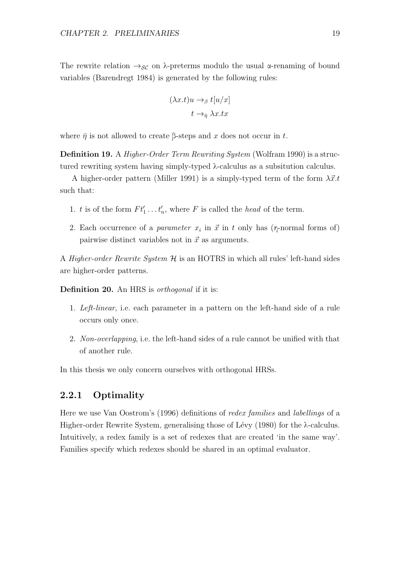The rewrite relation  $\rightarrow_{\mathcal{SC}}$  on  $\lambda$ -preterms modulo the usual α-renaming of bound variables (Barendregt 1984) is generated by the following rules:

$$
(\lambda x.t)u \to_{\beta} t[u/x]
$$

$$
t \to_{\bar{\eta}} \lambda x.tx
$$

where  $\bar{\eta}$  is not allowed to create β-steps and x does not occur in t.

Definition 19. A Higher-Order Term Rewriting System (Wolfram 1990) is a structured rewriting system having simply-typed λ-calculus as a subsitution calculus.

A higher-order pattern (Miller 1991) is a simply-typed term of the form  $\lambda \vec{x}.t$ such that:

- 1. t is of the form  $Ft'_1 \ldots t'_n$ , where F is called the head of the term.
- 2. Each occurrence of a *parameter*  $x_i$  in  $\vec{x}$  in t only has ( $\eta$ -normal forms of) pairwise distinct variables not in  $\vec{x}$  as arguments.

A *Higher-order Rewrite System*  $H$  is an HOTRS in which all rules' left-hand sides are higher-order patterns.

Definition 20. An HRS is *orthogonal* if it is:

- 1. Left-linear, i.e. each parameter in a pattern on the left-hand side of a rule occurs only once.
- 2. Non-overlapping, i.e. the left-hand sides of a rule cannot be unified with that of another rule.

In this thesis we only concern ourselves with orthogonal HRSs.

#### 2.2.1 Optimality

Here we use Van Oostrom's (1996) definitions of redex families and labellings of a Higher-order Rewrite System, generalising those of Lévy (1980) for the  $\lambda$ -calculus. Intuitively, a redex family is a set of redexes that are created 'in the same way'. Families specify which redexes should be shared in an optimal evaluator.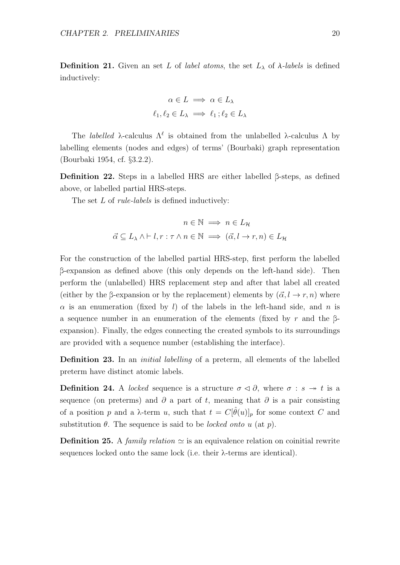**Definition 21.** Given an set L of label atoms, the set  $L_{\lambda}$  of  $\lambda$ -labels is defined inductively:

$$
\alpha \in L \implies \alpha \in L_{\lambda}
$$

$$
\ell_1, \ell_2 \in L_{\lambda} \implies \ell_1 \, ; \ell_2 \in L_{\lambda}
$$

The *labelled*  $\lambda$ -calculus  $\Lambda^{\ell}$  is obtained from the unlabelled  $\lambda$ -calculus  $\Lambda$  by labelling elements (nodes and edges) of terms' (Bourbaki) graph representation (Bourbaki 1954, cf. §3.2.2).

Definition 22. Steps in a labelled HRS are either labelled β-steps, as defined above, or labelled partial HRS-steps.

The set L of *rule-labels* is defined inductively:

$$
n \in \mathbb{N} \implies n \in L_{\mathcal{H}}
$$

$$
\vec{\alpha} \subseteq L_{\lambda} \land \vdash l, r : \tau \land n \in \mathbb{N} \implies (\vec{\alpha}, l \to r, n) \in L_{\mathcal{H}}
$$

For the construction of the labelled partial HRS-step, first perform the labelled β-expansion as defined above (this only depends on the left-hand side). Then perform the (unlabelled) HRS replacement step and after that label all created (either by the β-expansion or by the replacement) elements by  $(\vec{\alpha}, l \rightarrow r, n)$  where  $\alpha$  is an enumeration (fixed by l) of the labels in the left-hand side, and n is a sequence number in an enumeration of the elements (fixed by r and the βexpansion). Finally, the edges connecting the created symbols to its surroundings are provided with a sequence number (establishing the interface).

Definition 23. In an *initial labelling* of a preterm, all elements of the labelled preterm have distinct atomic labels.

**Definition 24.** A *locked* sequence is a structure  $\sigma \triangleleft \partial$ , where  $\sigma : s \rightarrow t$  is a sequence (on preterms) and  $\partial$  a part of t, meaning that  $\partial$  is a pair consisting of a position p and a  $\lambda$ -term u, such that  $t = C[\hat{\theta}(u)]_p$  for some context C and substitution  $\theta$ . The sequence is said to be *locked onto u* (at p).

**Definition 25.** A *family relation*  $\simeq$  is an equivalence relation on coinitial rewrite sequences locked onto the same lock (i.e. their  $\lambda$ -terms are identical).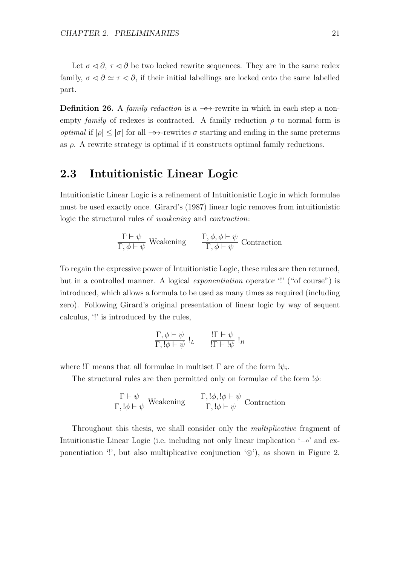Let  $\sigma \triangleleft \partial$ ,  $\tau \triangleleft \partial$  be two locked rewrite sequences. They are in the same redex family,  $\sigma \triangleleft \partial \simeq \tau \triangleleft \partial$ , if their initial labellings are locked onto the same labelled part.

**Definition 26.** A family reduction is a  $\rightarrow$ -rewrite in which in each step a nonempty family of redexes is contracted. A family reduction  $\rho$  to normal form is *optimal* if  $|\rho| \leq |\sigma|$  for all  $\rightarrow$ -rewrites  $\sigma$  starting and ending in the same preterms as  $\rho$ . A rewrite strategy is optimal if it constructs optimal family reductions.

# 2.3 Intuitionistic Linear Logic

Intuitionistic Linear Logic is a refinement of Intuitionistic Logic in which formulae must be used exactly once. Girard's (1987) linear logic removes from intuitionistic logic the structural rules of weakening and contraction:

$$
\frac{\Gamma \vdash \psi}{\Gamma, \phi \vdash \psi}
$$
 Weakening 
$$
\frac{\Gamma, \phi, \phi \vdash \psi}{\Gamma, \phi \vdash \psi}
$$
 Contraction

To regain the expressive power of Intuitionistic Logic, these rules are then returned, but in a controlled manner. A logical *exponentiation* operator '!' ("of course") is introduced, which allows a formula to be used as many times as required (including zero). Following Girard's original presentation of linear logic by way of sequent calculus, '!' is introduced by the rules,

$$
\frac{\Gamma, \phi \vdash \psi}{\Gamma, !\phi \vdash \psi} !_L \qquad \frac{\Gamma \vdash \psi}{\Gamma \vdash !\psi} !_R
$$

where ! $\Gamma$  means that all formulae in multiset  $\Gamma$  are of the form  $\psi_i$ .

The structural rules are then permitted only on formulae of the form  $\phi$ :

$$
\frac{\Gamma \vdash \psi}{\Gamma, !\phi \vdash \psi}
$$
 Weakening 
$$
\frac{\Gamma, !\phi, !\phi \vdash \psi}{\Gamma, !\phi \vdash \psi}
$$
 Contraction

Throughout this thesis, we shall consider only the *multiplicative* fragment of Intuitionistic Linear Logic (i.e. including not only linear implication '⊸' and exponentiation '!', but also multiplicative conjunction  $\otimes$ '), as shown in Figure 2.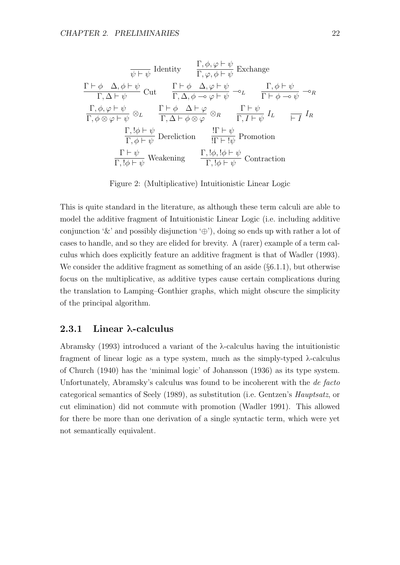$$
\frac{\nabla \phi}{\psi + \psi} \quad \text{Identity} \qquad \frac{\Gamma, \phi, \varphi \vdash \psi}{\Gamma, \varphi, \phi \vdash \psi} \quad \text{Exchange}
$$
\n
$$
\frac{\Gamma \vdash \phi \quad \Delta, \phi \vdash \psi}{\Gamma, \Delta \vdash \psi} \quad \text{Cut} \qquad \frac{\Gamma \vdash \phi \quad \Delta, \varphi \vdash \psi}{\Gamma, \Delta, \phi \multimap \varphi \vdash \psi} \multimap_{L} \qquad \frac{\Gamma, \phi \vdash \psi}{\Gamma \vdash \phi \multimap \psi} \multimap_{R}
$$
\n
$$
\frac{\Gamma, \phi, \varphi \vdash \psi}{\Gamma, \phi \otimes \varphi \vdash \psi} \otimes_{L} \qquad \frac{\Gamma \vdash \phi \quad \Delta \vdash \varphi}{\Gamma, \Delta \vdash \phi \otimes \varphi} \otimes_{R} \qquad \frac{\Gamma \vdash \psi}{\Gamma, I \vdash \psi} \quad I_{L} \qquad \frac{\Gamma}{\vdash I} \quad I_{R}
$$
\n
$$
\frac{\Gamma, !\phi \vdash \psi}{\Gamma, \phi \vdash \psi} \quad \text{Dereliction} \qquad \frac{\Gamma \vdash \psi}{\Gamma \vdash !\psi} \quad \text{Fromotion}
$$
\n
$$
\frac{\Gamma \vdash \psi}{\Gamma, !\phi \vdash \psi} \quad \text{Weakening} \qquad \frac{\Gamma, !\phi, !\phi \vdash \psi}{\Gamma, !\phi \vdash \psi} \quad \text{Contraction}
$$

Figure 2: (Multiplicative) Intuitionistic Linear Logic

This is quite standard in the literature, as although these term calculi are able to model the additive fragment of Intuitionistic Linear Logic (i.e. including additive conjunction ' $\&$ ' and possibly disjunction ' $\oplus$ '), doing so ends up with rather a lot of cases to handle, and so they are elided for brevity. A (rarer) example of a term calculus which does explicitly feature an additive fragment is that of Wadler (1993). We consider the additive fragment as something of an aside  $(\S 6.1.1)$ , but otherwise focus on the multiplicative, as additive types cause certain complications during the translation to Lamping–Gonthier graphs, which might obscure the simplicity of the principal algorithm.

#### 2.3.1 Linear λ-calculus

Abramsky (1993) introduced a variant of the λ-calculus having the intuitionistic fragment of linear logic as a type system, much as the simply-typed λ-calculus of Church (1940) has the 'minimal logic' of Johansson (1936) as its type system. Unfortunately, Abramsky's calculus was found to be incoherent with the *de facto* categorical semantics of Seely (1989), as substitution (i.e. Gentzen's Hauptsatz, or cut elimination) did not commute with promotion (Wadler 1991). This allowed for there be more than one derivation of a single syntactic term, which were yet not semantically equivalent.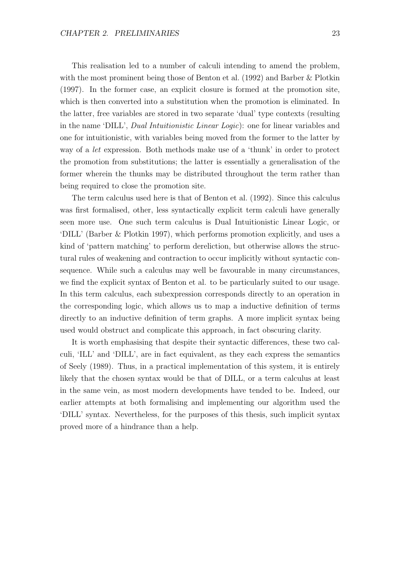This realisation led to a number of calculi intending to amend the problem, with the most prominent being those of Benton et al. (1992) and Barber & Plotkin (1997). In the former case, an explicit closure is formed at the promotion site, which is then converted into a substitution when the promotion is eliminated. In the latter, free variables are stored in two separate 'dual' type contexts (resulting in the name 'DILL', Dual Intuitionistic Linear Logic): one for linear variables and one for intuitionistic, with variables being moved from the former to the latter by way of a let expression. Both methods make use of a 'thunk' in order to protect the promotion from substitutions; the latter is essentially a generalisation of the former wherein the thunks may be distributed throughout the term rather than being required to close the promotion site.

The term calculus used here is that of Benton et al. (1992). Since this calculus was first formalised, other, less syntactically explicit term calculi have generally seen more use. One such term calculus is Dual Intuitionistic Linear Logic, or 'DILL' (Barber & Plotkin 1997), which performs promotion explicitly, and uses a kind of 'pattern matching' to perform dereliction, but otherwise allows the structural rules of weakening and contraction to occur implicitly without syntactic consequence. While such a calculus may well be favourable in many circumstances, we find the explicit syntax of Benton et al. to be particularly suited to our usage. In this term calculus, each subexpression corresponds directly to an operation in the corresponding logic, which allows us to map a inductive definition of terms directly to an inductive definition of term graphs. A more implicit syntax being used would obstruct and complicate this approach, in fact obscuring clarity.

It is worth emphasising that despite their syntactic differences, these two calculi, 'ILL' and 'DILL', are in fact equivalent, as they each express the semantics of Seely (1989). Thus, in a practical implementation of this system, it is entirely likely that the chosen syntax would be that of DILL, or a term calculus at least in the same vein, as most modern developments have tended to be. Indeed, our earlier attempts at both formalising and implementing our algorithm used the 'DILL' syntax. Nevertheless, for the purposes of this thesis, such implicit syntax proved more of a hindrance than a help.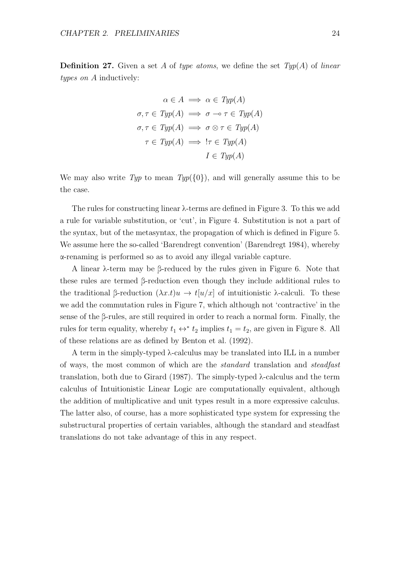**Definition 27.** Given a set A of type atoms, we define the set  $Typ(A)$  of linear types on A inductively:

$$
\alpha \in A \implies \alpha \in \mathit{Typ}(A)
$$
  

$$
\sigma, \tau \in \mathit{Typ}(A) \implies \sigma \multimap \tau \in \mathit{Typ}(A)
$$
  

$$
\sigma, \tau \in \mathit{Typ}(A) \implies \sigma \otimes \tau \in \mathit{Typ}(A)
$$
  

$$
\tau \in \mathit{Typ}(A) \implies !\tau \in \mathit{Typ}(A)
$$
  

$$
I \in \mathit{Typ}(A)
$$

We may also write Typ to mean  $Type({0})$ , and will generally assume this to be the case.

The rules for constructing linear λ-terms are defined in Figure 3. To this we add a rule for variable substitution, or 'cut', in Figure 4. Substitution is not a part of the syntax, but of the metasyntax, the propagation of which is defined in Figure 5. We assume here the so-called 'Barendregt convention' (Barendregt 1984), whereby α-renaming is performed so as to avoid any illegal variable capture.

A linear λ-term may be β-reduced by the rules given in Figure 6. Note that these rules are termed β-reduction even though they include additional rules to the traditional β-reduction  $(\lambda x.t)u \to t[u/x]$  of intuitionistic  $\lambda$ -calculi. To these we add the commutation rules in Figure 7, which although not 'contractive' in the sense of the β-rules, are still required in order to reach a normal form. Finally, the rules for term equality, whereby  $t_1 \leftrightarrow^* t_2$  implies  $t_1 = t_2$ , are given in Figure 8. All of these relations are as defined by Benton et al. (1992).

A term in the simply-typed λ-calculus may be translated into ILL in a number of ways, the most common of which are the standard translation and steadfast translation, both due to Girard (1987). The simply-typed  $\lambda$ -calculus and the term calculus of Intuitionistic Linear Logic are computationally equivalent, although the addition of multiplicative and unit types result in a more expressive calculus. The latter also, of course, has a more sophisticated type system for expressing the substructural properties of certain variables, although the standard and steadfast translations do not take advantage of this in any respect.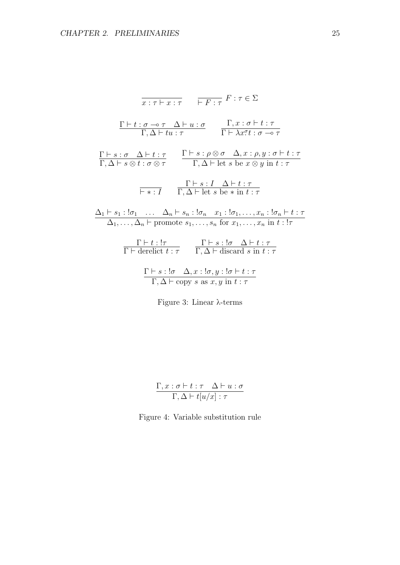$$
\frac{\Gamma \vdash t : \sigma \multimap \tau \quad \overline{\vdash F : \tau} \quad F : \tau \in \Sigma
$$
\n
$$
\frac{\Gamma \vdash t : \sigma \multimap \tau \quad \Delta \vdash u : \sigma}{\Gamma, \Delta \vdash tu : \tau} \quad \frac{\Gamma, x : \sigma \vdash t : \tau}{\Gamma \vdash \lambda x : \tau : \sigma \multimap \tau}
$$
\n
$$
\frac{\Gamma \vdash s : \sigma \quad \Delta \vdash t : \tau}{\Gamma, \Delta \vdash s \otimes t : \sigma \otimes \tau} \quad \frac{\Gamma \vdash s : \rho \otimes \sigma \quad \Delta, x : \rho, y : \sigma \vdash t : \tau}{\Gamma, \Delta \vdash \text{let } s \text{ be } x \otimes y \text{ in } t : \tau}
$$
\n
$$
\frac{\Gamma \vdash s : I \quad \Delta \vdash t : \tau}{\Gamma, \Delta \vdash \text{let } s \text{ be } * \text{ in } t : \tau}
$$
\n
$$
\frac{\Delta_1 \vdash s_1 : !\sigma_1 \quad \dots \quad \Delta_n \vdash s_n : !\sigma_n \quad x_1 : !\sigma_1, \dots, x_n : !\sigma_n \vdash t : \tau}{\Gamma \vdash \text{derdict } t : \tau} \quad \frac{\Gamma \vdash s : !\sigma \quad \Delta \vdash t : \tau}{\Gamma, \Delta \vdash \text{discard } s \text{ in } t : \tau}
$$
\n
$$
\frac{\Gamma \vdash s : !\sigma \quad \Delta, x : !\sigma, y : !\sigma \vdash t : \tau}{\Gamma, \Delta \vdash \text{copy } s \text{ as } x, y \text{ in } t : \tau}
$$



$$
\frac{\Gamma, x : \sigma \vdash t : \tau \quad \Delta \vdash u : \sigma}{\Gamma, \Delta \vdash t[u/x] : \tau}
$$

Figure 4: Variable substitution rule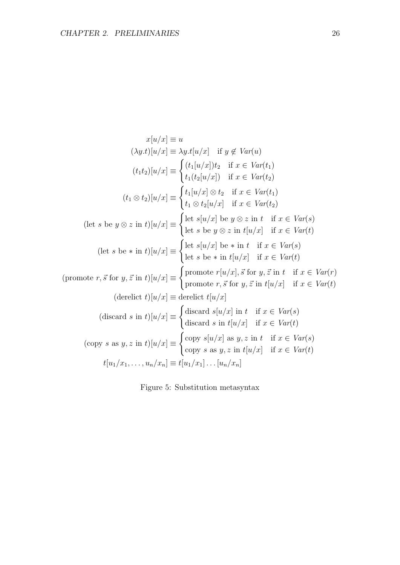$$
x[u/x] \equiv u
$$
  
\n
$$
(\lambda y.t)[u/x] \equiv \lambda y.t[u/x] \text{ if } y \notin Var(u)
$$
  
\n
$$
(t_1t_2)[u/x] \equiv \begin{cases} (t_1[u/x])t_2 & \text{if } x \in Var(t_1) \\ t_1(t_2[u/x]) & \text{if } x \in Var(t_2) \end{cases}
$$
  
\n
$$
(t_1 \otimes t_2)[u/x] \equiv \begin{cases} t_1[u/x] \otimes t_2 & \text{if } x \in Var(t_1) \\ t_1 \otimes t_2[u/x] & \text{if } x \in Var(t_2) \end{cases}
$$
  
\n
$$
(\text{let } s \text{ be } y \otimes z \text{ in } t)[u/x] \equiv \begin{cases} \text{let } s[u/x] \text{ be } y \otimes z \text{ in } t & \text{if } x \in Var(s) \\ \text{let } s \text{ be } y \otimes z \text{ in } t[u/x] & \text{if } x \in Var(t) \end{cases}
$$
  
\n
$$
(\text{let } s \text{ be } * \text{ in } t)[u/x] \equiv \begin{cases} \text{let } s[u/x] \text{ be } * \text{ in } t & \text{if } x \in Var(t) \\ \text{let } s \text{ be } * \text{ in } t[u/x] & \text{if } x \in Var(t) \end{cases}
$$
  
\n
$$
(\text{promote } r, \vec{s} \text{ for } y, \vec{z} \text{ in } t)[u/x] \equiv \begin{cases} \text{promote } r[u/x], \vec{s} \text{ for } y, \vec{z} \text{ in } t & \text{if } x \in Var(t) \\ \text{promote } r, \vec{s} \text{ for } y, \vec{z} \text{ in } t[u/x] & \text{if } x \in Var(t) \end{cases}
$$
  
\n
$$
(\text{descard } s \text{ in } t)[u/x] \equiv \begin{cases} \text{discard } s[u/x] \text{ in } t & \text{if } x \in Var(s) \\ \text{discard } s & \text{in } t[u/x] & \text{if } x \in Var(t) \end{cases}
$$
  
\n
$$
(\text{copy } s \text{ as } y, z \text{ in } t)[u/x] \equiv \begin{cases} \text{copy } s[u/x] \text{ as } y, z \
$$

Figure 5: Substitution metasyntax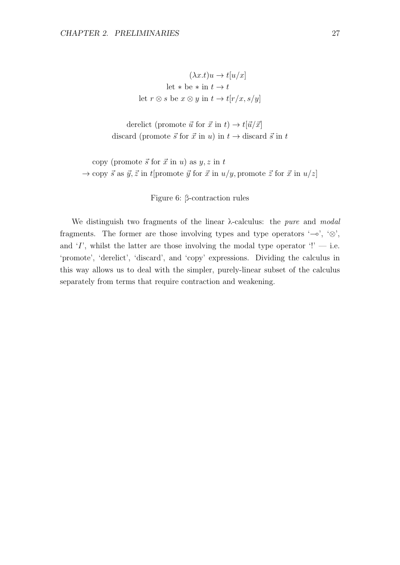$$
(\lambda x.t)u \to t[u/x]
$$
  
let \* be \* in  $t \to t$   
let  $r \otimes s$  be  $x \otimes y$  in  $t \to t[r/x, s/y]$ 

derelict (promote  $\vec{u}$  for  $\vec{x}$  in  $t$ )  $\rightarrow t[\vec{u}/\vec{x}]$ discard (promote  $\vec{s}$  for  $\vec{x}$  in u) in  $t \rightarrow$  discard  $\vec{s}$  in t

copy (promote  $\vec{s}$  for  $\vec{x}$  in u) as  $y, z$  in t  $\rightarrow$  copy  $\vec{s}$  as  $\vec{y}, \vec{z}$  in t[promote  $\vec{y}$  for  $\vec{x}$  in  $u/y$ , promote  $\vec{z}$  for  $\vec{x}$  in  $u/z$ ]

Figure 6: β-contraction rules

We distinguish two fragments of the linear  $\lambda$ -calculus: the *pure* and modal fragments. The former are those involving types and type operators '⊸', ' $\otimes$ ', and 'I', whilst the latter are those involving the modal type operator  $'$ !' — i.e. 'promote', 'derelict', 'discard', and 'copy' expressions. Dividing the calculus in this way allows us to deal with the simpler, purely-linear subset of the calculus separately from terms that require contraction and weakening.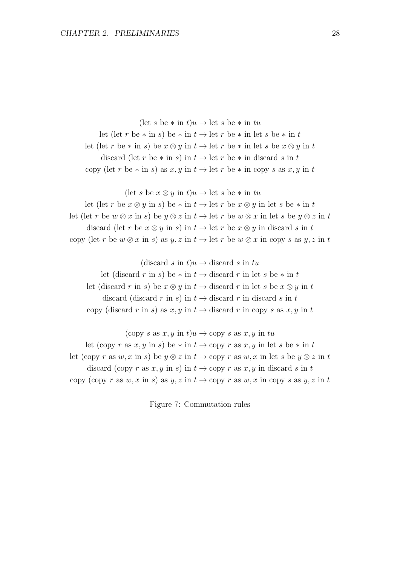(let s be  $*$  in  $t$ ) $u \rightarrow$  let s be  $*$  in  $tu$ let (let r be \* in s) be \* in  $t \to$  let r be \* in let s be \* in t let (let r be \* in s) be  $x \otimes y$  in  $t \to$  let r be \* in let s be  $x \otimes y$  in t discard (let r be  $*$  in s) in  $t \to$  let r be  $*$  in discard s in t copy (let r be  $*$  in s) as  $x, y$  in  $t \to$  let r be  $*$  in copy s as  $x, y$  in t

(let s be  $x \otimes y$  in  $t)u \rightarrow$  let s be  $*$  in  $tu$ 

let (let r be  $x \otimes y$  in s) be  $*$  in  $t \to$  let r be  $x \otimes y$  in let s be  $*$  in t let (let r be  $w \otimes x$  in s) be  $y \otimes z$  in  $t \to$  let r be  $w \otimes x$  in let s be  $y \otimes z$  in t discard (let r be  $x \otimes y$  in s) in  $t \to \text{let } r$  be  $x \otimes y$  in discard s in t copy (let r be  $w \otimes x$  in s) as  $y, z$  in  $t \to$  let r be  $w \otimes x$  in copy s as  $y, z$  in t

(discard s in  $t)u \rightarrow$  discard s in  $tu$ let (discard r in s) be  $*$  in  $t \to$  discard r in let s be  $*$  in t let (discard r in s) be  $x \otimes y$  in  $t \to$  discard r in let s be  $x \otimes y$  in t discard (discard r in s) in  $t \rightarrow$  discard r in discard s in t copy (discard r in s) as x, y in  $t \to$  discard r in copy s as x, y in t

(copy s as  $x, y$  in  $t)u \rightarrow$  copy s as  $x, y$  in tu let (copy r as x, y in s) be  $*$  in  $t \to$  copy r as x, y in let s be  $*$  in t let (copy r as w, x in s) be  $y \otimes z$  in  $t \to$  copy r as w, x in let s be  $y \otimes z$  in t discard (copy r as x, y in s) in  $t \to$  copy r as x, y in discard s in t copy (copy r as w, x in s) as  $y, z$  in  $t \to$  copy r as w, x in copy s as  $y, z$  in t

Figure 7: Commutation rules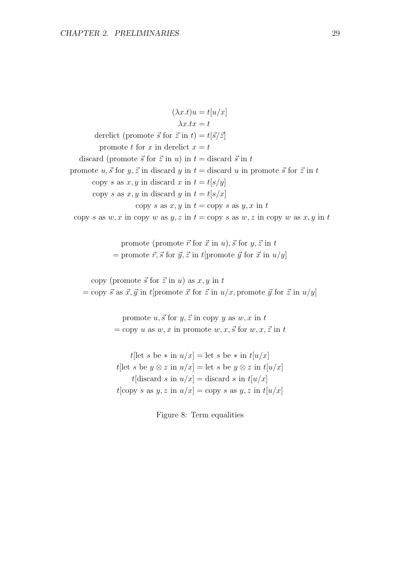$(\lambda x.t)u = t[u/x]$  $\lambda x.tx = t$ derelict (promote  $\vec{s}$  for  $\vec{z}$  in  $t$ ) =  $t[\vec{s}/\vec{z}]$ promote t for x in derelict  $x = t$ discard (promote  $\vec{s}$  for  $\vec{z}$  in u) in  $t =$  discard  $\vec{s}$  in t promote u,  $\vec{s}$  for y,  $\vec{z}$  in discard y in  $t =$  discard u in promote  $\vec{s}$  for  $\vec{z}$  in t copy s as  $x, y$  in discard x in  $t = t[s/y]$ copy s as  $x, y$  in discard y in  $t = t[s/x]$ copy s as  $x, y$  in  $t =$ copy s as  $y, x$  in  $t$ copy s as w, x in copy w as y, z in  $t =$ copy s as w, z in copy w as x, y in t

> promote (promote  $\vec{r}$  for  $\vec{x}$  in  $u$ ),  $\vec{s}$  for  $y, \vec{z}$  in  $t$ = promote  $\vec{r}, \vec{s}$  for  $\vec{y}, \vec{z}$  in t[promote  $\vec{y}$  for  $\vec{x}$  in  $u/y$ ]

copy (promote  $\vec{s}$  for  $\vec{z}$  in u) as  $x, y$  in t  $=$  copy  $\vec{s}$  as  $\vec{x}, \vec{y}$  in t[promote  $\vec{x}$  for  $\vec{z}$  in  $u/x$ , promote  $\vec{y}$  for  $\vec{z}$  in  $u/y$ ]

> promote  $u, \vec{s}$  for  $y, \vec{z}$  in copy y as  $w, x$  in t  $=$  copy u as w, x in promote w, x,  $\vec{s}$  for w, x,  $\vec{z}$  in t

> t[let s be  $*$  in  $u/x$ ] = let s be  $*$  in  $t[u/x]$ t[let s be  $y \otimes z$  in  $u/x$ ] = let s be  $y \otimes z$  in  $t[u/x]$  $t$ [discard s in  $u/x$ ] = discard s in  $t[u/x]$  $t[copy s as y, z in u/x] = copy s as y, z in t[u/x]$

> > Figure 8: Term equalities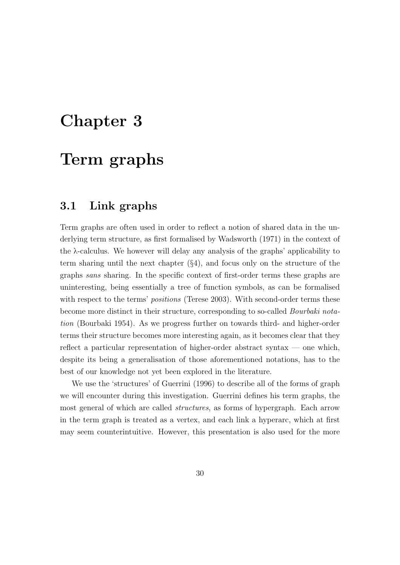## Chapter 3

# Term graphs

## 3.1 Link graphs

Term graphs are often used in order to reflect a notion of shared data in the underlying term structure, as first formalised by Wadsworth (1971) in the context of the λ-calculus. We however will delay any analysis of the graphs' applicability to term sharing until the next chapter (§4), and focus only on the structure of the graphs sans sharing. In the specific context of first-order terms these graphs are uninteresting, being essentially a tree of function symbols, as can be formalised with respect to the terms' *positions* (Terese 2003). With second-order terms these become more distinct in their structure, corresponding to so-called Bourbaki notation (Bourbaki 1954). As we progress further on towards third- and higher-order terms their structure becomes more interesting again, as it becomes clear that they reflect a particular representation of higher-order abstract syntax — one which, despite its being a generalisation of those aforementioned notations, has to the best of our knowledge not yet been explored in the literature.

We use the 'structures' of Guerrini (1996) to describe all of the forms of graph we will encounter during this investigation. Guerrini defines his term graphs, the most general of which are called structures, as forms of hypergraph. Each arrow in the term graph is treated as a vertex, and each link a hyperarc, which at first may seem counterintuitive. However, this presentation is also used for the more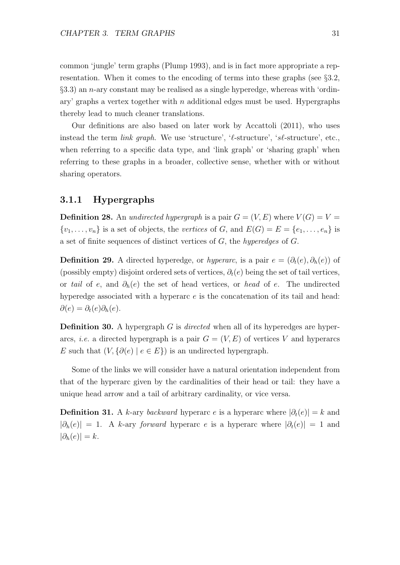common 'jungle' term graphs (Plump 1993), and is in fact more appropriate a representation. When it comes to the encoding of terms into these graphs (see §3.2,  $\S$ 3.3) an *n*-ary constant may be realised as a single hyperedge, whereas with 'ordinary' graphs a vertex together with n additional edges must be used. Hypergraphs thereby lead to much cleaner translations.

Our definitions are also based on later work by Accattoli (2011), who uses instead the term *link graph*. We use 'structure', ' $\ell$ -structure', 's $\ell$ -structure', etc., when referring to a specific data type, and 'link graph' or 'sharing graph' when referring to these graphs in a broader, collective sense, whether with or without sharing operators.

## 3.1.1 Hypergraphs

**Definition 28.** An undirected hypergraph is a pair  $G = (V, E)$  where  $V(G) = V =$  $\{v_1, \ldots, v_n\}$  is a set of objects, the vertices of G, and  $E(G) = E = \{e_1, \ldots, e_n\}$  is a set of finite sequences of distinct vertices of G, the hyperedges of G.

**Definition 29.** A directed hyperedge, or hyperarc, is a pair  $e = (\partial_t(e), \partial_h(e))$  of (possibly empty) disjoint ordered sets of vertices,  $\partial_t(e)$  being the set of tail vertices, or tail of e, and  $\partial_h(e)$  the set of head vertices, or head of e. The undirected hyperedge associated with a hyperarc  $e$  is the concatenation of its tail and head:  $\partial(e) = \partial_t(e)\partial_h(e).$ 

**Definition 30.** A hypergraph G is directed when all of its hyperedges are hyperarcs, *i.e.* a directed hypergraph is a pair  $G = (V, E)$  of vertices V and hyperarcs E such that  $(V, \{ \partial(e) \mid e \in E \})$  is an undirected hypergraph.

Some of the links we will consider have a natural orientation independent from that of the hyperarc given by the cardinalities of their head or tail: they have a unique head arrow and a tail of arbitrary cardinality, or vice versa.

**Definition 31.** A k-ary backward hyperarc e is a hyperarc where  $|\partial_t(e)| = k$  and  $|\partial_h(e)| = 1$ . A k-ary forward hyperarc e is a hyperarc where  $|\partial_t(e)| = 1$  and  $|\partial_h(e)| = k.$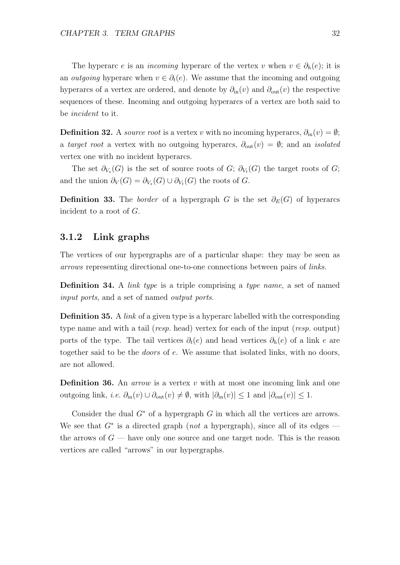The hyperarc e is an *incoming* hyperarc of the vertex v when  $v \in \partial_h(e)$ ; it is an *outgoing* hyperarc when  $v \in \partial_t(e)$ . We assume that the incoming and outgoing hyperarcs of a vertex are ordered, and denote by  $\partial_{\rm in}(v)$  and  $\partial_{\rm out}(v)$  the respective sequences of these. Incoming and outgoing hyperarcs of a vertex are both said to be incident to it.

**Definition 32.** A *source root* is a vertex v with no incoming hyperarcs,  $\partial_{\text{in}}(v) = \emptyset$ ; a target root a vertex with no outgoing hyperarcs,  $\partial_{\text{out}}(v) = \emptyset$ ; and an *isolated* vertex one with no incident hyperarcs.

The set  $\partial_{V_s}(G)$  is the set of source roots of  $G; \partial_{V_t}(G)$  the target roots of  $G;$ and the union  $\partial_V(G) = \partial_{V_s}(G) \cup \partial_{V_t}(G)$  the roots of G.

**Definition 33.** The *border* of a hypergraph G is the set  $\partial_E(G)$  of hyperarcs incident to a root of G.

## 3.1.2 Link graphs

The vertices of our hypergraphs are of a particular shape: they may be seen as arrows representing directional one-to-one connections between pairs of links.

**Definition 34.** A *link type* is a triple comprising a *type name*, a set of named input ports, and a set of named output ports.

**Definition 35.** A *link* of a given type is a hyperarc labelled with the corresponding type name and with a tail (*resp.* head) vertex for each of the input (*resp.* output) ports of the type. The tail vertices  $\partial_t(e)$  and head vertices  $\partial_h(e)$  of a link e are together said to be the doors of e. We assume that isolated links, with no doors, are not allowed.

**Definition 36.** An *arrow* is a vertex v with at most one incoming link and one outgoing link, *i.e.*  $\partial_{\text{in}}(v) \cup \partial_{\text{out}}(v) \neq \emptyset$ , with  $|\partial_{\text{in}}(v)| \leq 1$  and  $|\partial_{\text{out}}(v)| \leq 1$ .

Consider the dual  $G^*$  of a hypergraph G in which all the vertices are arrows. We see that  $G^*$  is a directed graph (not a hypergraph), since all of its edges the arrows of  $G$  — have only one source and one target node. This is the reason vertices are called "arrows" in our hypergraphs.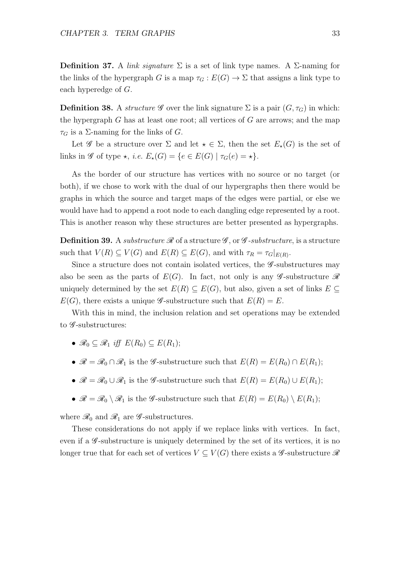**Definition 37.** A *link signature*  $\Sigma$  is a set of link type names. A  $\Sigma$ -naming for the links of the hypergraph G is a map  $\tau_G : E(G) \to \Sigma$  that assigns a link type to each hyperedge of G.

**Definition 38.** A structure  $\mathscr G$  over the link signature  $\Sigma$  is a pair  $(G, \tau_G)$  in which: the hypergraph  $G$  has at least one root; all vertices of  $G$  are arrows; and the map  $\tau_G$  is a  $\Sigma$ -naming for the links of G.

Let G be a structure over  $\Sigma$  and let  $\star \in \Sigma$ , then the set  $E_{\star}(G)$  is the set of links in  $\mathscr G$  of type  $\star$ , *i.e.*  $E_{\star}(G) = \{e \in E(G) \mid \tau_G(e) = \star\}.$ 

As the border of our structure has vertices with no source or no target (or both), if we chose to work with the dual of our hypergraphs then there would be graphs in which the source and target maps of the edges were partial, or else we would have had to append a root node to each dangling edge represented by a root. This is another reason why these structures are better presented as hypergraphs.

**Definition 39.** A substructure  $\mathscr R$  of a structure  $\mathscr G$ , or  $\mathscr G$ -substructure, is a structure such that  $V(R) \subseteq V(G)$  and  $E(R) \subseteq E(G)$ , and with  $\tau_R = \tau_G|_{E(R)}$ .

Since a structure does not contain isolated vertices, the  $\mathscr G$ -substructures may also be seen as the parts of  $E(G)$ . In fact, not only is any  $\mathscr{G}\text{-substructure }\mathscr{R}$ uniquely determined by the set  $E(R) \subseteq E(G)$ , but also, given a set of links  $E \subseteq$  $E(G)$ , there exists a unique *G*-substructure such that  $E(R) = E$ .

With this in mind, the inclusion relation and set operations may be extended to  $\mathscr G$ -substructures:

- $\mathscr{R}_0 \subset \mathscr{R}_1$  iff  $E(R_0) \subset E(R_1)$ ;
- $\mathscr{R} = \mathscr{R}_0 \cap \mathscr{R}_1$  is the  $\mathscr{G}$ -substructure such that  $E(R) = E(R_0) \cap E(R_1)$ ;
- $\mathscr{R} = \mathscr{R}_0 \cup \mathscr{R}_1$  is the  $\mathscr{G}$ -substructure such that  $E(R) = E(R_0) \cup E(R_1)$ ;
- $\mathscr{R} = \mathscr{R}_0 \setminus \mathscr{R}_1$  is the  $\mathscr{G}$ -substructure such that  $E(R) = E(R_0) \setminus E(R_1);$

where  $\mathcal{R}_0$  and  $\mathcal{R}_1$  are  $\mathcal{G}$ -substructures.

These considerations do not apply if we replace links with vertices. In fact, even if a  $\mathscr G$ -substructure is uniquely determined by the set of its vertices, it is no longer true that for each set of vertices  $V \subseteq V(G)$  there exists a  $\mathscr{G}$ -substructure  $\mathscr{R}$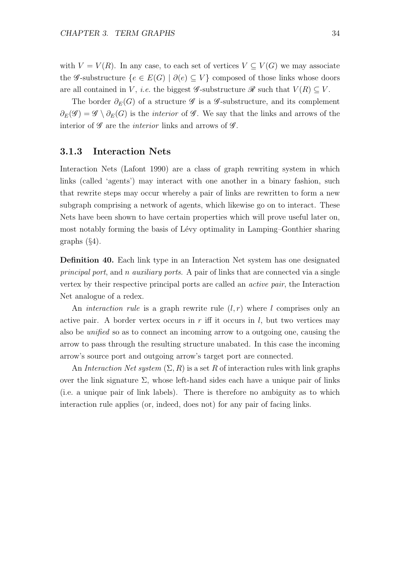with  $V = V(R)$ . In any case, to each set of vertices  $V \subseteq V(G)$  we may associate the G-substructure  $\{e \in E(G) \mid \partial(e) \subseteq V\}$  composed of those links whose doors are all contained in V, *i.e.* the biggest  $\mathscr{G}$ -substructure  $\mathscr{R}$  such that  $V(R) \subseteq V$ .

The border  $\partial_E(G)$  of a structure  $\mathscr G$  is a  $\mathscr G$ -substructure, and its complement  $\partial_E(\mathscr{G}) = \mathscr{G} \setminus \partial_E(G)$  is the *interior* of  $\mathscr{G}$ . We say that the links and arrows of the interior of  $\mathscr G$  are the *interior* links and arrows of  $\mathscr G$ .

## 3.1.3 Interaction Nets

Interaction Nets (Lafont 1990) are a class of graph rewriting system in which links (called 'agents') may interact with one another in a binary fashion, such that rewrite steps may occur whereby a pair of links are rewritten to form a new subgraph comprising a network of agents, which likewise go on to interact. These Nets have been shown to have certain properties which will prove useful later on, most notably forming the basis of Lévy optimality in Lamping–Gonthier sharing graphs (§4).

Definition 40. Each link type in an Interaction Net system has one designated principal port, and n auxiliary ports. A pair of links that are connected via a single vertex by their respective principal ports are called an active pair, the Interaction Net analogue of a redex.

An *interaction rule* is a graph rewrite rule  $(l, r)$  where l comprises only an active pair. A border vertex occurs in  $r$  iff it occurs in  $l$ , but two vertices may also be unified so as to connect an incoming arrow to a outgoing one, causing the arrow to pass through the resulting structure unabated. In this case the incoming arrow's source port and outgoing arrow's target port are connected.

An Interaction Net system  $(\Sigma, R)$  is a set R of interaction rules with link graphs over the link signature  $\Sigma$ , whose left-hand sides each have a unique pair of links (i.e. a unique pair of link labels). There is therefore no ambiguity as to which interaction rule applies (or, indeed, does not) for any pair of facing links.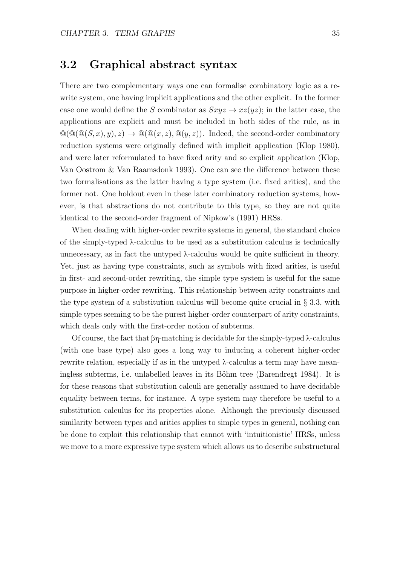## 3.2 Graphical abstract syntax

There are two complementary ways one can formalise combinatory logic as a rewrite system, one having implicit applications and the other explicit. In the former case one would define the S combinator as  $Sxyz \rightarrow xz(yz)$ ; in the latter case, the applications are explicit and must be included in both sides of the rule, as in  $\mathcal{Q}(\mathcal{Q}(\mathcal{Q}(S,x),y),z) \to \mathcal{Q}(\mathcal{Q}(x,z),\mathcal{Q}(y,z)).$  Indeed, the second-order combinatory reduction systems were originally defined with implicit application (Klop 1980), and were later reformulated to have fixed arity and so explicit application (Klop, Van Oostrom & Van Raamsdonk 1993). One can see the difference between these two formalisations as the latter having a type system (i.e. fixed arities), and the former not. One holdout even in these later combinatory reduction systems, however, is that abstractions do not contribute to this type, so they are not quite identical to the second-order fragment of Nipkow's (1991) HRSs.

When dealing with higher-order rewrite systems in general, the standard choice of the simply-typed λ-calculus to be used as a substitution calculus is technically unnecessary, as in fact the untyped λ-calculus would be quite sufficient in theory. Yet, just as having type constraints, such as symbols with fixed arities, is useful in first- and second-order rewriting, the simple type system is useful for the same purpose in higher-order rewriting. This relationship between arity constraints and the type system of a substitution calculus will become quite crucial in § 3.3, with simple types seeming to be the purest higher-order counterpart of arity constraints, which deals only with the first-order notion of subterms.

Of course, the fact that βη-matching is decidable for the simply-typed λ-calculus (with one base type) also goes a long way to inducing a coherent higher-order rewrite relation, especially if as in the untyped λ-calculus a term may have meaningless subterms, i.e. unlabelled leaves in its Böhm tree (Barendregt 1984). It is for these reasons that substitution calculi are generally assumed to have decidable equality between terms, for instance. A type system may therefore be useful to a substitution calculus for its properties alone. Although the previously discussed similarity between types and arities applies to simple types in general, nothing can be done to exploit this relationship that cannot with 'intuitionistic' HRSs, unless we move to a more expressive type system which allows us to describe substructural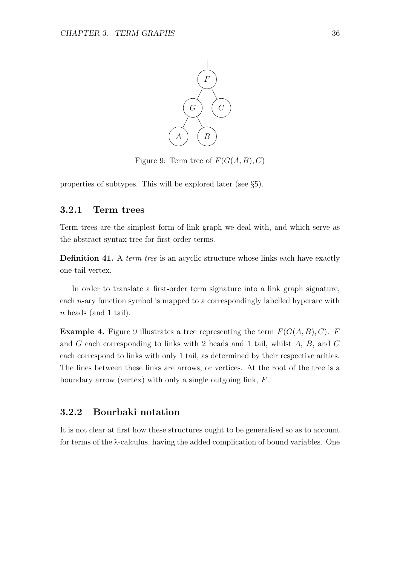

Figure 9: Term tree of  $F(G(A, B), C)$ 

properties of subtypes. This will be explored later (see §5).

## 3.2.1 Term trees

Term trees are the simplest form of link graph we deal with, and which serve as the abstract syntax tree for first-order terms.

Definition 41. A *term tree* is an acyclic structure whose links each have exactly one tail vertex.

In order to translate a first-order term signature into a link graph signature, each n-ary function symbol is mapped to a correspondingly labelled hyperarc with n heads (and 1 tail).

**Example 4.** Figure 9 illustrates a tree representing the term  $F(G(A, B), C)$ . F and G each corresponding to links with 2 heads and 1 tail, whilst A, B, and C each correspond to links with only 1 tail, as determined by their respective arities. The lines between these links are arrows, or vertices. At the root of the tree is a boundary arrow (vertex) with only a single outgoing link, F.

## 3.2.2 Bourbaki notation

It is not clear at first how these structures ought to be generalised so as to account for terms of the λ-calculus, having the added complication of bound variables. One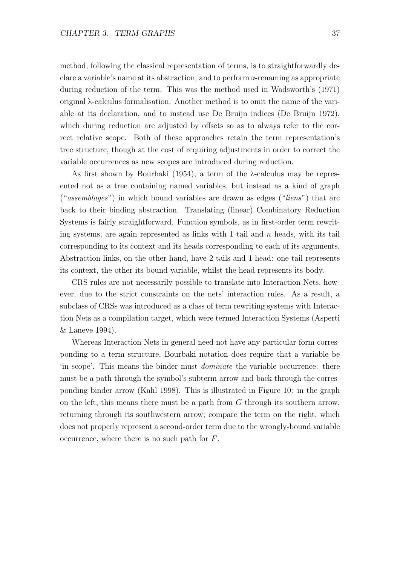method, following the classical representation of terms, is to straightforwardly declare a variable's name at its abstraction, and to perform  $\alpha$ -renaming as appropriate during reduction of the term. This was the method used in Wadsworth's (1971) original λ-calculus formalisation. Another method is to omit the name of the variable at its declaration, and to instead use De Bruijn indices (De Bruijn 1972), which during reduction are adjusted by offsets so as to always refer to the correct relative scope. Both of these approaches retain the term representation's tree structure, though at the cost of requiring adjustments in order to correct the variable occurrences as new scopes are introduced during reduction.

As first shown by Bourbaki (1954), a term of the λ-calculus may be represented not as a tree containing named variables, but instead as a kind of graph  $("assemblages")$  in which bound variables are drawn as edges  $("liens")$  that arc back to their binding abstraction. Translating (linear) Combinatory Reduction Systems is fairly straightforward. Function symbols, as in first-order term rewriting systems, are again represented as links with 1 tail and  $n$  heads, with its tail corresponding to its context and its heads corresponding to each of its arguments. Abstraction links, on the other hand, have 2 tails and 1 head: one tail represents its context, the other its bound variable, whilst the head represents its body.

CRS rules are not necessarily possible to translate into Interaction Nets, however, due to the strict constraints on the nets' interaction rules. As a result, a subclass of CRSs was introduced as a class of term rewriting systems with Interaction Nets as a compilation target, which were termed Interaction Systems (Asperti & Laneve 1994).

Whereas Interaction Nets in general need not have any particular form corresponding to a term structure, Bourbaki notation does require that a variable be 'in scope'. This means the binder must dominate the variable occurrence: there must be a path through the symbol's subterm arrow and back through the corresponding binder arrow (Kahl 1998). This is illustrated in Figure 10: in the graph on the left, this means there must be a path from  $G$  through its southern arrow, returning through its southwestern arrow; compare the term on the right, which does not properly represent a second-order term due to the wrongly-bound variable occurrence, where there is no such path for F.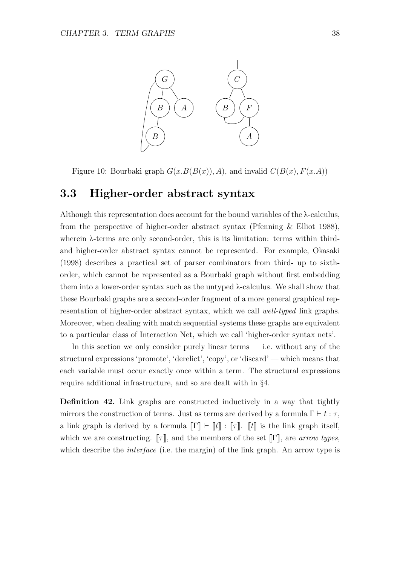

Figure 10: Bourbaki graph  $G(x.B(B(x)), A)$ , and invalid  $C(B(x), F(x, A))$ 

## 3.3 Higher-order abstract syntax

Although this representation does account for the bound variables of the λ-calculus, from the perspective of higher-order abstract syntax (Pfenning & Elliot 1988), wherein  $\lambda$ -terms are only second-order, this is its limitation: terms within thirdand higher-order abstract syntax cannot be represented. For example, Okasaki (1998) describes a practical set of parser combinators from third- up to sixthorder, which cannot be represented as a Bourbaki graph without first embedding them into a lower-order syntax such as the untyped  $\lambda$ -calculus. We shall show that these Bourbaki graphs are a second-order fragment of a more general graphical representation of higher-order abstract syntax, which we call well-typed link graphs. Moreover, when dealing with match sequential systems these graphs are equivalent to a particular class of Interaction Net, which we call 'higher-order syntax nets'.

In this section we only consider purely linear terms  $-$  i.e. without any of the structural expressions 'promote', 'derelict', 'copy', or 'discard' — which means that each variable must occur exactly once within a term. The structural expressions require additional infrastructure, and so are dealt with in §4.

Definition 42. Link graphs are constructed inductively in a way that tightly mirrors the construction of terms. Just as terms are derived by a formula  $\Gamma \vdash t : \tau$ , a link graph is derived by a formula  $\llbracket \Gamma \rrbracket \vdash \llbracket t \rrbracket : \llbracket \tau \rrbracket$ .  $\llbracket t \rrbracket$  is the link graph itself, which we are constructing.  $\llbracket \tau \rrbracket$ , and the members of the set  $\llbracket \Gamma \rrbracket$ , are arrow types, which describe the *interface* (i.e. the margin) of the link graph. An arrow type is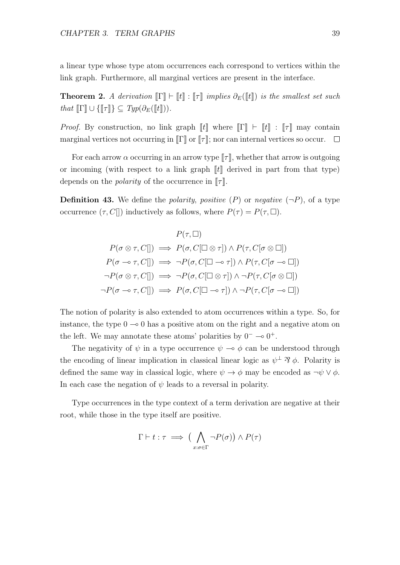a linear type whose type atom occurrences each correspond to vertices within the link graph. Furthermore, all marginal vertices are present in the interface.

**Theorem 2.** A derivation  $\llbracket \Gamma \rrbracket \vdash \llbracket t \rrbracket : \llbracket \tau \rrbracket$  implies  $\partial_E(\llbracket t \rrbracket)$  is the smallest set such that  $\llbracket \Gamma \rrbracket \cup \{\llbracket \tau \rrbracket\} \subseteq \mathit{Typ}(\partial_E(\llbracket t \rrbracket)).$ 

*Proof.* By construction, no link graph  $\llbracket t \rrbracket$  where  $\llbracket \Gamma \rrbracket \vdash \llbracket t \rrbracket : \llbracket \tau \rrbracket$  may contain marginal vertices not occurring in  $\llbracket \Gamma \rrbracket$  or  $\llbracket \tau \rrbracket$ ; nor can internal vertices so occur.  $\Box$ 

For each arrow  $\alpha$  occurring in an arrow type  $\llbracket \tau \rrbracket$ , whether that arrow is outgoing or incoming (with respect to a link graph  $\llbracket t \rrbracket$  derived in part from that type) depends on the *polarity* of the occurrence in  $\llbracket \tau \rrbracket$ .

**Definition 43.** We define the *polarity, positive*  $(P)$  or *negative*  $(\neg P)$ , of a type occurrence  $(\tau, C\|)$  inductively as follows, where  $P(\tau) = P(\tau, \Box)$ .

$$
P(\tau, \Box)
$$
  
\n
$$
P(\sigma \otimes \tau, C[]) \implies P(\sigma, C[\Box \otimes \tau]) \wedge P(\tau, C[\sigma \otimes \Box])
$$
  
\n
$$
P(\sigma \multimap \tau, C[]) \implies \neg P(\sigma, C[\Box \multimap \tau]) \wedge P(\tau, C[\sigma \multimap \Box])
$$
  
\n
$$
\neg P(\sigma \otimes \tau, C[]) \implies \neg P(\sigma, C[\Box \otimes \tau]) \wedge \neg P(\tau, C[\sigma \otimes \Box])
$$
  
\n
$$
\neg P(\sigma \multimap \tau, C[]) \implies P(\sigma, C[\Box \multimap \tau]) \wedge \neg P(\tau, C[\sigma \multimap \Box])
$$

The notion of polarity is also extended to atom occurrences within a type. So, for instance, the type  $0 \rightarrow 0$  has a positive atom on the right and a negative atom on the left. We may annotate these atoms' polarities by  $0^- \rightarrow 0^+$ .

The negativity of  $\psi$  in a type occurrence  $\psi \to \phi$  can be understood through the encoding of linear implication in classical linear logic as  $\psi^{\perp} \mathcal{B} \phi$ . Polarity is defined the same way in classical logic, where  $\psi \to \phi$  may be encoded as  $\neg \psi \lor \phi$ . In each case the negation of  $\psi$  leads to a reversal in polarity.

Type occurrences in the type context of a term derivation are negative at their root, while those in the type itself are positive.

$$
\Gamma \vdash t : \tau \implies \left( \bigwedge_{x : \sigma \in \Gamma} \neg P(\sigma) \right) \land P(\tau)
$$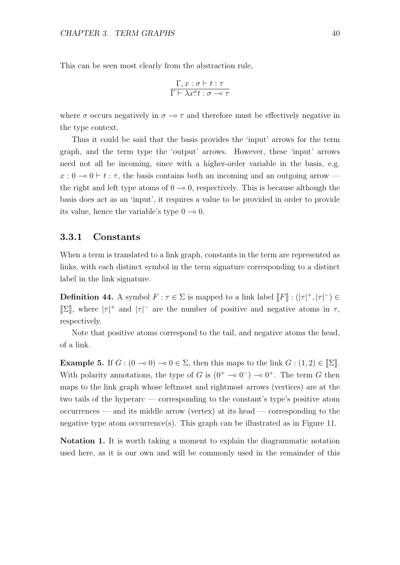This can be seen most clearly from the abstraction rule,

$$
\frac{\Gamma, x : \sigma \vdash t : \tau}{\Gamma \vdash \lambda x^{\sigma} t : \sigma \multimap \tau}
$$

where  $\sigma$  occurs negatively in  $\sigma \rightarrow \tau$  and therefore must be effectively negative in the type context.

Thus it could be said that the basis provides the 'input' arrows for the term graph, and the term type the 'output' arrows. However, these 'input' arrows need not all be incoming, since with a higher-order variable in the basis, e.g.  $x: 0 \to 0 \vdash t : \tau$ , the basis contains both an incoming and an outgoing arrow the right and left type atoms of  $0 \rightarrow 0$ , respectively. This is because although the basis does act as an 'input', it requires a value to be provided in order to provide its value, hence the variable's type  $0 \rightarrow 0$ .

### 3.3.1 Constants

When a term is translated to a link graph, constants in the term are represented as links, with each distinct symbol in the term signature corresponding to a distinct label in the link signature.

**Definition 44.** A symbol  $F : \tau \in \Sigma$  is mapped to a link label  $[F] : (|\tau|^+, |\tau|^-) \in$ [ $\Sigma$ ], where  $|\tau|^+$  and  $|\tau|^-\tau$  are the number of positive and negative atoms in  $\tau$ , respectively.

Note that positive atoms correspond to the tail, and negative atoms the head, of a link.

Example 5. If  $G : (0 \to 0) \to 0 \in \Sigma$ , then this maps to the link  $G : (1,2) \in \mathbb{Z}$ . With polarity annotations, the type of G is  $(0^+ \t - 0^-) \t - 0^+$ . The term G then maps to the link graph whose leftmost and rightmost arrows (vertices) are at the two tails of the hyperarc — corresponding to the constant's type's positive atom occurrences — and its middle arrow (vertex) at its head — corresponding to the negative type atom occurrence(s). This graph can be illustrated as in Figure 11.

Notation 1. It is worth taking a moment to explain the diagrammatic notation used here, as it is our own and will be commonly used in the remainder of this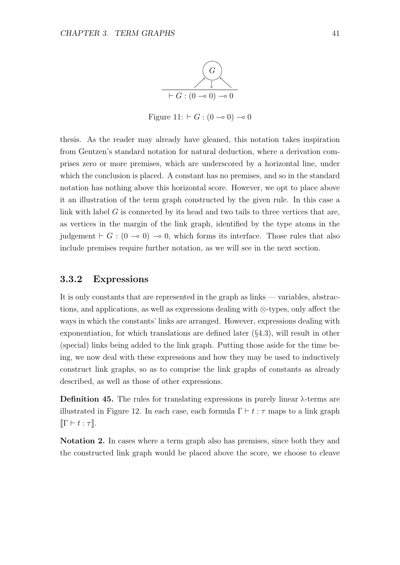

Figure 11:  $\vdash G$  : (0 ⊸ 0) ⊸ 0

thesis. As the reader may already have gleaned, this notation takes inspiration from Gentzen's standard notation for natural deduction, where a derivation comprises zero or more premises, which are underscored by a horizontal line, under which the conclusion is placed. A constant has no premises, and so in the standard notation has nothing above this horizontal score. However, we opt to place above it an illustration of the term graph constructed by the given rule. In this case a link with label  $G$  is connected by its head and two tails to three vertices that are, as vertices in the margin of the link graph, identified by the type atoms in the judgement  $\vdash G : (0 \multimap 0) \multimap 0$ , which forms its interface. Those rules that also include premises require further notation, as we will see in the next section.

### 3.3.2 Expressions

It is only constants that are represented in the graph as links — variables, abstractions, and applications, as well as expressions dealing with ⊗-types, only affect the ways in which the constants' links are arranged. However, expressions dealing with exponentiation, for which translations are defined later  $(§4.3)$ , will result in other (special) links being added to the link graph. Putting those aside for the time being, we now deal with these expressions and how they may be used to inductively construct link graphs, so as to comprise the link graphs of constants as already described, as well as those of other expressions.

**Definition 45.** The rules for translating expressions in purely linear  $\lambda$ -terms are illustrated in Figure 12. In each case, each formula  $\Gamma \vdash t : \tau$  maps to a link graph  $\llbracket \Gamma \vdash t : \tau \rrbracket.$ 

Notation 2. In cases where a term graph also has premises, since both they and the constructed link graph would be placed above the score, we choose to cleave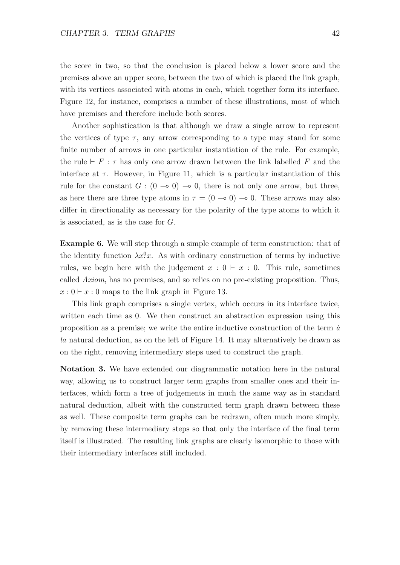the score in two, so that the conclusion is placed below a lower score and the premises above an upper score, between the two of which is placed the link graph, with its vertices associated with atoms in each, which together form its interface. Figure 12, for instance, comprises a number of these illustrations, most of which have premises and therefore include both scores.

Another sophistication is that although we draw a single arrow to represent the vertices of type  $\tau$ , any arrow corresponding to a type may stand for some finite number of arrows in one particular instantiation of the rule. For example, the rule  $\vdash$  F :  $\tau$  has only one arrow drawn between the link labelled F and the interface at  $\tau$ . However, in Figure 11, which is a particular instantiation of this rule for the constant  $G : (0 \to 0) \to 0$ , there is not only one arrow, but three, as here there are three type atoms in  $\tau = (0 \to 0) \to 0$ . These arrows may also differ in directionality as necessary for the polarity of the type atoms to which it is associated, as is the case for G.

Example 6. We will step through a simple example of term construction: that of the identity function  $\lambda x^0 \lambda x$ . As with ordinary construction of terms by inductive rules, we begin here with the judgement  $x : 0 \vdash x : 0$ . This rule, sometimes called Axiom, has no premises, and so relies on no pre-existing proposition. Thus,  $x: 0 \vdash x: 0$  maps to the link graph in Figure 13.

This link graph comprises a single vertex, which occurs in its interface twice, written each time as 0. We then construct an abstraction expression using this proposition as a premise; we write the entire inductive construction of the term  $\dot{a}$ la natural deduction, as on the left of Figure 14. It may alternatively be drawn as on the right, removing intermediary steps used to construct the graph.

Notation 3. We have extended our diagrammatic notation here in the natural way, allowing us to construct larger term graphs from smaller ones and their interfaces, which form a tree of judgements in much the same way as in standard natural deduction, albeit with the constructed term graph drawn between these as well. These composite term graphs can be redrawn, often much more simply, by removing these intermediary steps so that only the interface of the final term itself is illustrated. The resulting link graphs are clearly isomorphic to those with their intermediary interfaces still included.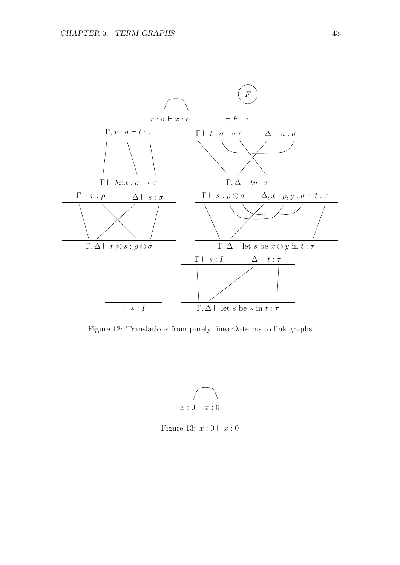

Figure 12: Translations from purely linear λ-terms to link graphs



Figure 13:  $x: 0 \vdash x: 0$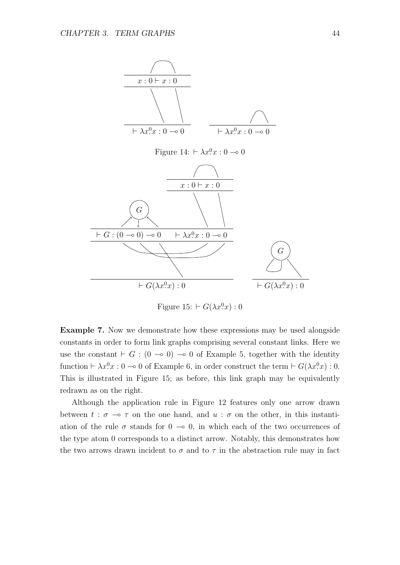

Figure 15:  $\vdash G(\lambda x^0 x):0$ 

Example 7. Now we demonstrate how these expressions may be used alongside constants in order to form link graphs comprising several constant links. Here we use the constant  $\vdash G : (0 \multimap 0) \multimap 0$  of Example 5, together with the identity function  $\vdash \lambda x.0x : 0 \multimap 0$  of Example 6, in order construct the term  $\vdash G(\lambda x.0x) : 0$ . This is illustrated in Figure 15; as before, this link graph may be equivalently redrawn as on the right.

Although the application rule in Figure 12 features only one arrow drawn between  $t : \sigma \to \tau$  on the one hand, and  $u : \sigma$  on the other, in this instantiation of the rule  $\sigma$  stands for  $0 \to 0$ , in which each of the two occurrences of the type atom 0 corresponds to a distinct arrow. Notably, this demonstrates how the two arrows drawn incident to  $\sigma$  and to  $\tau$  in the abstraction rule may in fact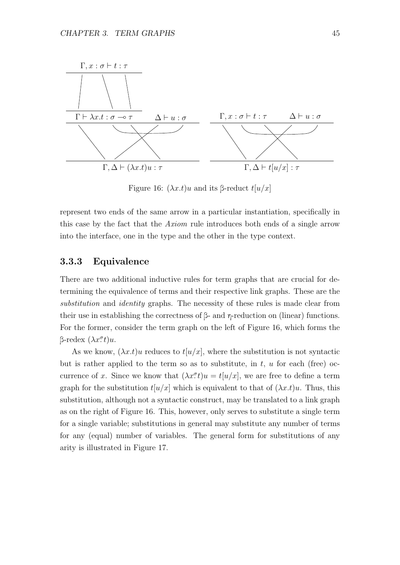

Figure 16:  $(\lambda x.t)u$  and its β-reduct  $t[u/x]$ 

represent two ends of the same arrow in a particular instantiation, specifically in this case by the fact that the Axiom rule introduces both ends of a single arrow into the interface, one in the type and the other in the type context.

## 3.3.3 Equivalence

There are two additional inductive rules for term graphs that are crucial for determining the equivalence of terms and their respective link graphs. These are the substitution and *identity* graphs. The necessity of these rules is made clear from their use in establishing the correctness of β- and  $η$ -reduction on (linear) functions. For the former, consider the term graph on the left of Figure 16, which forms the β-redex  $(λx^{\sigma}t)u$ .

As we know,  $(\lambda x.t)u$  reduces to  $t[u/x]$ , where the substitution is not syntactic but is rather applied to the term so as to substitute, in  $t$ ,  $u$  for each (free) occurrence of x. Since we know that  $(\lambda x^{\sigma} t)u = t[u/x]$ , we are free to define a term graph for the substitution  $t[u/x]$  which is equivalent to that of  $(\lambda x.t)u$ . Thus, this substitution, although not a syntactic construct, may be translated to a link graph as on the right of Figure 16. This, however, only serves to substitute a single term for a single variable; substitutions in general may substitute any number of terms for any (equal) number of variables. The general form for substitutions of any arity is illustrated in Figure 17.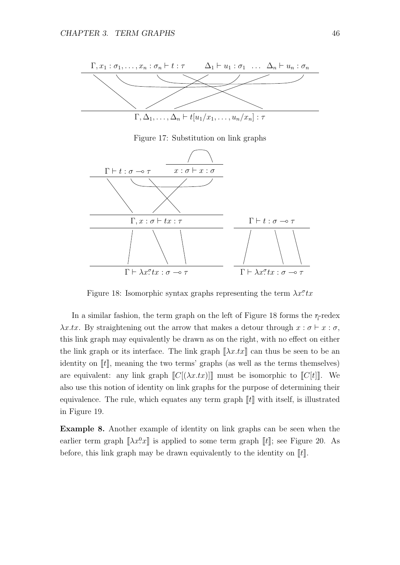

Figure 17: Substitution on link graphs



Figure 18: Isomorphic syntax graphs representing the term  $\lambda x^{\sigma}$ tx

In a similar fashion, the term graph on the left of Figure 18 forms the  $\eta$ -redex  $\lambda x.tx.$  By straightening out the arrow that makes a detour through  $x : \sigma \vdash x : \sigma$ , this link graph may equivalently be drawn as on the right, with no effect on either the link graph or its interface. The link graph  $\|\lambda x.tx\|$  can thus be seen to be an identity on  $\llbracket t \rrbracket$ , meaning the two terms' graphs (as well as the terms themselves) are equivalent: any link graph  $\llbracket C[(\lambda x.tx)] \rrbracket$  must be isomorphic to  $\llbracket C[t] \rrbracket$ . We also use this notion of identity on link graphs for the purpose of determining their equivalence. The rule, which equates any term graph  $\llbracket t \rrbracket$  with itself, is illustrated in Figure 19.

Example 8. Another example of identity on link graphs can be seen when the earlier term graph  $[\![\lambda x^0 \cdot x]\!]$  is applied to some term graph  $[\![t]\!]$ ; see Figure 20. As before, this link graph may be drawn equivalently to the identity on  $\llbracket t \rrbracket$ .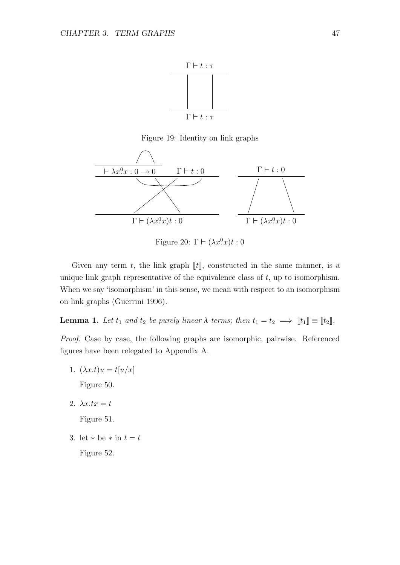

Figure 19: Identity on link graphs



Figure 20:  $\Gamma \vdash (\lambda x^0 \cdot x)t : 0$ 

Given any term t, the link graph  $[[t]]$ , constructed in the same manner, is a unique link graph representative of the equivalence class of  $t$ , up to isomorphism. When we say 'isomorphism' in this sense, we mean with respect to an isomorphism on link graphs (Guerrini 1996).

**Lemma 1.** Let  $t_1$  and  $t_2$  be purely linear  $\lambda$ -terms; then  $t_1 = t_2 \implies [t_1] \equiv [t_2]$ .

Proof. Case by case, the following graphs are isomorphic, pairwise. Referenced figures have been relegated to Appendix A.

1.  $(\lambda x.t)u = t[u/x]$ 

Figure 50.

2.  $\lambda x.tx = t$ 

Figure 51.

3. let  $*$  be  $*$  in  $t = t$ 

Figure 52.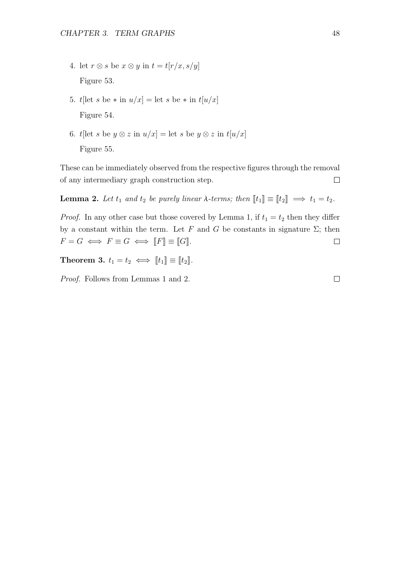- 4. let  $r \otimes s$  be  $x \otimes y$  in  $t = t[r/x, s/y]$ Figure 53.
- 5. t[let s be  $*$  in  $u/x$ ] = let s be  $*$  in  $t[u/x]$ Figure 54.
- 6. t[let s be  $y \otimes z$  in  $u/x$ ] = let s be  $y \otimes z$  in  $t[u/x]$ Figure 55.

These can be immediately observed from the respective figures through the removal of any intermediary graph construction step.  $\Box$ 

**Lemma 2.** Let  $t_1$  and  $t_2$  be purely linear  $\lambda$ -terms; then  $\llbracket t_1 \rrbracket \equiv \llbracket t_2 \rrbracket \implies t_1 = t_2$ .

*Proof.* In any other case but those covered by Lemma 1, if  $t_1 = t_2$  then they differ by a constant within the term. Let F and G be constants in signature  $\Sigma$ ; then  $F = G \iff F \equiv G \iff [F] \equiv [G].$  $\Box$ 

Theorem 3.  $t_1 = t_2 \iff [[t_1]] \equiv [[t_2]]$ .

Proof. Follows from Lemmas 1 and 2.

 $\Box$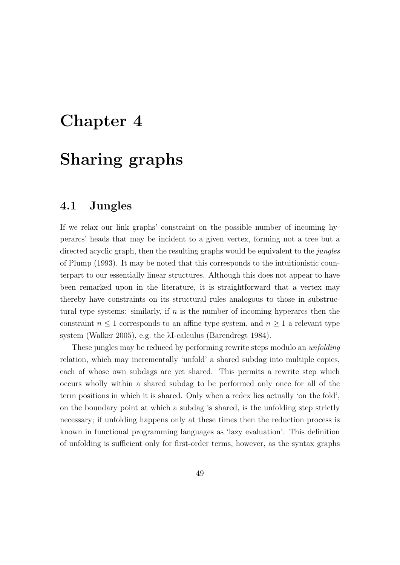# Chapter 4

# Sharing graphs

## 4.1 Jungles

If we relax our link graphs' constraint on the possible number of incoming hyperarcs' heads that may be incident to a given vertex, forming not a tree but a directed acyclic graph, then the resulting graphs would be equivalent to the *jungles* of Plump (1993). It may be noted that this corresponds to the intuitionistic counterpart to our essentially linear structures. Although this does not appear to have been remarked upon in the literature, it is straightforward that a vertex may thereby have constraints on its structural rules analogous to those in substructural type systems: similarly, if  $n$  is the number of incoming hyperarcs then the constraint  $n \leq 1$  corresponds to an affine type system, and  $n \geq 1$  a relevant type system (Walker 2005), e.g. the λI-calculus (Barendregt 1984).

These jungles may be reduced by performing rewrite steps modulo an *unfolding* relation, which may incrementally 'unfold' a shared subdag into multiple copies, each of whose own subdags are yet shared. This permits a rewrite step which occurs wholly within a shared subdag to be performed only once for all of the term positions in which it is shared. Only when a redex lies actually 'on the fold', on the boundary point at which a subdag is shared, is the unfolding step strictly necessary; if unfolding happens only at these times then the reduction process is known in functional programming languages as 'lazy evaluation'. This definition of unfolding is sufficient only for first-order terms, however, as the syntax graphs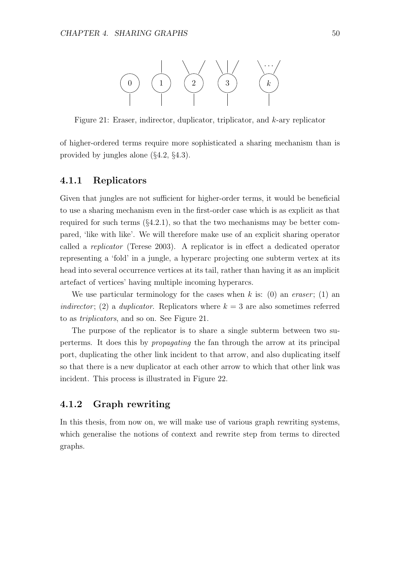

Figure 21: Eraser, indirector, duplicator, triplicator, and k-ary replicator

of higher-ordered terms require more sophisticated a sharing mechanism than is provided by jungles alone (§4.2, §4.3).

### 4.1.1 Replicators

Given that jungles are not sufficient for higher-order terms, it would be beneficial to use a sharing mechanism even in the first-order case which is as explicit as that required for such terms  $(\S4.2.1)$ , so that the two mechanisms may be better compared, 'like with like'. We will therefore make use of an explicit sharing operator called a replicator (Terese 2003). A replicator is in effect a dedicated operator representing a 'fold' in a jungle, a hyperarc projecting one subterm vertex at its head into several occurrence vertices at its tail, rather than having it as an implicit artefact of vertices' having multiple incoming hyperarcs.

We use particular terminology for the cases when k is: (0) an eraser; (1) an indirector; (2) a duplicator. Replicators where  $k = 3$  are also sometimes referred to as triplicators, and so on. See Figure 21.

The purpose of the replicator is to share a single subterm between two superterms. It does this by propagating the fan through the arrow at its principal port, duplicating the other link incident to that arrow, and also duplicating itself so that there is a new duplicator at each other arrow to which that other link was incident. This process is illustrated in Figure 22.

## 4.1.2 Graph rewriting

In this thesis, from now on, we will make use of various graph rewriting systems, which generalise the notions of context and rewrite step from terms to directed graphs.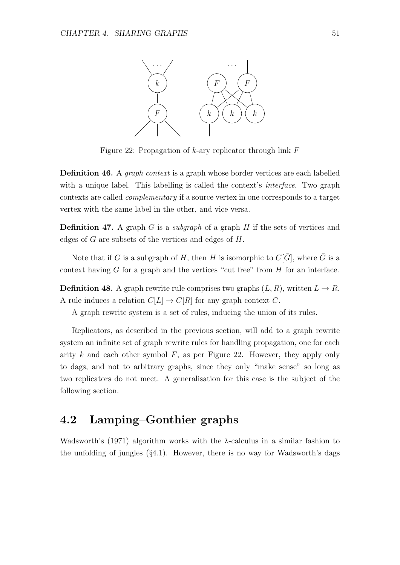

Figure 22: Propagation of  $k$ -ary replicator through link  $F$ 

**Definition 46.** A *graph context* is a graph whose border vertices are each labelled with a unique label. This labelling is called the context's *interface*. Two graph contexts are called complementary if a source vertex in one corresponds to a target vertex with the same label in the other, and vice versa.

**Definition 47.** A graph G is a *subgraph* of a graph H if the sets of vertices and edges of G are subsets of the vertices and edges of H.

Note that if G is a subgraph of H, then H is isomorphic to  $C[\bar{G}]$ , where  $\bar{G}$  is a context having  $G$  for a graph and the vertices "cut free" from  $H$  for an interface.

**Definition 48.** A graph rewrite rule comprises two graphs  $(L, R)$ , written  $L \to R$ . A rule induces a relation  $C[L] \to C[R]$  for any graph context C.

A graph rewrite system is a set of rules, inducing the union of its rules.

Replicators, as described in the previous section, will add to a graph rewrite system an infinite set of graph rewrite rules for handling propagation, one for each arity k and each other symbol  $F$ , as per Figure 22. However, they apply only to dags, and not to arbitrary graphs, since they only "make sense" so long as two replicators do not meet. A generalisation for this case is the subject of the following section.

## 4.2 Lamping–Gonthier graphs

Wadsworth's  $(1971)$  algorithm works with the  $\lambda$ -calculus in a similar fashion to the unfolding of jungles  $(\S 4.1)$ . However, there is no way for Wadsworth's dags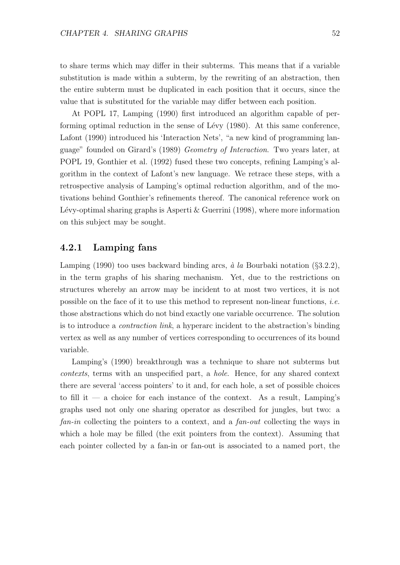to share terms which may differ in their subterms. This means that if a variable substitution is made within a subterm, by the rewriting of an abstraction, then the entire subterm must be duplicated in each position that it occurs, since the value that is substituted for the variable may differ between each position.

At POPL 17, Lamping (1990) first introduced an algorithm capable of performing optimal reduction in the sense of Lévy  $(1980)$ . At this same conference, Lafont (1990) introduced his 'Interaction Nets', "a new kind of programming language" founded on Girard's (1989) Geometry of Interaction. Two years later, at POPL 19, Gonthier et al. (1992) fused these two concepts, refining Lamping's algorithm in the context of Lafont's new language. We retrace these steps, with a retrospective analysis of Lamping's optimal reduction algorithm, and of the motivations behind Gonthier's refinements thereof. The canonical reference work on Lévy-optimal sharing graphs is Asperti  $\&$  Guerrini (1998), where more information on this subject may be sought.

## 4.2.1 Lamping fans

Lamping (1990) too uses backward binding arcs,  $\dot{a}$  la Bourbaki notation (§3.2.2), in the term graphs of his sharing mechanism. Yet, due to the restrictions on structures whereby an arrow may be incident to at most two vertices, it is not possible on the face of it to use this method to represent non-linear functions, *i.e.* those abstractions which do not bind exactly one variable occurrence. The solution is to introduce a contraction link, a hyperarc incident to the abstraction's binding vertex as well as any number of vertices corresponding to occurrences of its bound variable.

Lamping's (1990) breakthrough was a technique to share not subterms but contexts, terms with an unspecified part, a hole. Hence, for any shared context there are several 'access pointers' to it and, for each hole, a set of possible choices to fill it — a choice for each instance of the context. As a result, Lamping's graphs used not only one sharing operator as described for jungles, but two: a fan-in collecting the pointers to a context, and a fan-out collecting the ways in which a hole may be filled (the exit pointers from the context). Assuming that each pointer collected by a fan-in or fan-out is associated to a named port, the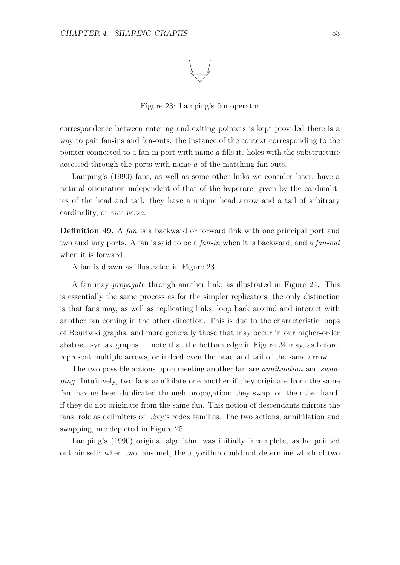

Figure 23: Lamping's fan operator

correspondence between entering and exiting pointers is kept provided there is a way to pair fan-ins and fan-outs: the instance of the context corresponding to the pointer connected to a fan-in port with name  $\alpha$  fills its holes with the substructure accessed through the ports with name a of the matching fan-outs.

Lamping's (1990) fans, as well as some other links we consider later, have a natural orientation independent of that of the hyperarc, given by the cardinalities of the head and tail: they have a unique head arrow and a tail of arbitrary cardinality, or vice versa.

**Definition 49.** A fan is a backward or forward link with one principal port and two auxiliary ports. A fan is said to be a *fan-in* when it is backward, and a *fan-out* when it is forward.

A fan is drawn as illustrated in Figure 23.

A fan may propagate through another link, as illustrated in Figure 24. This is essentially the same process as for the simpler replicators; the only distinction is that fans may, as well as replicating links, loop back around and interact with another fan coming in the other direction. This is due to the characteristic loops of Bourbaki graphs, and more generally those that may occur in our higher-order abstract syntax graphs — note that the bottom edge in Figure 24 may, as before, represent multiple arrows, or indeed even the head and tail of the same arrow.

The two possible actions upon meeting another fan are *annihilation* and *swap*ping. Intuitively, two fans annihilate one another if they originate from the same fan, having been duplicated through propagation; they swap, on the other hand, if they do not originate from the same fan. This notion of descendants mirrors the fans' role as delimiters of Lévy's redex families. The two actions, annihilation and swapping, are depicted in Figure 25.

Lamping's (1990) original algorithm was initially incomplete, as he pointed out himself: when two fans met, the algorithm could not determine which of two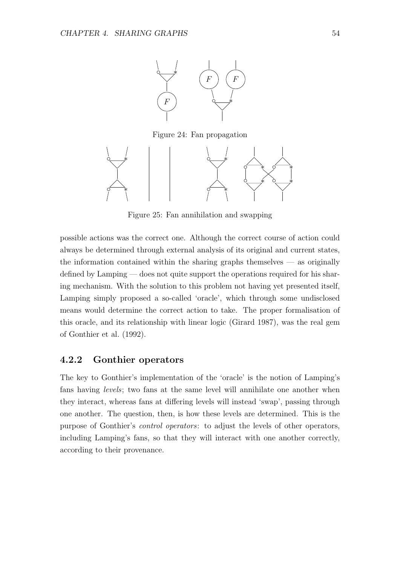

Figure 24: Fan propagation



Figure 25: Fan annihilation and swapping

possible actions was the correct one. Although the correct course of action could always be determined through external analysis of its original and current states, the information contained within the sharing graphs themselves  $-$  as originally defined by Lamping — does not quite support the operations required for his sharing mechanism. With the solution to this problem not having yet presented itself, Lamping simply proposed a so-called 'oracle', which through some undisclosed means would determine the correct action to take. The proper formalisation of this oracle, and its relationship with linear logic (Girard 1987), was the real gem of Gonthier et al. (1992).

## 4.2.2 Gonthier operators

The key to Gonthier's implementation of the 'oracle' is the notion of Lamping's fans having levels; two fans at the same level will annihilate one another when they interact, whereas fans at differing levels will instead 'swap', passing through one another. The question, then, is how these levels are determined. This is the purpose of Gonthier's control operators: to adjust the levels of other operators, including Lamping's fans, so that they will interact with one another correctly, according to their provenance.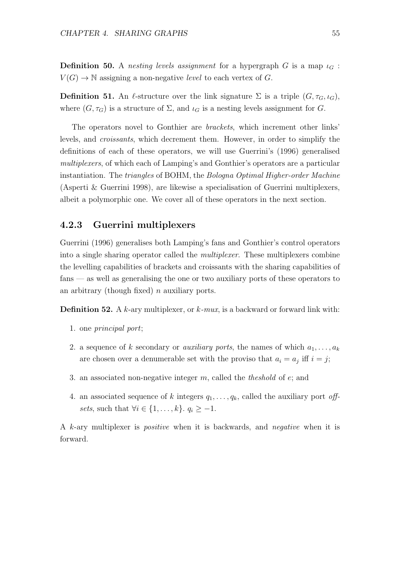**Definition 50.** A nesting levels assignment for a hypergraph G is a map  $\iota_G$ :  $V(G) \to \mathbb{N}$  assigning a non-negative level to each vertex of G.

**Definition 51.** An  $\ell$ -structure over the link signature  $\Sigma$  is a triple  $(G, \tau_G, \iota_G)$ , where  $(G, \tau_G)$  is a structure of  $\Sigma$ , and  $\iota_G$  is a nesting levels assignment for G.

The operators novel to Gonthier are brackets, which increment other links' levels, and croissants, which decrement them. However, in order to simplify the definitions of each of these operators, we will use Guerrini's (1996) generalised multiplexers, of which each of Lamping's and Gonthier's operators are a particular instantiation. The *triangles* of BOHM, the *Bologna Optimal Higher-order Machine* (Asperti & Guerrini 1998), are likewise a specialisation of Guerrini multiplexers, albeit a polymorphic one. We cover all of these operators in the next section.

## 4.2.3 Guerrini multiplexers

Guerrini (1996) generalises both Lamping's fans and Gonthier's control operators into a single sharing operator called the multiplexer. These multiplexers combine the levelling capabilities of brackets and croissants with the sharing capabilities of fans — as well as generalising the one or two auxiliary ports of these operators to an arbitrary (though fixed)  $n$  auxiliary ports.

**Definition 52.** A k-ary multiplexer, or  $k$ -mux, is a backward or forward link with:

- 1. one principal port;
- 2. a sequence of k secondary or *auxiliary ports*, the names of which  $a_1, \ldots, a_k$ are chosen over a denumerable set with the proviso that  $a_i = a_j$  iff  $i = j$ ;
- 3. an associated non-negative integer  $m$ , called the *theshold* of  $e$ ; and
- 4. an associated sequence of k integers  $q_1, \ldots, q_k$ , called the auxiliary port offsets, such that  $\forall i \in \{1, \ldots, k\}$ .  $q_i \geq -1$ .

A k-ary multiplexer is positive when it is backwards, and negative when it is forward.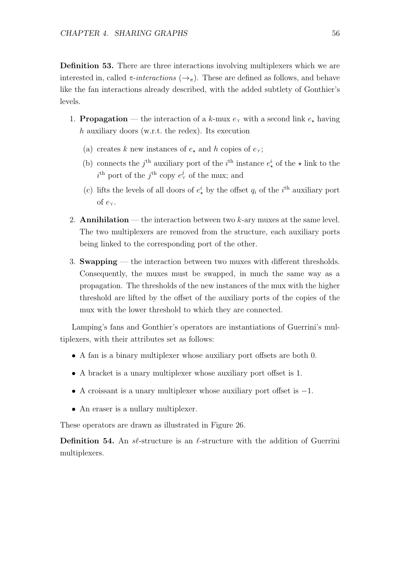Definition 53. There are three interactions involving multiplexers which we are interested in, called  $\pi\text{-}interactions (\rightarrow_{\pi})$ . These are defined as follows, and behave like the fan interactions already described, with the added subtlety of Gonthier's levels.

- 1. **Propagation** the interaction of a k-mux  $e<sub>\gamma</sub>$  with a second link  $e<sub>\star</sub>$  having h auxiliary doors (w.r.t. the redex). Its execution
	- (a) creates k new instances of  $e_{\star}$  and h copies of  $e_{\gamma}$ ;
	- (b) connects the j<sup>th</sup> auxiliary port of the i<sup>th</sup> instance  $e^i_{\star}$  of the  $\star$  link to the  $i^{\text{th}}$  port of the  $j^{\text{th}}$  copy  $e_{\Upsilon}^{j}$  of the mux; and
	- (c) lifts the levels of all doors of  $e^i_{\star}$  by the offset  $q_i$  of the i<sup>th</sup> auxiliary port of  $e_{\Upsilon}$ .
- 2. **Annihilation** the interaction between two  $k$ -ary muxes at the same level. The two multiplexers are removed from the structure, each auxiliary ports being linked to the corresponding port of the other.
- 3. Swapping the interaction between two muxes with different thresholds. Consequently, the muxes must be swapped, in much the same way as a propagation. The thresholds of the new instances of the mux with the higher threshold are lifted by the offset of the auxiliary ports of the copies of the mux with the lower threshold to which they are connected.

Lamping's fans and Gonthier's operators are instantiations of Guerrini's multiplexers, with their attributes set as follows:

- A fan is a binary multiplexer whose auxiliary port offsets are both 0.
- A bracket is a unary multiplexer whose auxiliary port offset is 1.
- A croissant is a unary multiplexer whose auxiliary port offset is −1.
- An eraser is a nullary multiplexer.

These operators are drawn as illustrated in Figure 26.

**Definition 54.** An  $s\ell$ -structure is an  $\ell$ -structure with the addition of Guerrini multiplexers.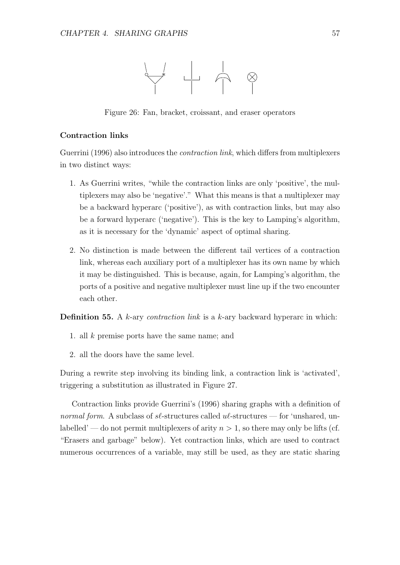

Figure 26: Fan, bracket, croissant, and eraser operators

#### Contraction links

Guerrini (1996) also introduces the contraction link, which differs from multiplexers in two distinct ways:

- 1. As Guerrini writes, "while the contraction links are only 'positive', the multiplexers may also be 'negative'." What this means is that a multiplexer may be a backward hyperarc ('positive'), as with contraction links, but may also be a forward hyperarc ('negative'). This is the key to Lamping's algorithm, as it is necessary for the 'dynamic' aspect of optimal sharing.
- 2. No distinction is made between the different tail vertices of a contraction link, whereas each auxiliary port of a multiplexer has its own name by which it may be distinguished. This is because, again, for Lamping's algorithm, the ports of a positive and negative multiplexer must line up if the two encounter each other.

**Definition 55.** A  $k$ -ary *contraction link* is a  $k$ -ary backward hyperarc in which:

- 1. all k premise ports have the same name; and
- 2. all the doors have the same level.

During a rewrite step involving its binding link, a contraction link is 'activated', triggering a substitution as illustrated in Figure 27.

Contraction links provide Guerrini's (1996) sharing graphs with a definition of normal form. A subclass of  $s\ell$ -structures called  $u\ell$ -structures — for 'unshared, unlabelled' — do not permit multiplexers of arity  $n > 1$ , so there may only be lifts (cf. "Erasers and garbage" below). Yet contraction links, which are used to contract numerous occurrences of a variable, may still be used, as they are static sharing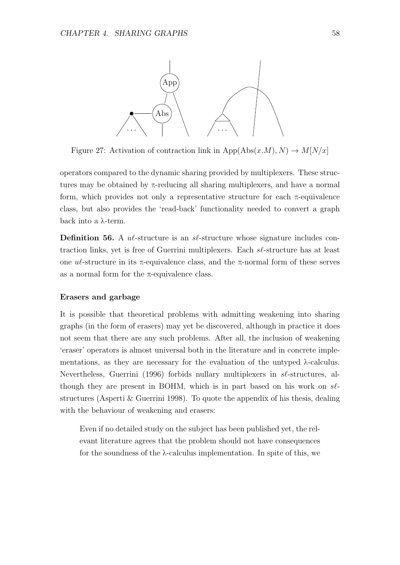

Figure 27: Activation of contraction link in App(Abs(x,M), N)  $\rightarrow$  M[N/x]

operators compared to the dynamic sharing provided by multiplexers. These structures may be obtained by  $\pi$ -reducing all sharing multiplexers, and have a normal form, which provides not only a representative structure for each  $\pi$ -equivalence class, but also provides the 'read-back' functionality needed to convert a graph back into a λ-term.

**Definition 56.** A  $\mathcal{U}$ -structure is an  $\mathcal{S}\ell$ -structure whose signature includes contraction links, yet is free of Guerrini multiplexers. Each sℓ-structure has at least one  $u\ell$ -structure in its π-equivalence class, and the π-normal form of these serves as a normal form for the π-equivalence class.

#### Erasers and garbage

It is possible that theoretical problems with admitting weakening into sharing graphs (in the form of erasers) may yet be discovered, although in practice it does not seem that there are any such problems. After all, the inclusion of weakening 'eraser' operators is almost universal both in the literature and in concrete implementations, as they are necessary for the evaluation of the untyped λ-calculus. Nevertheless, Guerrini (1996) forbids nullary multiplexers in sl-structures, although they are present in BOHM, which is in part based on his work on  $s\ell$ structures (Asperti & Guerrini 1998). To quote the appendix of his thesis, dealing with the behaviour of weakening and erasers:

Even if no detailed study on the subject has been published yet, the relevant literature agrees that the problem should not have consequences for the soundness of the  $\lambda$ -calculus implementation. In spite of this, we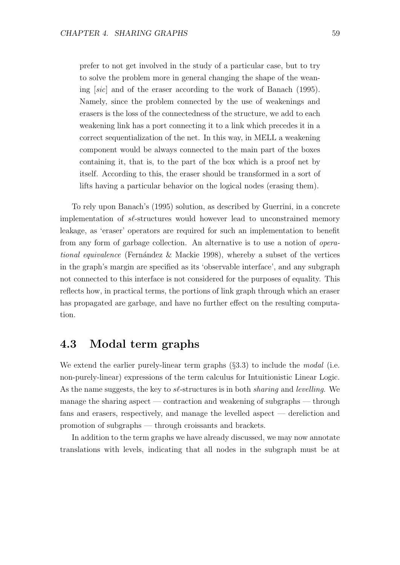prefer to not get involved in the study of a particular case, but to try to solve the problem more in general changing the shape of the weaning [sic] and of the eraser according to the work of Banach (1995). Namely, since the problem connected by the use of weakenings and erasers is the loss of the connectedness of the structure, we add to each weakening link has a port connecting it to a link which precedes it in a correct sequentialization of the net. In this way, in MELL a weakening component would be always connected to the main part of the boxes containing it, that is, to the part of the box which is a proof net by itself. According to this, the eraser should be transformed in a sort of lifts having a particular behavior on the logical nodes (erasing them).

To rely upon Banach's (1995) solution, as described by Guerrini, in a concrete implementation of  $s\ell$ -structures would however lead to unconstrained memory leakage, as 'eraser' operators are required for such an implementation to benefit from any form of garbage collection. An alternative is to use a notion of operational equivalence (Fernández & Mackie 1998), whereby a subset of the vertices in the graph's margin are specified as its 'observable interface', and any subgraph not connected to this interface is not considered for the purposes of equality. This reflects how, in practical terms, the portions of link graph through which an eraser has propagated are garbage, and have no further effect on the resulting computation.

## 4.3 Modal term graphs

We extend the earlier purely-linear term graphs  $(\S 3.3)$  to include the *modal* (i.e. non-purely-linear) expressions of the term calculus for Intuitionistic Linear Logic. As the name suggests, the key to  $s\ell$ -structures is in both *sharing* and *levelling*. We manage the sharing aspect — contraction and weakening of subgraphs — through fans and erasers, respectively, and manage the levelled aspect — dereliction and promotion of subgraphs — through croissants and brackets.

In addition to the term graphs we have already discussed, we may now annotate translations with levels, indicating that all nodes in the subgraph must be at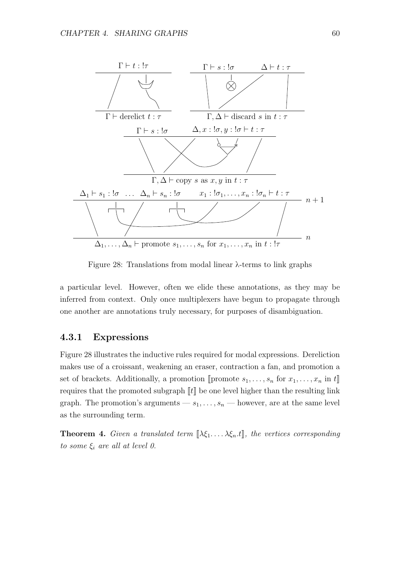

Figure 28: Translations from modal linear λ-terms to link graphs

a particular level. However, often we elide these annotations, as they may be inferred from context. Only once multiplexers have begun to propagate through one another are annotations truly necessary, for purposes of disambiguation.

## 4.3.1 Expressions

Figure 28 illustrates the inductive rules required for modal expressions. Dereliction makes use of a croissant, weakening an eraser, contraction a fan, and promotion a set of brackets. Additionally, a promotion  $[$ promote  $s_1, \ldots, s_n$  for  $x_1, \ldots, x_n$  in  $t\mathbb{R}$ requires that the promoted subgraph  $\llbracket t \rrbracket$  be one level higher than the resulting link graph. The promotion's arguments  $-s_1, \ldots, s_n$  — however, are at the same level as the surrounding term.

**Theorem 4.** Given a translated term  $[\![\lambda \xi_1 \ldots \lambda \xi_n \cdot t]\!]$ , the vertices corresponding to some  $\xi_i$  are all at level 0.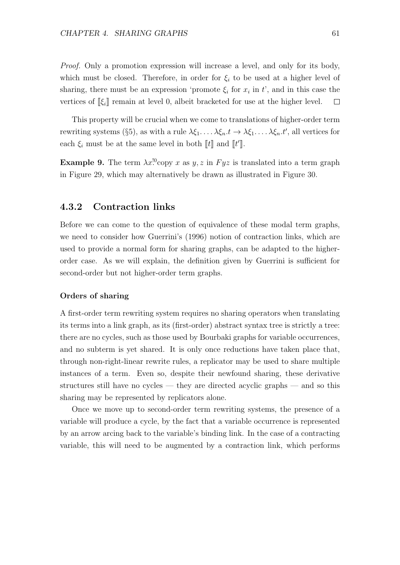Proof. Only a promotion expression will increase a level, and only for its body, which must be closed. Therefore, in order for  $\xi_i$  to be used at a higher level of sharing, there must be an expression 'promote  $\xi_i$  for  $x_i$  in  $t'$ , and in this case the vertices of  $\llbracket \xi_i \rrbracket$  remain at level 0, albeit bracketed for use at the higher level.  $\Box$ 

This property will be crucial when we come to translations of higher-order term rewriting systems (§5), as with a rule  $\lambda \xi_1, \ldots, \lambda \xi_n.t \to \lambda \xi_1, \ldots, \lambda \xi_n.t'$ , all vertices for each  $\xi_i$  must be at the same level in both  $\llbracket t \rrbracket$  and  $\llbracket t' \rrbracket$ .

**Example 9.** The term  $\lambda x$ <sup>[0</sup>copy x as y, z in Fyz is translated into a term graph in Figure 29, which may alternatively be drawn as illustrated in Figure 30.

### 4.3.2 Contraction links

Before we can come to the question of equivalence of these modal term graphs, we need to consider how Guerrini's (1996) notion of contraction links, which are used to provide a normal form for sharing graphs, can be adapted to the higherorder case. As we will explain, the definition given by Guerrini is sufficient for second-order but not higher-order term graphs.

#### Orders of sharing

A first-order term rewriting system requires no sharing operators when translating its terms into a link graph, as its (first-order) abstract syntax tree is strictly a tree: there are no cycles, such as those used by Bourbaki graphs for variable occurrences, and no subterm is yet shared. It is only once reductions have taken place that, through non-right-linear rewrite rules, a replicator may be used to share multiple instances of a term. Even so, despite their newfound sharing, these derivative structures still have no cycles — they are directed acyclic graphs — and so this sharing may be represented by replicators alone.

Once we move up to second-order term rewriting systems, the presence of a variable will produce a cycle, by the fact that a variable occurrence is represented by an arrow arcing back to the variable's binding link. In the case of a contracting variable, this will need to be augmented by a contraction link, which performs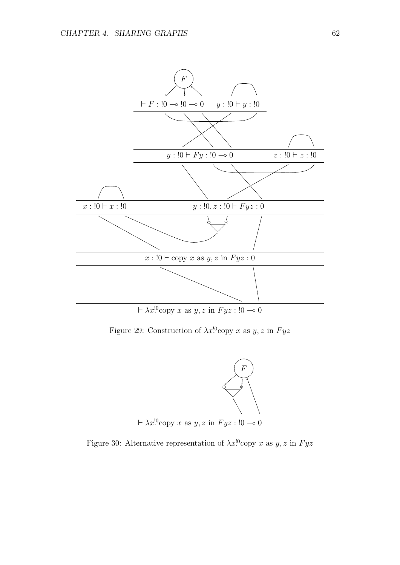

Figure 29: Construction of  $\lambda x$ <sup>10</sup>copy x as y, z in Fyz



Figure 30: Alternative representation of  $\lambda x$ <sup>[0</sup>copy x as y, z in Fyz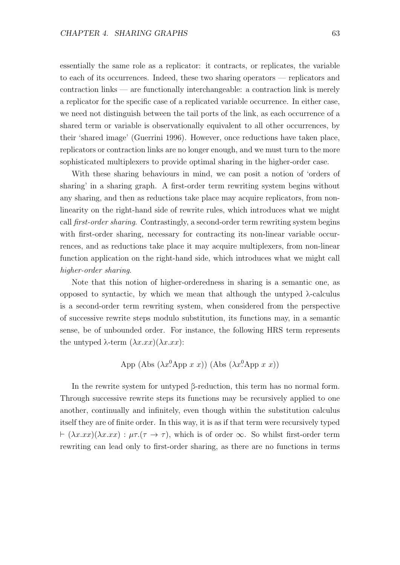essentially the same role as a replicator: it contracts, or replicates, the variable to each of its occurrences. Indeed, these two sharing operators — replicators and contraction links — are functionally interchangeable: a contraction link is merely a replicator for the specific case of a replicated variable occurrence. In either case, we need not distinguish between the tail ports of the link, as each occurrence of a shared term or variable is observationally equivalent to all other occurrences, by their 'shared image' (Guerrini 1996). However, once reductions have taken place, replicators or contraction links are no longer enough, and we must turn to the more sophisticated multiplexers to provide optimal sharing in the higher-order case.

With these sharing behaviours in mind, we can posit a notion of 'orders of sharing' in a sharing graph. A first-order term rewriting system begins without any sharing, and then as reductions take place may acquire replicators, from nonlinearity on the right-hand side of rewrite rules, which introduces what we might call first-order sharing. Contrastingly, a second-order term rewriting system begins with first-order sharing, necessary for contracting its non-linear variable occurrences, and as reductions take place it may acquire multiplexers, from non-linear function application on the right-hand side, which introduces what we might call higher-order sharing.

Note that this notion of higher-orderedness in sharing is a semantic one, as opposed to syntactic, by which we mean that although the untyped λ-calculus is a second-order term rewriting system, when considered from the perspective of successive rewrite steps modulo substitution, its functions may, in a semantic sense, be of unbounded order. For instance, the following HRS term represents the untyped  $\lambda$ -term  $(\lambda x.xx)(\lambda x.xx)$ :

App (Abs 
$$
(\lambda x^0 \text{App } x \ x))
$$
 (Abs  $(\lambda x^0 \text{App } x \ x))$ )

In the rewrite system for untyped β-reduction, this term has no normal form. Through successive rewrite steps its functions may be recursively applied to one another, continually and infinitely, even though within the substitution calculus itself they are of finite order. In this way, it is as if that term were recursively typed  $\vdash (\lambda x.xx)(\lambda x.xx) : \mu\tau.(\tau \to \tau)$ , which is of order  $\infty$ . So whilst first-order term rewriting can lead only to first-order sharing, as there are no functions in terms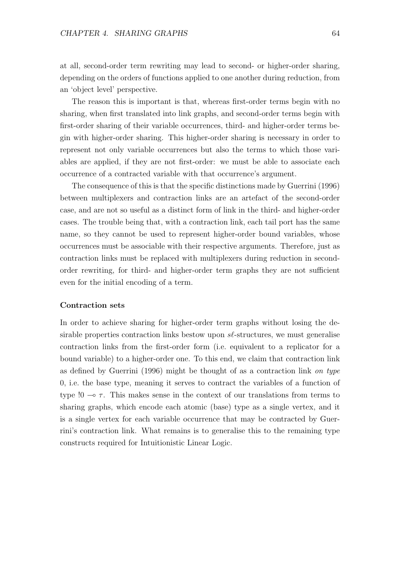at all, second-order term rewriting may lead to second- or higher-order sharing, depending on the orders of functions applied to one another during reduction, from an 'object level' perspective.

The reason this is important is that, whereas first-order terms begin with no sharing, when first translated into link graphs, and second-order terms begin with first-order sharing of their variable occurrences, third- and higher-order terms begin with higher-order sharing. This higher-order sharing is necessary in order to represent not only variable occurrences but also the terms to which those variables are applied, if they are not first-order: we must be able to associate each occurrence of a contracted variable with that occurrence's argument.

The consequence of this is that the specific distinctions made by Guerrini (1996) between multiplexers and contraction links are an artefact of the second-order case, and are not so useful as a distinct form of link in the third- and higher-order cases. The trouble being that, with a contraction link, each tail port has the same name, so they cannot be used to represent higher-order bound variables, whose occurrences must be associable with their respective arguments. Therefore, just as contraction links must be replaced with multiplexers during reduction in secondorder rewriting, for third- and higher-order term graphs they are not sufficient even for the initial encoding of a term.

#### Contraction sets

In order to achieve sharing for higher-order term graphs without losing the desirable properties contraction links bestow upon  $s\ell$ -structures, we must generalise contraction links from the first-order form (i.e. equivalent to a replicator for a bound variable) to a higher-order one. To this end, we claim that contraction link as defined by Guerrini (1996) might be thought of as a contraction link on type 0, i.e. the base type, meaning it serves to contract the variables of a function of type  $!0 \rightarrow \tau$ . This makes sense in the context of our translations from terms to sharing graphs, which encode each atomic (base) type as a single vertex, and it is a single vertex for each variable occurrence that may be contracted by Guerrini's contraction link. What remains is to generalise this to the remaining type constructs required for Intuitionistic Linear Logic.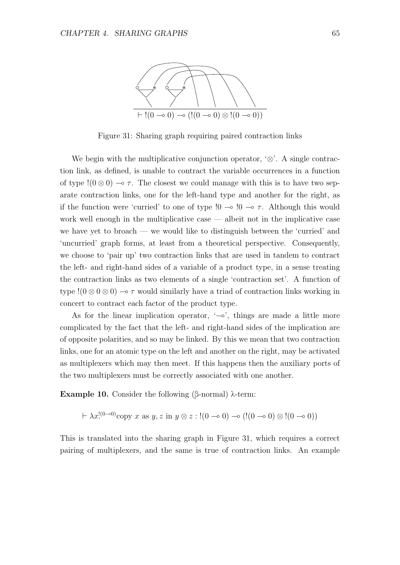

Figure 31: Sharing graph requiring paired contraction links

We begin with the multiplicative conjunction operator,  $\otimes$ . A single contraction link, as defined, is unable to contract the variable occurrences in a function of type  $!(0 \otimes 0) \rightarrow \tau$ . The closest we could manage with this is to have two separate contraction links, one for the left-hand type and another for the right, as if the function were 'curried' to one of type  $!0 \rightarrow 0 \rightarrow \tau$ . Although this would work well enough in the multiplicative case — albeit not in the implicative case we have yet to broach — we would like to distinguish between the 'curried' and 'uncurried' graph forms, at least from a theoretical perspective. Consequently, we choose to 'pair up' two contraction links that are used in tandem to contract the left- and right-hand sides of a variable of a product type, in a sense treating the contraction links as two elements of a single 'contraction set'. A function of type  $!(0 \otimes 0 \otimes 0) \rightarrow \tau$  would similarly have a triad of contraction links working in concert to contract each factor of the product type.

As for the linear implication operator, '⊸', things are made a little more complicated by the fact that the left- and right-hand sides of the implication are of opposite polarities, and so may be linked. By this we mean that two contraction links, one for an atomic type on the left and another on the right, may be activated as multiplexers which may then meet. If this happens then the auxiliary ports of the two multiplexers must be correctly associated with one another.

Example 10. Consider the following (β-normal) λ-term:

$$
\vdash \lambda x!^{(0 \to 0)} \text{copy } x \text{ as } y, z \text{ in } y \otimes z : !(0 \to 0) \to (!(0 \to 0) \otimes !(0 \to 0))
$$

This is translated into the sharing graph in Figure 31, which requires a correct pairing of multiplexers, and the same is true of contraction links. An example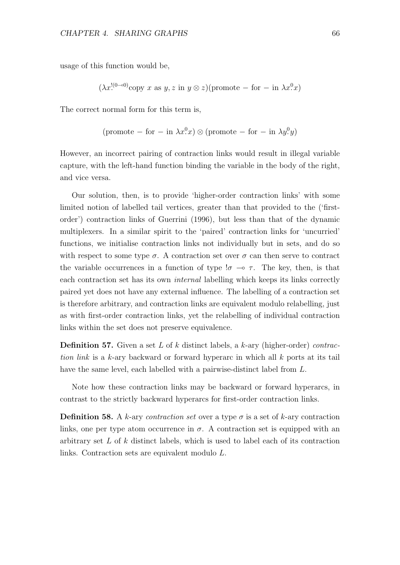usage of this function would be,

$$
(\lambda x^{!(0\rightarrow 0)}\text{copy } x \text{ as } y, z \text{ in } y \otimes z)(\text{promote } - \text{ for } - \text{ in } \lambda x^{0}x)
$$

The correct normal form for this term is,

$$
(\text{promote} - \text{ for} - \text{ in } \lambda x^0 x) \otimes (\text{promote} - \text{ for} - \text{ in } \lambda y^0 y)
$$

However, an incorrect pairing of contraction links would result in illegal variable capture, with the left-hand function binding the variable in the body of the right, and vice versa.

Our solution, then, is to provide 'higher-order contraction links' with some limited notion of labelled tail vertices, greater than that provided to the ('firstorder') contraction links of Guerrini (1996), but less than that of the dynamic multiplexers. In a similar spirit to the 'paired' contraction links for 'uncurried' functions, we initialise contraction links not individually but in sets, and do so with respect to some type  $\sigma$ . A contraction set over  $\sigma$  can then serve to contract the variable occurrences in a function of type  $\sigma \to \tau$ . The key, then, is that each contraction set has its own internal labelling which keeps its links correctly paired yet does not have any external influence. The labelling of a contraction set is therefore arbitrary, and contraction links are equivalent modulo relabelling, just as with first-order contraction links, yet the relabelling of individual contraction links within the set does not preserve equivalence.

**Definition 57.** Given a set L of k distinct labels, a k-ary (higher-order) contraction link is a k-ary backward or forward hyperarc in which all  $k$  ports at its tail have the same level, each labelled with a pairwise-distinct label from L.

Note how these contraction links may be backward or forward hyperarcs, in contrast to the strictly backward hyperarcs for first-order contraction links.

**Definition 58.** A k-ary contraction set over a type  $\sigma$  is a set of k-ary contraction links, one per type atom occurrence in  $\sigma$ . A contraction set is equipped with an arbitrary set L of k distinct labels, which is used to label each of its contraction links. Contraction sets are equivalent modulo L.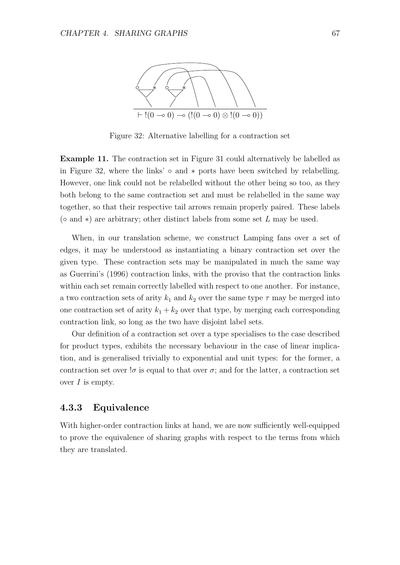

Figure 32: Alternative labelling for a contraction set

Example 11. The contraction set in Figure 31 could alternatively be labelled as in Figure 32, where the links'  $\circ$  and  $*$  ports have been switched by relabelling. However, one link could not be relabelled without the other being so too, as they both belong to the same contraction set and must be relabelled in the same way together, so that their respective tail arrows remain properly paired. These labels ( $\circ$  and  $\ast$ ) are arbitrary; other distinct labels from some set L may be used.

When, in our translation scheme, we construct Lamping fans over a set of edges, it may be understood as instantiating a binary contraction set over the given type. These contraction sets may be manipulated in much the same way as Guerrini's (1996) contraction links, with the proviso that the contraction links within each set remain correctly labelled with respect to one another. For instance, a two contraction sets of arity  $k_1$  and  $k_2$  over the same type  $\tau$  may be merged into one contraction set of arity  $k_1 + k_2$  over that type, by merging each corresponding contraction link, so long as the two have disjoint label sets.

Our definition of a contraction set over a type specialises to the case described for product types, exhibits the necessary behaviour in the case of linear implication, and is generalised trivially to exponential and unit types: for the former, a contraction set over  $\sigma$  is equal to that over  $\sigma$ ; and for the latter, a contraction set over  $I$  is empty.

#### 4.3.3 Equivalence

With higher-order contraction links at hand, we are now sufficiently well-equipped to prove the equivalence of sharing graphs with respect to the terms from which they are translated.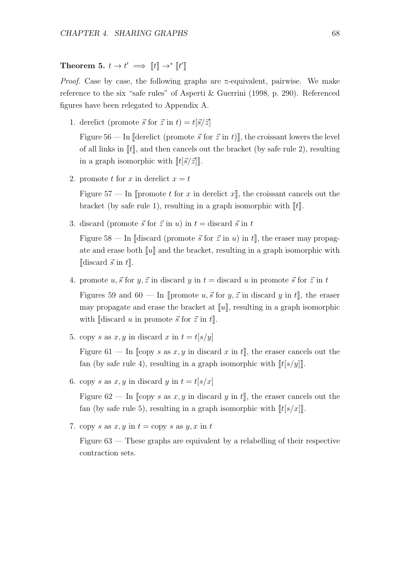Theorem 5.  $t \to t' \implies [t] \to^* [t']$ 

*Proof.* Case by case, the following graphs are  $\pi$ -equivalent, pairwise. We make reference to the six "safe rules" of Asperti & Guerrini (1998, p. 290). Referenced figures have been relegated to Appendix A.

1. derelict (promote  $\vec{s}$  for  $\vec{z}$  in  $t$ ) =  $t[\vec{s}/\vec{z}]$ 

Figure 56 — In [derelict (promote  $\vec{s}$  for  $\vec{z}$  in t)], the croissant lowers the level of all links in  $\lVert t \rVert$ , and then cancels out the bracket (by safe rule 2), resulting in a graph isomorphic with  $\llbracket t[\vec{s}/\vec{z}]\rrbracket$ .

2. promote t for x in derelict  $x = t$ 

Figure 57 — In  $\llbracket$  promote t for x in derelict x $\llbracket$ , the croissant cancels out the bracket (by safe rule 1), resulting in a graph isomorphic with  $\llbracket t \rrbracket$ .

3. discard (promote  $\vec{s}$  for  $\vec{z}$  in u) in  $t =$  discard  $\vec{s}$  in t

Figure 58 — In [discard (promote  $\vec{s}$  for  $\vec{z}$  in u) in t], the eraser may propagate and erase both  $\llbracket u \rrbracket$  and the bracket, resulting in a graph isomorphic with  $\llbracket \text{discard } \vec{s} \text{ in } t \rrbracket.$ 

- 4. promote u,  $\vec{s}$  for y,  $\vec{z}$  in discard y in  $t =$  discard u in promote  $\vec{s}$  for  $\vec{z}$  in t Figures 59 and 60 — In [promote u,  $\vec{s}$  for  $y, \vec{z}$  in discard y in t], the eraser may propagate and erase the bracket at  $\llbracket u \rrbracket$ , resulting in a graph isomorphic with  $\lbrack \lbrack \text{discard } u \text{ in promote } \vec{s} \text{ for } \vec{z} \text{ in } t \rbrack.$
- 5. copy s as  $x, y$  in discard x in  $t = t[s/y]$

Figure 61 — In  $\llbracket \text{copy } s \text{ as } x, y \text{ in discard } x \text{ in } t \rrbracket$ , the eraser cancels out the fan (by safe rule 4), resulting in a graph isomorphic with  $\llbracket t[s/y] \rrbracket$ .

6. copy s as  $x, y$  in discard y in  $t = t[s/x]$ 

Figure 62 — In  $\llbracket \text{copy } s \text{ as } x, y \text{ in discard } y \text{ in } t \rrbracket$ , the eraser cancels out the fan (by safe rule 5), resulting in a graph isomorphic with  $\llbracket t[s/x] \rrbracket$ .

7. copy s as  $x, y$  in  $t =$ copy s as  $y, x$  in  $t$ 

Figure 63 — These graphs are equivalent by a relabelling of their respective contraction sets.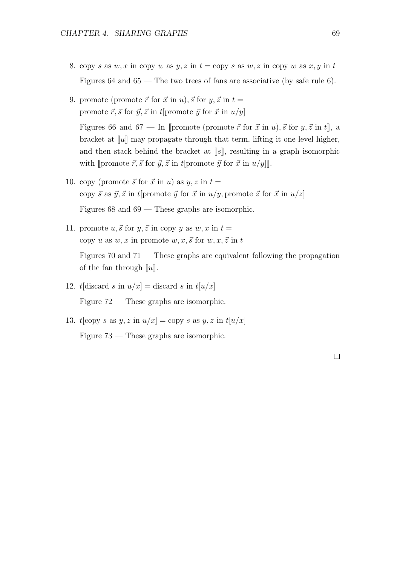- 8. copy s as w, x in copy w as y, z in  $t =$ copy s as w, z in copy w as x, y in t Figures 64 and 65 — The two trees of fans are associative (by safe rule 6).
- 9. promote (promote  $\vec{r}$  for  $\vec{x}$  in  $u$ ),  $\vec{s}$  for  $y, \vec{z}$  in  $t =$ promote  $\vec{r}, \vec{s}$  for  $\vec{y}, \vec{z}$  in t[promote  $\vec{y}$  for  $\vec{x}$  in  $u/y$ ]

Figures 66 and 67 — In [promote (promote  $\vec{r}$  for  $\vec{x}$  in  $u$ ),  $\vec{s}$  for  $y, \vec{z}$  in  $t$ ], a bracket at  $\llbracket u \rrbracket$  may propagate through that term, lifting it one level higher, and then stack behind the bracket at  $\llbracket s \rrbracket$ , resulting in a graph isomorphic with [promote  $\vec{r}, \vec{s}$  for  $\vec{y}, \vec{z}$  in t[promote  $\vec{y}$  for  $\vec{x}$  in  $u/y$ ]].

- 10. copy (promote  $\vec{s}$  for  $\vec{x}$  in u) as  $y, z$  in  $t =$ copy  $\vec{s}$  as  $\vec{y}, \vec{z}$  in t[promote  $\vec{y}$  for  $\vec{x}$  in  $u/y$ , promote  $\vec{z}$  for  $\vec{x}$  in  $u/z$ ] Figures 68 and 69 — These graphs are isomorphic.
- 11. promote  $u, \vec{s}$  for  $y, \vec{z}$  in copy y as  $w, x$  in  $t =$ copy u as w, x in promote w, x,  $\vec{s}$  for w, x,  $\vec{z}$  in t

Figures 70 and  $71$  — These graphs are equivalent following the propagation of the fan through  $\llbracket u \rrbracket$ .

- 12. t[discard s in  $u/x$ ] = discard s in  $t[u/x]$ Figure 72 — These graphs are isomorphic.
- 13.  $t[copy s as y, z in u/x] = copy s as y, z in t[u/x]$ Figure 73 — These graphs are isomorphic.

 $\Box$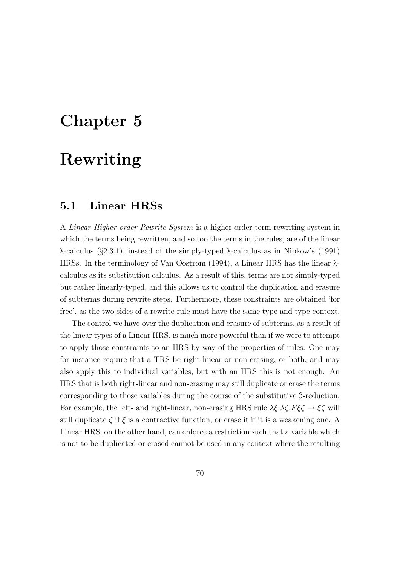# Chapter 5

# Rewriting

## 5.1 Linear HRSs

A Linear Higher-order Rewrite System is a higher-order term rewriting system in which the terms being rewritten, and so too the terms in the rules, are of the linear λ-calculus (§2.3.1), instead of the simply-typed λ-calculus as in Nipkow's (1991) HRSs. In the terminology of Van Oostrom (1994), a Linear HRS has the linear λcalculus as its substitution calculus. As a result of this, terms are not simply-typed but rather linearly-typed, and this allows us to control the duplication and erasure of subterms during rewrite steps. Furthermore, these constraints are obtained 'for free', as the two sides of a rewrite rule must have the same type and type context.

The control we have over the duplication and erasure of subterms, as a result of the linear types of a Linear HRS, is much more powerful than if we were to attempt to apply those constraints to an HRS by way of the properties of rules. One may for instance require that a TRS be right-linear or non-erasing, or both, and may also apply this to individual variables, but with an HRS this is not enough. An HRS that is both right-linear and non-erasing may still duplicate or erase the terms corresponding to those variables during the course of the substitutive β-reduction. For example, the left- and right-linear, non-erasing HRS rule  $\lambda \xi \cdot \lambda \zeta \cdot F \xi \zeta \rightarrow \xi \zeta$  will still duplicate  $\zeta$  if  $\xi$  is a contractive function, or erase it if it is a weakening one. A Linear HRS, on the other hand, can enforce a restriction such that a variable which is not to be duplicated or erased cannot be used in any context where the resulting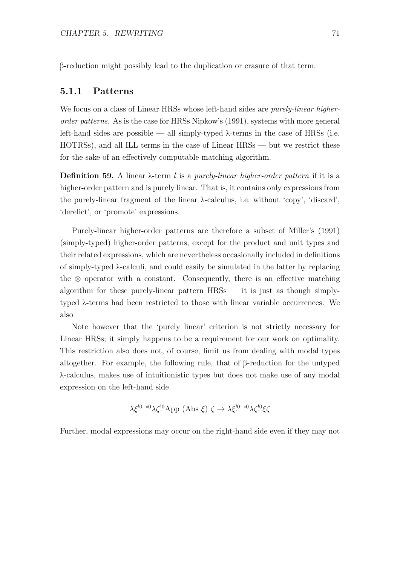β-reduction might possibly lead to the duplication or erasure of that term.

#### 5.1.1 Patterns

We focus on a class of Linear HRSs whose left-hand sides are *purely-linear higher*order patterns. As is the case for HRSs Nipkow's (1991), systems with more general left-hand sides are possible — all simply-typed λ-terms in the case of HRSs (i.e. HOTRSs), and all ILL terms in the case of Linear HRSs — but we restrict these for the sake of an effectively computable matching algorithm.

**Definition 59.** A linear  $\lambda$ -term l is a purely-linear higher-order pattern if it is a higher-order pattern and is purely linear. That is, it contains only expressions from the purely-linear fragment of the linear  $\lambda$ -calculus, i.e. without 'copy', 'discard', 'derelict', or 'promote' expressions.

Purely-linear higher-order patterns are therefore a subset of Miller's (1991) (simply-typed) higher-order patterns, except for the product and unit types and their related expressions, which are nevertheless occasionally included in definitions of simply-typed  $\lambda$ -calculi, and could easily be simulated in the latter by replacing the  $\otimes$  operator with a constant. Consequently, there is an effective matching algorithm for these purely-linear pattern  $HRSs$  — it is just as though simplytyped λ-terms had been restricted to those with linear variable occurrences. We also

Note however that the 'purely linear' criterion is not strictly necessary for Linear HRSs; it simply happens to be a requirement for our work on optimality. This restriction also does not, of course, limit us from dealing with modal types altogether. For example, the following rule, that of β-reduction for the untyped λ-calculus, makes use of intuitionistic types but does not make use of any modal expression on the left-hand side.

$$
\lambda \xi^{!0\rightarrow 0} \lambda \zeta^{!0} \text{App (Abs } \xi) \zeta \to \lambda \xi^{!0\rightarrow 0} \lambda \zeta^{!0} \xi \zeta
$$

Further, modal expressions may occur on the right-hand side even if they may not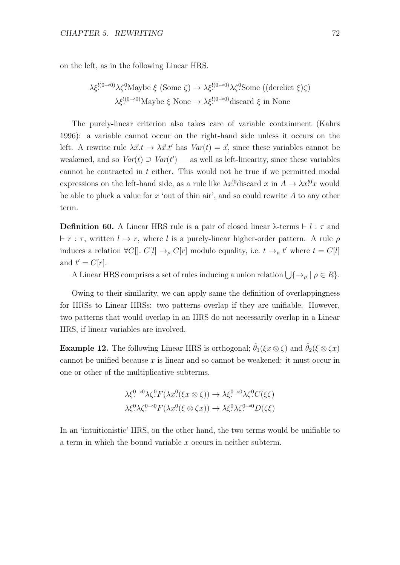on the left, as in the following Linear HRS.

$$
\lambda \xi^{!(0\rightarrow 0)} \lambda \zeta^0 \text{Maybe } \xi \text{ (Some } \zeta) \rightarrow \lambda \xi^{!(0\rightarrow 0)} \lambda \zeta^0 \text{Some } ((\text{derelict } \xi) \zeta)
$$

$$
\lambda \xi^{!(0\rightarrow 0)} \text{Maybe } \xi \text{ None } \rightarrow \lambda \xi^{!(0\rightarrow 0)} \text{discard } \xi \text{ in None}
$$

The purely-linear criterion also takes care of variable containment (Kahrs 1996): a variable cannot occur on the right-hand side unless it occurs on the left. A rewrite rule  $\lambda \vec{x}.t \rightarrow \lambda \vec{x}.t'$  has  $Var(t) = \vec{x}$ , since these variables cannot be weakened, and so  $Var(t) \supseteq Var(t')$  — as well as left-linearity, since these variables cannot be contracted in t either. This would not be true if we permitted modal expressions on the left-hand side, as a rule like  $\lambda x$ <sup>[0</sup>discard x in  $A \to \lambda x$ <sup>[0</sup>x would be able to pluck a value for  $x$  'out of thin air', and so could rewrite  $A$  to any other term.

**Definition 60.** A Linear HRS rule is a pair of closed linear  $\lambda$ -terms  $\vdash$  l :  $\tau$  and  $\vdash r : \tau$ , written  $l \to r$ , where l is a purely-linear higher-order pattern. A rule  $\rho$ induces a relation  $\forall C[] \cdot C[l] \rightarrow_{\rho} C[r]$  modulo equality, i.e.  $t \rightarrow_{\rho} t'$  where  $t = C[l]$ and  $t' = C[r]$ .

A Linear HRS comprises a set of rules inducing a union relation  $\bigcup \{\rightarrow_\rho | \rho \in R\}.$ 

Owing to their similarity, we can apply same the definition of overlappingness for HRSs to Linear HRSs: two patterns overlap if they are unifiable. However, two patterns that would overlap in an HRS do not necessarily overlap in a Linear HRS, if linear variables are involved.

**Example 12.** The following Linear HRS is orthogonal;  $\hat{\theta}_1(\xi x \otimes \zeta)$  and  $\hat{\theta}_2(\xi \otimes \zeta x)$ cannot be unified because  $x$  is linear and so cannot be weakened: it must occur in one or other of the multiplicative subterms.

$$
\lambda \xi^{0\to 0} \lambda \zeta^0 F(\lambda x^0 (\xi x \otimes \zeta)) \to \lambda \xi^{0\to 0} \lambda \zeta^0 C(\xi \zeta)
$$
  

$$
\lambda \xi^0 \lambda \zeta^{0\to 0} F(\lambda x^0 (\xi \otimes \zeta x)) \to \lambda \xi^0 \lambda \zeta^{0\to 0} D(\zeta \xi)
$$

In an 'intuitionistic' HRS, on the other hand, the two terms would be unifiable to a term in which the bound variable x occurs in neither subterm.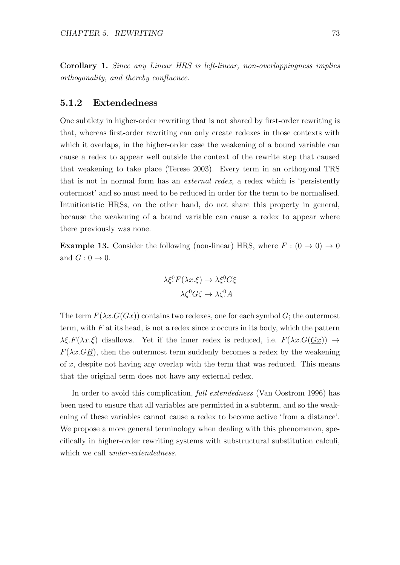Corollary 1. Since any Linear HRS is left-linear, non-overlappingness implies orthogonality, and thereby confluence.

#### 5.1.2 Extendedness

One subtlety in higher-order rewriting that is not shared by first-order rewriting is that, whereas first-order rewriting can only create redexes in those contexts with which it overlaps, in the higher-order case the weakening of a bound variable can cause a redex to appear well outside the context of the rewrite step that caused that weakening to take place (Terese 2003). Every term in an orthogonal TRS that is not in normal form has an external redex, a redex which is 'persistently outermost' and so must need to be reduced in order for the term to be normalised. Intuitionistic HRSs, on the other hand, do not share this property in general, because the weakening of a bound variable can cause a redex to appear where there previously was none.

**Example 13.** Consider the following (non-linear) HRS, where  $F : (0 \rightarrow 0) \rightarrow 0$ and  $G: 0 \to 0$ .

$$
\lambda \xi^0 F(\lambda x.\xi) \to \lambda \xi^0 C \xi
$$

$$
\lambda \zeta^0 G \zeta \to \lambda \zeta^0 A
$$

The term  $F(\lambda x.G(Gx))$  contains two redexes, one for each symbol G; the outermost term, with  $F$  at its head, is not a redex since  $x$  occurs in its body, which the pattern  $\lambda \xi$ .  $F(\lambda x.\xi)$  disallows. Yet if the inner redex is reduced, i.e.  $F(\lambda x.G(Gx)) \rightarrow$  $F(\lambda x. GB)$ , then the outermost term suddenly becomes a redex by the weakening of x, despite not having any overlap with the term that was reduced. This means that the original term does not have any external redex.

In order to avoid this complication, full extendedness (Van Oostrom 1996) has been used to ensure that all variables are permitted in a subterm, and so the weakening of these variables cannot cause a redex to become active 'from a distance'. We propose a more general terminology when dealing with this phenomenon, specifically in higher-order rewriting systems with substructural substitution calculi, which we call *under-extendedness*.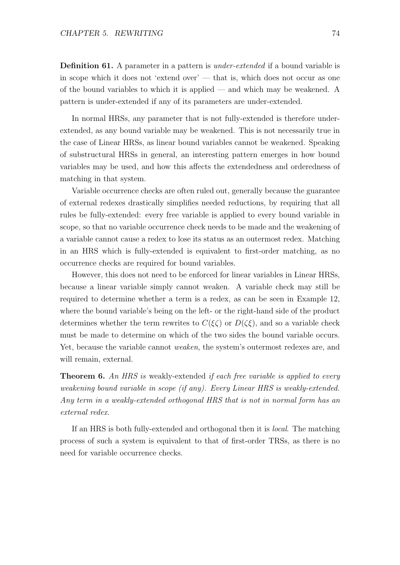**Definition 61.** A parameter in a pattern is *under-extended* if a bound variable is in scope which it does not 'extend over' — that is, which does not occur as one of the bound variables to which it is applied — and which may be weakened. A pattern is under-extended if any of its parameters are under-extended.

In normal HRSs, any parameter that is not fully-extended is therefore underextended, as any bound variable may be weakened. This is not necessarily true in the case of Linear HRSs, as linear bound variables cannot be weakened. Speaking of substructural HRSs in general, an interesting pattern emerges in how bound variables may be used, and how this affects the extendedness and orderedness of matching in that system.

Variable occurrence checks are often ruled out, generally because the guarantee of external redexes drastically simplifies needed reductions, by requiring that all rules be fully-extended: every free variable is applied to every bound variable in scope, so that no variable occurrence check needs to be made and the weakening of a variable cannot cause a redex to lose its status as an outermost redex. Matching in an HRS which is fully-extended is equivalent to first-order matching, as no occurrence checks are required for bound variables.

However, this does not need to be enforced for linear variables in Linear HRSs, because a linear variable simply cannot weaken. A variable check may still be required to determine whether a term is a redex, as can be seen in Example 12, where the bound variable's being on the left- or the right-hand side of the product determines whether the term rewrites to  $C(\xi\zeta)$  or  $D(\zeta\xi)$ , and so a variable check must be made to determine on which of the two sides the bound variable occurs. Yet, because the variable cannot weaken, the system's outermost redexes are, and will remain, external.

**Theorem 6.** An HRS is weakly-extended if each free variable is applied to every weakening bound variable in scope (if any). Every Linear HRS is weakly-extended. Any term in a weakly-extended orthogonal HRS that is not in normal form has an external redex.

If an HRS is both fully-extended and orthogonal then it is local. The matching process of such a system is equivalent to that of first-order TRSs, as there is no need for variable occurrence checks.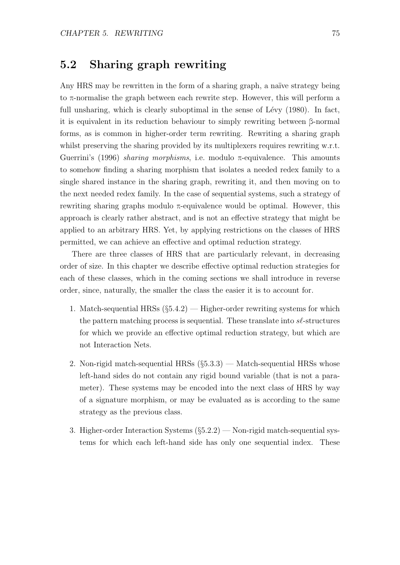# 5.2 Sharing graph rewriting

Any HRS may be rewritten in the form of a sharing graph, a naïve strategy being to π-normalise the graph between each rewrite step. However, this will perform a full unsharing, which is clearly suboptimal in the sense of Lévy  $(1980)$ . In fact, it is equivalent in its reduction behaviour to simply rewriting between β-normal forms, as is common in higher-order term rewriting. Rewriting a sharing graph whilst preserving the sharing provided by its multiplexers requires rewriting w.r.t. Guerrini's (1996) *sharing morphisms*, i.e. modulo  $\pi$ -equivalence. This amounts to somehow finding a sharing morphism that isolates a needed redex family to a single shared instance in the sharing graph, rewriting it, and then moving on to the next needed redex family. In the case of sequential systems, such a strategy of rewriting sharing graphs modulo  $\pi$ -equivalence would be optimal. However, this approach is clearly rather abstract, and is not an effective strategy that might be applied to an arbitrary HRS. Yet, by applying restrictions on the classes of HRS permitted, we can achieve an effective and optimal reduction strategy.

There are three classes of HRS that are particularly relevant, in decreasing order of size. In this chapter we describe effective optimal reduction strategies for each of these classes, which in the coming sections we shall introduce in reverse order, since, naturally, the smaller the class the easier it is to account for.

- 1. Match-sequential HRSs  $(\S 5.4.2)$  Higher-order rewriting systems for which the pattern matching process is sequential. These translate into  $s\ell$ -structures for which we provide an effective optimal reduction strategy, but which are not Interaction Nets.
- 2. Non-rigid match-sequential HRSs  $(\S 5.3.3)$  Match-sequential HRSs whose left-hand sides do not contain any rigid bound variable (that is not a parameter). These systems may be encoded into the next class of HRS by way of a signature morphism, or may be evaluated as is according to the same strategy as the previous class.
- 3. Higher-order Interaction Systems  $(\S5.2.2)$  Non-rigid match-sequential systems for which each left-hand side has only one sequential index. These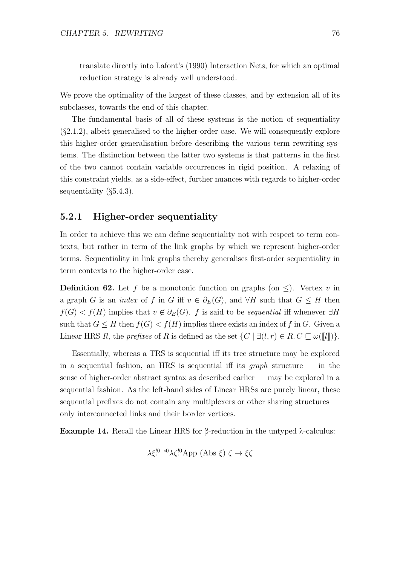translate directly into Lafont's (1990) Interaction Nets, for which an optimal reduction strategy is already well understood.

We prove the optimality of the largest of these classes, and by extension all of its subclasses, towards the end of this chapter.

The fundamental basis of all of these systems is the notion of sequentiality (§2.1.2), albeit generalised to the higher-order case. We will consequently explore this higher-order generalisation before describing the various term rewriting systems. The distinction between the latter two systems is that patterns in the first of the two cannot contain variable occurrences in rigid position. A relaxing of this constraint yields, as a side-effect, further nuances with regards to higher-order sequentiality (§5.4.3).

#### 5.2.1 Higher-order sequentiality

In order to achieve this we can define sequentiality not with respect to term contexts, but rather in term of the link graphs by which we represent higher-order terms. Sequentiality in link graphs thereby generalises first-order sequentiality in term contexts to the higher-order case.

**Definition 62.** Let f be a monotonic function on graphs (on  $\leq$ ). Vertex v in a graph G is an *index* of f in G iff  $v \in \partial_E(G)$ , and  $\forall H$  such that  $G \leq H$  then  $f(G) < f(H)$  implies that  $v \notin \partial_E(G)$ . f is said to be sequential iff whenever  $\exists H$ such that  $G \leq H$  then  $f(G) < f(H)$  implies there exists an index of f in G. Given a Linear HRS R, the prefixes of R is defined as the set  $\{C \mid \exists (l,r) \in R \ldotp C \sqsubseteq \omega(\llbracket l \rrbracket) \}.$ 

Essentially, whereas a TRS is sequential iff its tree structure may be explored in a sequential fashion, an HRS is sequential iff its *graph* structure  $-$  in the sense of higher-order abstract syntax as described earlier — may be explored in a sequential fashion. As the left-hand sides of Linear HRSs are purely linear, these sequential prefixes do not contain any multiplexers or other sharing structures only interconnected links and their border vertices.

Example 14. Recall the Linear HRS for β-reduction in the untyped λ-calculus:

$$
\lambda \xi^{!0 \to 0} \lambda \zeta^{!0} \text{App (Abs } \xi) \zeta \to \xi \zeta
$$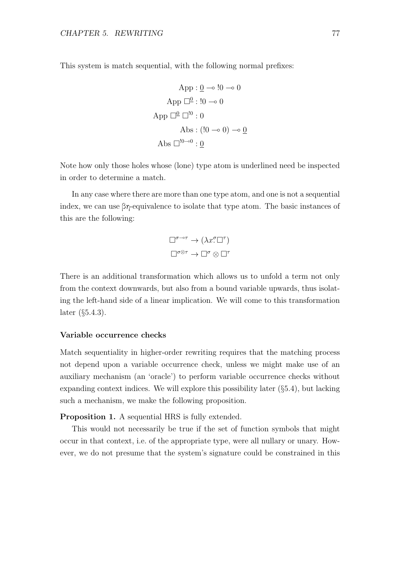This system is match sequential, with the following normal prefixes:

$$
App: \underline{0} \rightarrow \underline{!0} \rightarrow 0
$$
  
App  $\Box^{\underline{0}} : \underline{!0} \rightarrow 0$   
App  $\Box^{\underline{0}} \Box^{\underline{!0}} : 0$   
Abs:  $(\underline{!0} \rightarrow 0) \rightarrow \underline{0}$   
Abs  $\Box^{\underline{!0} \rightarrow 0} : \underline{0}$ 

Note how only those holes whose (lone) type atom is underlined need be inspected in order to determine a match.

In any case where there are more than one type atom, and one is not a sequential index, we can use  $\beta\eta$ -equivalence to isolate that type atom. The basic instances of this are the following:

$$
\Box^{\sigma \to \tau} \to (\lambda x \cdot \Box^{\tau})
$$
  

$$
\Box^{\sigma \otimes \tau} \to \Box^{\sigma} \otimes \Box^{\tau}
$$

There is an additional transformation which allows us to unfold a term not only from the context downwards, but also from a bound variable upwards, thus isolating the left-hand side of a linear implication. We will come to this transformation later (§5.4.3).

#### Variable occurrence checks

Match sequentiality in higher-order rewriting requires that the matching process not depend upon a variable occurrence check, unless we might make use of an auxiliary mechanism (an 'oracle') to perform variable occurrence checks without expanding context indices. We will explore this possibility later  $(\S 5.4)$ , but lacking such a mechanism, we make the following proposition.

Proposition 1. A sequential HRS is fully extended.

This would not necessarily be true if the set of function symbols that might occur in that context, i.e. of the appropriate type, were all nullary or unary. However, we do not presume that the system's signature could be constrained in this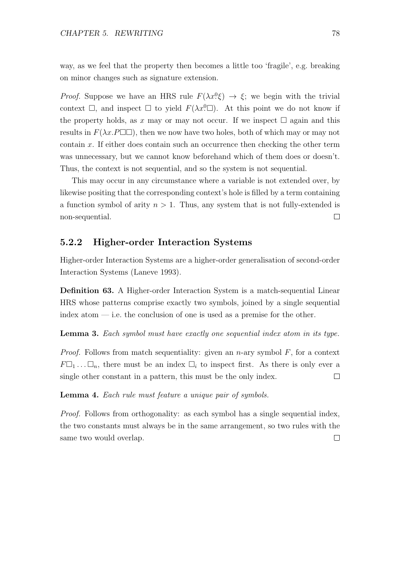way, as we feel that the property then becomes a little too 'fragile', e.g. breaking on minor changes such as signature extension.

*Proof.* Suppose we have an HRS rule  $F(\lambda x^0 \xi) \rightarrow \xi$ ; we begin with the trivial context  $\Box$ , and inspect  $\Box$  to yield  $F(\lambda x^0 \Box)$ . At this point we do not know if the property holds, as x may or may not occur. If we inspect  $\Box$  again and this results in  $F(\lambda x.P\Box\Box)$ , then we now have two holes, both of which may or may not contain  $x$ . If either does contain such an occurrence then checking the other term was unnecessary, but we cannot know beforehand which of them does or doesn't. Thus, the context is not sequential, and so the system is not sequential.

This may occur in any circumstance where a variable is not extended over, by likewise positing that the corresponding context's hole is filled by a term containing a function symbol of arity  $n > 1$ . Thus, any system that is not fully-extended is non-sequential.  $\Box$ 

#### 5.2.2 Higher-order Interaction Systems

Higher-order Interaction Systems are a higher-order generalisation of second-order Interaction Systems (Laneve 1993).

Definition 63. A Higher-order Interaction System is a match-sequential Linear HRS whose patterns comprise exactly two symbols, joined by a single sequential index atom  $\frac{1}{\sqrt{1-\frac{1}{\sqrt{1-\frac{1}{\sqrt{1-\frac{1}{\sqrt{1-\frac{1}{\sqrt{1-\frac{1}{\sqrt{1-\frac{1}{\sqrt{1-\frac{1}{\sqrt{1-\frac{1}{\sqrt{1-\frac{1}{\sqrt{1-\frac{1}{\sqrt{1-\frac{1}{\sqrt{1-\frac{1}{\sqrt{1-\frac{1}{\sqrt{1-\frac{1}{\sqrt{1-\frac{1}{\sqrt{1-\frac{1}{\sqrt{1-\frac{1}{\sqrt{1-\frac{1}{\sqrt{1-\frac{1}{\sqrt{1-\frac{1}{\sqrt{1-\frac{1}{\sqrt{1-\frac{1}{\sqrt{1-\frac$ 

Lemma 3. Each symbol must have exactly one sequential index atom in its type.

*Proof.* Follows from match sequentiality: given an n-ary symbol  $F$ , for a context  $F\Box_1 \ldots \Box_n$ , there must be an index  $\Box_i$  to inspect first. As there is only ever a single other constant in a pattern, this must be the only index.  $\Box$ 

Lemma 4. Each rule must feature a unique pair of symbols.

Proof. Follows from orthogonality: as each symbol has a single sequential index, the two constants must always be in the same arrangement, so two rules with the same two would overlap. $\Box$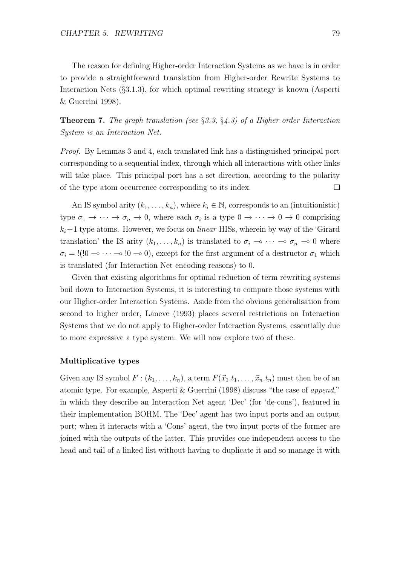The reason for defining Higher-order Interaction Systems as we have is in order to provide a straightforward translation from Higher-order Rewrite Systems to Interaction Nets (§3.1.3), for which optimal rewriting strategy is known (Asperti & Guerrini 1998).

**Theorem 7.** The graph translation (see  $\S 3.3$ ,  $\S 4.3$ ) of a Higher-order Interaction System is an Interaction Net.

Proof. By Lemmas 3 and 4, each translated link has a distinguished principal port corresponding to a sequential index, through which all interactions with other links will take place. This principal port has a set direction, according to the polarity of the type atom occurrence corresponding to its index.  $\Box$ 

An IS symbol arity  $(k_1, \ldots, k_n)$ , where  $k_i \in \mathbb{N}$ , corresponds to an (intuitionistic) type  $\sigma_1 \to \cdots \to \sigma_n \to 0$ , where each  $\sigma_i$  is a type  $0 \to \cdots \to 0 \to 0$  comprising  $k_i+1$  type atoms. However, we focus on *linear* HISs, wherein by way of the 'Girard' translation' the IS arity  $(k_1, \ldots, k_n)$  is translated to  $\sigma_i \multimap \cdots \multimap \sigma_n \multimap 0$  where  $\sigma_i =$ !(!0 → · · · → !0 → 0), except for the first argument of a destructor  $\sigma_1$  which is translated (for Interaction Net encoding reasons) to 0.

Given that existing algorithms for optimal reduction of term rewriting systems boil down to Interaction Systems, it is interesting to compare those systems with our Higher-order Interaction Systems. Aside from the obvious generalisation from second to higher order, Laneve (1993) places several restrictions on Interaction Systems that we do not apply to Higher-order Interaction Systems, essentially due to more expressive a type system. We will now explore two of these.

#### Multiplicative types

Given any IS symbol  $F : (k_1, \ldots, k_n)$ , a term  $F(\vec{x}_1, t_1, \ldots, \vec{x}_n, t_n)$  must then be of an atomic type. For example, Asperti & Guerrini (1998) discuss "the case of append," in which they describe an Interaction Net agent 'Dec' (for 'de-cons'), featured in their implementation BOHM. The 'Dec' agent has two input ports and an output port; when it interacts with a 'Cons' agent, the two input ports of the former are joined with the outputs of the latter. This provides one independent access to the head and tail of a linked list without having to duplicate it and so manage it with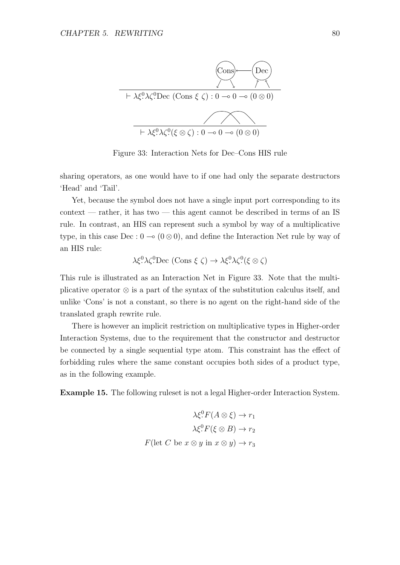

Figure 33: Interaction Nets for Dec–Cons HIS rule

sharing operators, as one would have to if one had only the separate destructors 'Head' and 'Tail'.

Yet, because the symbol does not have a single input port corresponding to its context — rather, it has two — this agent cannot be described in terms of an IS rule. In contrast, an HIS can represent such a symbol by way of a multiplicative type, in this case Dec :  $0 \to (0 \otimes 0)$ , and define the Interaction Net rule by way of an HIS rule:

$$
\lambda \xi^0 \lambda \zeta^0 \text{Dec } (\text{Cons } \xi \zeta) \to \lambda \xi^0 \lambda \zeta^0 (\xi \otimes \zeta)
$$

This rule is illustrated as an Interaction Net in Figure 33. Note that the multiplicative operator ⊗ is a part of the syntax of the substitution calculus itself, and unlike 'Cons' is not a constant, so there is no agent on the right-hand side of the translated graph rewrite rule.

There is however an implicit restriction on multiplicative types in Higher-order Interaction Systems, due to the requirement that the constructor and destructor be connected by a single sequential type atom. This constraint has the effect of forbidding rules where the same constant occupies both sides of a product type, as in the following example.

Example 15. The following ruleset is not a legal Higher-order Interaction System.

$$
\lambda \xi^0 F(A \otimes \xi) \to r_1
$$

$$
\lambda \xi^0 F(\xi \otimes B) \to r_2
$$

$$
F(\text{let } C \text{ be } x \otimes y \text{ in } x \otimes y) \to r_3
$$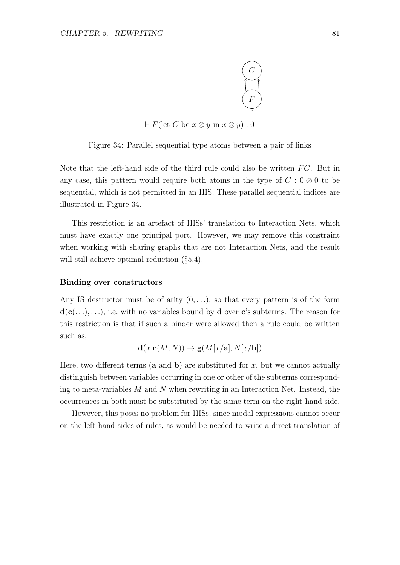

Figure 34: Parallel sequential type atoms between a pair of links

Note that the left-hand side of the third rule could also be written  $FC$ . But in any case, this pattern would require both atoms in the type of  $C: 0 \otimes 0$  to be sequential, which is not permitted in an HIS. These parallel sequential indices are illustrated in Figure 34.

This restriction is an artefact of HISs' translation to Interaction Nets, which must have exactly one principal port. However, we may remove this constraint when working with sharing graphs that are not Interaction Nets, and the result will still achieve optimal reduction  $(\S 5.4)$ .

#### Binding over constructors

Any IS destructor must be of arity  $(0, \ldots)$ , so that every pattern is of the form  $d(c(...),...)$ , i.e. with no variables bound by d over c's subterms. The reason for this restriction is that if such a binder were allowed then a rule could be written such as,

$$
\mathbf{d}(x.\mathbf{c}(M, N)) \to \mathbf{g}(M[x/\mathbf{a}], N[x/\mathbf{b}])
$$

Here, two different terms (**a** and **b**) are substituted for x, but we cannot actually distinguish between variables occurring in one or other of the subterms corresponding to meta-variables  $M$  and  $N$  when rewriting in an Interaction Net. Instead, the occurrences in both must be substituted by the same term on the right-hand side.

However, this poses no problem for HISs, since modal expressions cannot occur on the left-hand sides of rules, as would be needed to write a direct translation of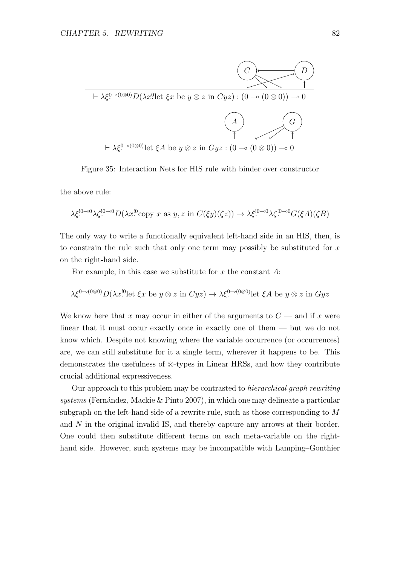

Figure 35: Interaction Nets for HIS rule with binder over constructor

the above rule:

$$
\lambda \xi^{!0\rightarrow 0} \lambda \zeta^{!0\rightarrow 0} D(\lambda x^{!0} \text{copy } x \text{ as } y, z \text{ in } C(\xi y)(\zeta z)) \rightarrow \lambda \xi^{!0\rightarrow 0} \lambda \zeta^{!0\rightarrow 0} G(\xi A)(\zeta B)
$$

The only way to write a functionally equivalent left-hand side in an HIS, then, is to constrain the rule such that only one term may possibly be substituted for  $x$ on the right-hand side.

For example, in this case we substitute for  $x$  the constant  $A$ :

$$
\lambda \xi^{0-\delta(0\otimes 0)} D(\lambda x^{0} \text{ let } \xi x \text{ be } y \otimes z \text{ in } Cyz) \to \lambda \xi^{0-\delta(0\otimes 0)} \text{ let } \xi A \text{ be } y \otimes z \text{ in } Gyz
$$

We know here that x may occur in either of the arguments to  $C$  — and if x were linear that it must occur exactly once in exactly one of them — but we do not know which. Despite not knowing where the variable occurrence (or occurrences) are, we can still substitute for it a single term, wherever it happens to be. This demonstrates the usefulness of ⊗-types in Linear HRSs, and how they contribute crucial additional expressiveness.

Our approach to this problem may be contrasted to hierarchical graph rewriting  $systems$  (Fernández, Mackie  $\&$  Pinto 2007), in which one may delineate a particular subgraph on the left-hand side of a rewrite rule, such as those corresponding to M and N in the original invalid IS, and thereby capture any arrows at their border. One could then substitute different terms on each meta-variable on the righthand side. However, such systems may be incompatible with Lamping–Gonthier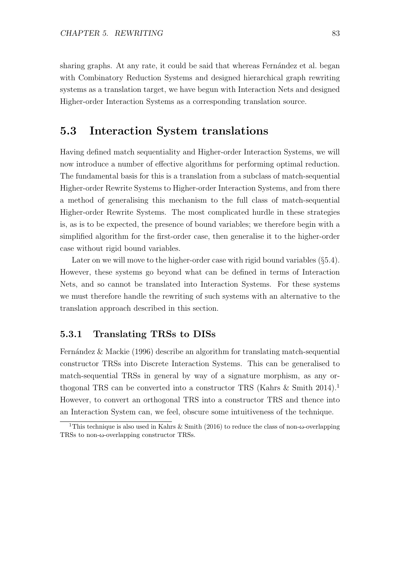sharing graphs. At any rate, it could be said that whereas Fernandez et al. began with Combinatory Reduction Systems and designed hierarchical graph rewriting systems as a translation target, we have begun with Interaction Nets and designed Higher-order Interaction Systems as a corresponding translation source.

# 5.3 Interaction System translations

Having defined match sequentiality and Higher-order Interaction Systems, we will now introduce a number of effective algorithms for performing optimal reduction. The fundamental basis for this is a translation from a subclass of match-sequential Higher-order Rewrite Systems to Higher-order Interaction Systems, and from there a method of generalising this mechanism to the full class of match-sequential Higher-order Rewrite Systems. The most complicated hurdle in these strategies is, as is to be expected, the presence of bound variables; we therefore begin with a simplified algorithm for the first-order case, then generalise it to the higher-order case without rigid bound variables.

Later on we will move to the higher-order case with rigid bound variables (§5.4). However, these systems go beyond what can be defined in terms of Interaction Nets, and so cannot be translated into Interaction Systems. For these systems we must therefore handle the rewriting of such systems with an alternative to the translation approach described in this section.

#### 5.3.1 Translating TRSs to DISs

Fernández & Mackie (1996) describe an algorithm for translating match-sequential constructor TRSs into Discrete Interaction Systems. This can be generalised to match-sequential TRSs in general by way of a signature morphism, as any orthogonal TRS can be converted into a constructor TRS (Kahrs  $\&$  Smith 2014).<sup>1</sup> However, to convert an orthogonal TRS into a constructor TRS and thence into an Interaction System can, we feel, obscure some intuitiveness of the technique.

<sup>&</sup>lt;sup>1</sup>This technique is also used in Kahrs & Smith (2016) to reduce the class of non- $\omega$ -overlapping TRSs to non-ω-overlapping constructor TRSs.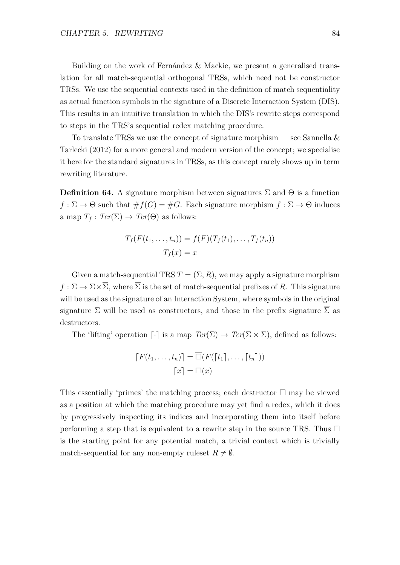Building on the work of Fernández  $&$  Mackie, we present a generalised translation for all match-sequential orthogonal TRSs, which need not be constructor TRSs. We use the sequential contexts used in the definition of match sequentiality as actual function symbols in the signature of a Discrete Interaction System (DIS). This results in an intuitive translation in which the DIS's rewrite steps correspond to steps in the TRS's sequential redex matching procedure.

To translate TRSs we use the concept of signature morphism — see Sannella  $\&$ Tarlecki (2012) for a more general and modern version of the concept; we specialise it here for the standard signatures in TRSs, as this concept rarely shows up in term rewriting literature.

**Definition 64.** A signature morphism between signatures  $\Sigma$  and  $\Theta$  is a function  $f : \Sigma \to \Theta$  such that  $\#f(G) = \#G$ . Each signature morphism  $f : \Sigma \to \Theta$  induces a map  $T_f : Ter(\Sigma) \to Ter(\Theta)$  as follows:

$$
T_f(F(t_1,\ldots,t_n)) = f(F)(T_f(t_1),\ldots,T_f(t_n))
$$

$$
T_f(x) = x
$$

Given a match-sequential TRS  $T = (\Sigma, R)$ , we may apply a signature morphism  $f : \Sigma \to \Sigma \times \overline{\Sigma}$ , where  $\overline{\Sigma}$  is the set of match-sequential prefixes of R. This signature will be used as the signature of an Interaction System, where symbols in the original signature  $\Sigma$  will be used as constructors, and those in the prefix signature  $\Sigma$  as destructors.

The 'lifting' operation  $\lceil \cdot \rceil$  is a map  $Ter(\Sigma) \to Ter(\Sigma \times \overline{\Sigma})$ , defined as follows:

$$
[F(t_1,\ldots,t_n)] = \overline{\Box}(F([t_1],\ldots,[t_n]))
$$

$$
[x] = \overline{\Box}(x)
$$

This essentially 'primes' the matching process; each destructor  $\overline{\Box}$  may be viewed as a position at which the matching procedure may yet find a redex, which it does by progressively inspecting its indices and incorporating them into itself before performing a step that is equivalent to a rewrite step in the source TRS. Thus  $\overline{\Box}$ is the starting point for any potential match, a trivial context which is trivially match-sequential for any non-empty rules  $R \neq \emptyset$ .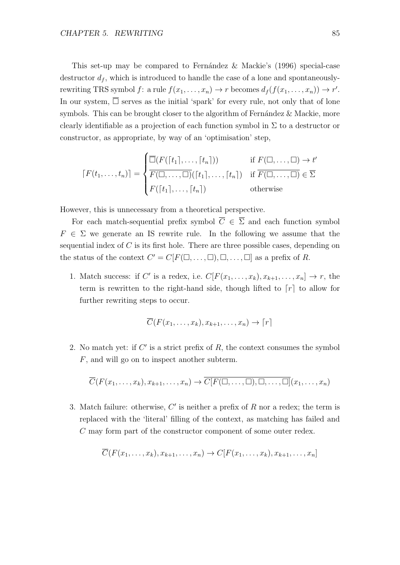This set-up may be compared to Fernández & Mackie's  $(1996)$  special-case destructor  $d_f$ , which is introduced to handle the case of a lone and spontaneouslyrewriting TRS symbol  $f:$  a rule  $f(x_1, \ldots, x_n) \to r$  becomes  $d_f(f(x_1, \ldots, x_n)) \to r'$ . In our system,  $\overline{\Box}$  serves as the initial 'spark' for every rule, not only that of lone symbols. This can be brought closer to the algorithm of Fernández  $\&$  Mackie, more clearly identifiable as a projection of each function symbol in  $\Sigma$  to a destructor or constructor, as appropriate, by way of an 'optimisation' step,

$$
[F(t_1,\ldots,t_n)] = \begin{cases} \overline{\Box}(F([t_1],\ldots,[t_n])) & \text{if } F(\Box,\ldots,\Box) \to t' \\ \overline{F(\Box,\ldots,\Box)}([t_1],\ldots,[t_n]) & \text{if } \overline{F(\Box,\ldots,\Box)} \in \overline{\Sigma} \\ F([t_1],\ldots,[t_n]) & \text{otherwise} \end{cases}
$$

However, this is unnecessary from a theoretical perspective.

For each match-sequential prefix symbol  $\overline{C} \in \overline{\Sigma}$  and each function symbol  $F \in \Sigma$  we generate an IS rewrite rule. In the following we assume that the sequential index of  $C$  is its first hole. There are three possible cases, depending on the status of the context  $C' = C[F(\Box, \dots, \Box), \Box, \dots, \Box]$  as a prefix of R.

1. Match success: if C' is a redex, i.e.  $C[F(x_1, \ldots, x_k), x_{k+1}, \ldots, x_n] \to r$ , the term is rewritten to the right-hand side, though lifted to  $[r]$  to allow for further rewriting steps to occur.

$$
\overline{C}(F(x_1,\ldots,x_k),x_{k+1},\ldots,x_n)\to [r]
$$

2. No match yet: if  $C'$  is a strict prefix of  $R$ , the context consumes the symbol F, and will go on to inspect another subterm.

$$
\overline{C}(F(x_1,\ldots,x_k),x_{k+1},\ldots,x_n)\to \overline{C[F(\square,\ldots,\square),\square,\ldots,\square]}(x_1,\ldots,x_n)
$$

3. Match failure: otherwise,  $C'$  is neither a prefix of  $R$  nor a redex; the term is replaced with the 'literal' filling of the context, as matching has failed and C may form part of the constructor component of some outer redex.

$$
\overline{C}(F(x_1,\ldots,x_k),x_{k+1},\ldots,x_n)\to C[F(x_1,\ldots,x_k),x_{k+1},\ldots,x_n]
$$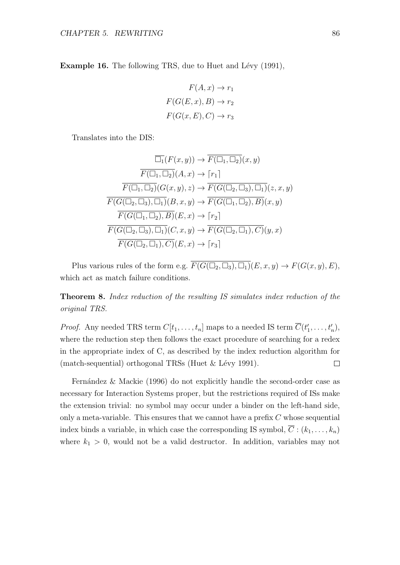**Example 16.** The following TRS, due to Huet and Lévy (1991),

$$
F(A, x) \to r_1
$$

$$
F(G(E, x), B) \to r_2
$$

$$
F(G(x, E), C) \to r_3
$$

Translates into the DIS:

$$
\overline{\Box_1}(F(x,y)) \to \overline{F(\Box_1, \Box_2)}(x,y)
$$

$$
\overline{F(\Box_1, \Box_2)}(A,x) \to [r_1]
$$

$$
\overline{F(\Box_1, \Box_2)}(G(x,y), z) \to \overline{F(G(\Box_2, \Box_3), \Box_1)}(z,x,y)
$$

$$
\overline{F(G(\Box_2, \Box_3), \Box_1)}(B,x,y) \to \overline{F(G(\Box_1, \Box_2), B)}(x,y)
$$

$$
\overline{F(G(\Box_1, \Box_2), B)}(E,x) \to [r_2]
$$

$$
\overline{F(G(\Box_2, \Box_3), \Box_1)}(C,x,y) \to \overline{F(G(\Box_2, \Box_1), C)}(y,x)
$$

$$
\overline{F(G(\Box_2, \Box_1), C)}(E,x) \to [r_3]
$$

Plus various rules of the form e.g.  $\overline{F(G(\Box_2, \Box_3), \Box_1)}(E, x, y) \to F(G(x, y), E),$ which act as match failure conditions.

Theorem 8. Index reduction of the resulting IS simulates index reduction of the original TRS.

*Proof.* Any needed TRS term  $C[t_1, \ldots, t_n]$  maps to a needed IS term  $\overline{C}(t'_1, \ldots, t'_n)$ , where the reduction step then follows the exact procedure of searching for a redex in the appropriate index of C, as described by the index reduction algorithm for (match-sequential) orthogonal TRSs (Huet  $&$  Lévy 1991).  $\Box$ 

Fernández  $\&$  Mackie (1996) do not explicitly handle the second-order case as necessary for Interaction Systems proper, but the restrictions required of ISs make the extension trivial: no symbol may occur under a binder on the left-hand side, only a meta-variable. This ensures that we cannot have a prefix  $C$  whose sequential index binds a variable, in which case the corresponding IS symbol,  $\overline{C}$  :  $(k_1, \ldots, k_n)$ where  $k_1 > 0$ , would not be a valid destructor. In addition, variables may not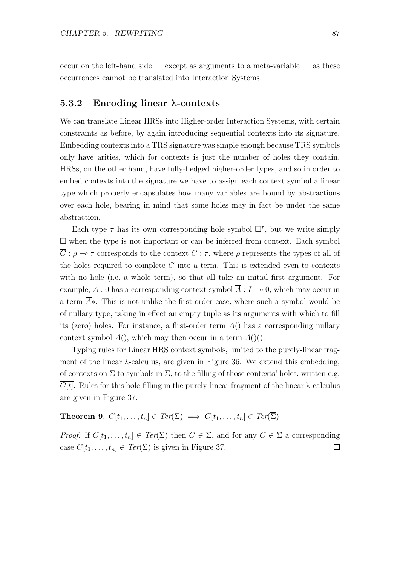occur on the left-hand side — except as arguments to a meta-variable — as these occurrences cannot be translated into Interaction Systems.

#### 5.3.2 Encoding linear λ-contexts

We can translate Linear HRSs into Higher-order Interaction Systems, with certain constraints as before, by again introducing sequential contexts into its signature. Embedding contexts into a TRS signature was simple enough because TRS symbols only have arities, which for contexts is just the number of holes they contain. HRSs, on the other hand, have fully-fledged higher-order types, and so in order to embed contexts into the signature we have to assign each context symbol a linear type which properly encapsulates how many variables are bound by abstractions over each hole, bearing in mind that some holes may in fact be under the same abstraction.

Each type  $\tau$  has its own corresponding hole symbol  $\Box^{\tau}$ , but we write simply  $\square$  when the type is not important or can be inferred from context. Each symbol  $\overline{C}$ :  $\rho \to \tau$  corresponds to the context  $C : \tau$ , where  $\rho$  represents the types of all of the holes required to complete  $C$  into a term. This is extended even to contexts with no hole (i.e. a whole term), so that all take an initial first argument. For example, A : 0 has a corresponding context symbol  $\overline{A}: I \to 0$ , which may occur in a term A∗. This is not unlike the first-order case, where such a symbol would be of nullary type, taking in effect an empty tuple as its arguments with which to fill its (zero) holes. For instance, a first-order term  $A()$  has a corresponding nullary context symbol  $\overline{A()}$ , which may then occur in a term  $\overline{A()}()$ .

Typing rules for Linear HRS context symbols, limited to the purely-linear fragment of the linear  $\lambda$ -calculus, are given in Figure 36. We extend this embedding, of contexts on  $\Sigma$  to symbols in  $\overline{\Sigma}$ , to the filling of those contexts' holes, written e.g.  $C[t]$ . Rules for this hole-filling in the purely-linear fragment of the linear  $\lambda$ -calculus are given in Figure 37.

**Theorem 9.**  $C[t_1, \ldots, t_n] \in \text{Ter}(\Sigma) \implies \overline{C[t_1, \ldots, t_n]} \in \text{Ter}(\overline{\Sigma})$ 

*Proof.* If  $C[t_1, \ldots, t_n] \in \text{Ter}(\Sigma)$  then  $\overline{C} \in \overline{\Sigma}$ , and for any  $\overline{C} \in \overline{\Sigma}$  a corresponding case  $\overline{C[t_1,\ldots,t_n]} \in \text{Ter}(\overline{\Sigma})$  is given in Figure 37.  $\Box$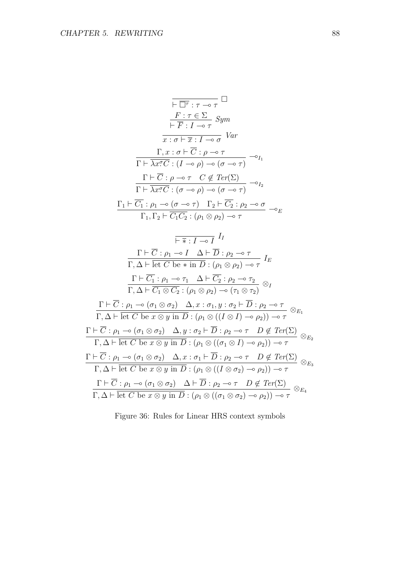$$
\overline{\vdash \Box \tau : \tau \multimap \tau} \Box
$$
\n
$$
\overline{\vdash \Box \tau : I \multimap \tau} \Box
$$
\n
$$
\overline{\vdash F : I \multimap \tau} \quad Sym
$$
\n
$$
\overline{x : \sigma \vdash \overline{x} : I \multimap \sigma} \quad Var
$$
\n
$$
\overline{\Gamma \vdash \lambda x ? C : (I \multimap \rho) \multimap (\sigma \multimap \tau)} \multimap_{I_1}
$$
\n
$$
\overline{\Gamma \vdash \overline{\lambda x ? C} : (\sigma \multimap \rho) \multimap (\sigma \multimap \tau)} \neg_{I_2}
$$
\n
$$
\overline{\Gamma \vdash \overline{\lambda x ? C} : (\sigma \multimap \rho) \multimap (\sigma \multimap \tau)} \neg_{I_2}
$$
\n
$$
\overline{\Gamma_1 \vdash C_1 : \rho_1 \multimap (\sigma \multimap \tau) \quad \Gamma_2 \vdash C_2 : \rho_2 \multimap \sigma}{\Gamma_1, \Gamma_2 \vdash \overline{C_1 C_2} : (\rho_1 \otimes \rho_2) \multimap \tau} \neg_{E}
$$

$$
\frac{\overline{\mathsf{F} \times I \multimap I}}{\Gamma, \Delta \vdash \overline{\mathsf{let } C \mathsf{ be } * \mathsf{in } D : \rho_2 \multimap \tau} I_E}
$$
\n
$$
\frac{\Gamma \vdash \overline{C} : \rho_1 \multimap I \Delta \vdash \overline{D} : \rho_2 \multimap \tau}{\Gamma, \Delta \vdash \overline{\mathsf{let } C \mathsf{ be } * \mathsf{in } D : (\rho_1 \otimes \rho_2) \multimap \tau} I_E}
$$
\n
$$
\frac{\Gamma \vdash \overline{C_1} : \rho_1 \multimap \tau_1 \Delta \vdash \overline{C_2} : \rho_2 \multimap \tau_2}{\Gamma, \Delta \vdash \overline{C_1} \otimes \overline{C_2} : (\rho_1 \otimes \rho_2) \multimap (\tau_1 \otimes \tau_2)} \otimes_I
$$
\n
$$
\frac{\Gamma \vdash \overline{C} : \rho_1 \multimap (\sigma_1 \otimes \sigma_2) \Delta, x : \sigma_1, y : \sigma_2 \vdash \overline{D} : \rho_2 \multimap \tau}{\Gamma, \Delta \vdash \overline{\text{let } C \mathsf{ be } x \otimes y \mathsf{ in } D : (\rho_1 \otimes ((I \otimes I) \multimap \rho_2)) \multimap \tau} \otimes_{E_1}
$$
\n
$$
\frac{\Gamma \vdash \overline{C} : \rho_1 \multimap (\sigma_1 \otimes \sigma_2) \Delta, y : \sigma_2 \vdash \overline{D} : \rho_2 \multimap \tau \quad D \not\in \text{Ter}(\Sigma)}{\Gamma, \Delta \vdash \overline{\text{let } C \mathsf{ be } x \otimes y \mathsf{ in } D : (\rho_1 \otimes ((\sigma_1 \otimes I) \multimap \rho_2)) \multimap \tau}
$$
\n
$$
\frac{\Gamma \vdash \overline{C} : \rho_1 \multimap (\sigma_1 \otimes \sigma_2) \Delta, x : \sigma_1 \vdash \overline{D} : \rho_2 \multimap \tau \quad D \not\in \text{Ter}(\Sigma)}{\Gamma, \Delta \vdash \overline{\text{let } C \mathsf{ be } x \otimes y \mathsf{ in } D : (\rho_1 \otimes ((I \otimes \sigma_2) \multimap \rho_2)) \multimap \tau}
$$
\n
$$
\frac{\Gamma \vdash \over
$$

Figure 36: Rules for Linear HRS context symbols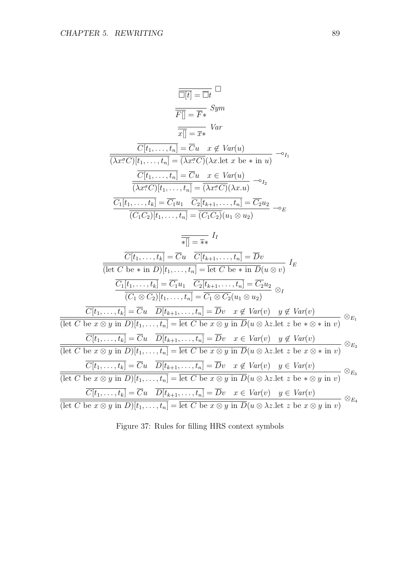$$
\frac{\overline{\Box[t]} = \overline{\Box}t} \qquad \frac{\overline{\Box}}{F} \qquad \frac{\overline{\Box}}{F} \qquad \frac{\overline{\Box}}{F} \qquad \frac{\overline{\Box}}{F} \qquad \frac{\overline{\Box}}{F} \qquad \frac{\overline{\Box}}{F} \qquad \frac{\overline{\Box}}{F} \qquad \frac{\overline{\Box}}{F} \qquad \frac{\overline{\Box}}{F} \qquad \frac{\overline{\Box}}{F} \qquad \frac{\overline{\Box}}{F} \qquad \frac{\overline{\Box}}{F} \qquad \frac{\overline{\Box}}{F} \qquad \frac{\overline{\Box}}{F} \qquad \frac{\overline{\Box}}{F} \qquad \frac{\overline{\Box}}{F} \qquad \frac{\overline{\Box}}{F} \qquad \frac{\overline{\Box}}{F} \qquad \frac{\overline{\Box}}{F} \qquad \frac{\overline{\Box}}{F} \qquad \frac{\overline{\Box}}{F} \qquad \frac{\overline{\Box}}{F} \qquad \frac{\overline{\Box}}{F} \qquad \frac{\overline{\Box}}{F} \qquad \frac{\overline{\Box}}{F} \qquad \frac{\overline{\Box}}{F} \qquad \frac{\overline{\Box}}{F} \qquad \frac{\overline{\Box}}{F} \qquad \frac{\overline{\Box}}{F} \qquad \frac{\overline{\Box}}{F} \qquad \frac{\overline{\Box}}{F} \qquad \frac{\overline{\Box}}{F} \qquad \frac{\overline{\Box}}{F} \qquad \frac{\overline{\Box}}{F} \qquad \frac{\overline{\Box}}{F} \qquad \frac{\overline{\Box}}{F} \qquad \frac{\overline{\Box}}{F} \qquad \frac{\overline{\Box}}{F} \qquad \frac{\overline{\Box}}{F} \qquad \frac{\overline{\Box}}{F} \qquad \frac{\overline{\Box}}{F} \qquad \frac{\overline{\Box}}{F} \qquad \frac{\overline{\Box}}{F} \qquad \frac{\overline{\Box}}{F} \qquad \frac{\overline{\Box}}{F} \qquad \frac{\overline{\Box}}{F} \qquad \frac{\overline{\Box}}{F} \qquad \frac{\overline{\Box}}{F} \qquad \frac{\overline{\Box}}{F} \qquad \frac{\overline{\Box}}{F} \qquad \frac{\overline{\Box}}{F} \qquad \frac{\overline{\Box}}{F} \qquad \frac{\overline{\Box}}{F}
$$

Figure 37: Rules for filling HRS context symbols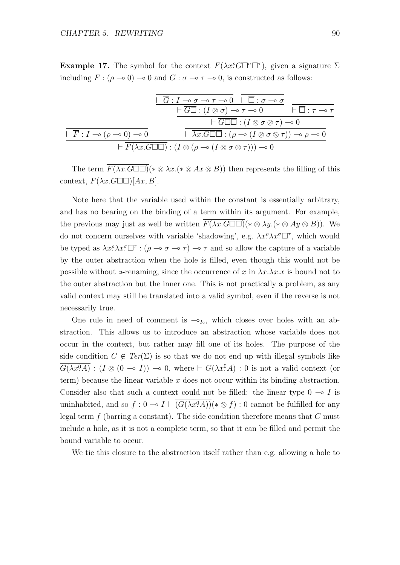**Example 17.** The symbol for the context  $F(\lambda x \ell G \Box \sigma \Box \tau)$ , given a signature  $\Sigma$ including  $F : (\rho \to 0) \to 0$  and  $G : \sigma \to \tau \to 0$ , is constructed as follows:

$$
\frac{\overline{\vdash \overline{G} : I \multimap \sigma \multimap \tau \multimap 0} \ \overline{\vdash \overline{\Box} : \sigma \multimap \sigma}}{\vdash \overline{G\Box} : (I \otimes \sigma) \multimap \tau \multimap 0} \ \overline{\vdash \overline{\Box} : \tau \multimap \tau}
$$
\n
$$
\frac{\overline{\vdash \overline{G\Box} : (I \otimes \sigma) \multimap \tau \multimap 0} \ \overline{\vdash \overline{\Box} : \tau \multimap \tau}}{\vdash \overline{G\Box\Box} : (I \otimes \sigma \otimes \tau) \multimap 0}
$$
\n
$$
\overline{\vdash \overline{F} : I \multimap (\rho \multimap 0) \multimap 0} \ \overline{\vdash \overline{\lambda x}.G\Box\Box} : (\rho \multimap (I \otimes \sigma \otimes \tau)) \multimap \rho \multimap 0}
$$
\n
$$
\overline{\vdash \overline{F} : I \multimap (\rho \multimap 0) \multimap 0} \ \overline{\vdash \overline{X} \land \overline{G\Box\Box} : (I \otimes (\rho \multimap (I \otimes \sigma \otimes \tau))) \multimap 0}
$$

The term  $\overline{F(\lambda x.G\Box\Box)}(*\otimes \lambda x.(*\otimes Ax\otimes B))$  then represents the filling of this context,  $F(\lambda x.G\Box\Box)[Ax, B].$ 

Note here that the variable used within the constant is essentially arbitrary, and has no bearing on the binding of a term within its argument. For example, the previous may just as well be written  $F(\lambda x.G\Box\Box)(*\otimes \lambda y.(*\otimes Ay\otimes B)).$  We do not concern ourselves with variable 'shadowing', e.g.  $\lambda x^{\rho} \lambda x^{\sigma} \Box^{\tau}$ , which would be typed as  $\overline{\lambda x^{\rho} \lambda x^{\sigma} \square^{\tau}}$ :  $(\rho \to \sigma \to \tau) \to \tau$  and so allow the capture of a variable by the outer abstraction when the hole is filled, even though this would not be possible without  $\alpha$ -renaming, since the occurrence of x in  $\lambda x.\lambda x.x$  is bound not to the outer abstraction but the inner one. This is not practically a problem, as any valid context may still be translated into a valid symbol, even if the reverse is not necessarily true.

One rule in need of comment is  $-\circ_{I_2}$ , which closes over holes with an abstraction. This allows us to introduce an abstraction whose variable does not occur in the context, but rather may fill one of its holes. The purpose of the side condition  $C \notin \text{Ter}(\Sigma)$  is so that we do not end up with illegal symbols like  $\overline{G(\lambda x.0)}$  :  $(I \otimes (0 \to I)) \to 0$ , where  $\vdash G(\lambda x.0)$  : 0 is not a valid context (or term) because the linear variable  $x$  does not occur within its binding abstraction. Consider also that such a context could not be filled: the linear type  $0 \text{ } \neg \circ I$  is uninhabited, and so  $f: 0 \to I \vdash \overline{(G(\lambda x^0 \cdot A))}(* \otimes f): 0$  cannot be fulfilled for any legal term  $f$  (barring a constant). The side condition therefore means that  $C$  must include a hole, as it is not a complete term, so that it can be filled and permit the bound variable to occur.

We tie this closure to the abstraction itself rather than e.g. allowing a hole to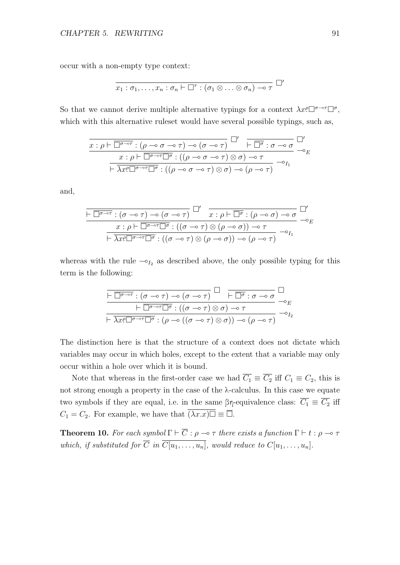occur with a non-empty type context:

$$
\overline{x_1:\sigma_1,\ldots,x_n:\sigma_n\vdash \square^\tau:(\sigma_1\otimes\ldots\otimes\sigma_n)\multimap \tau} \ \square'
$$

So that we cannot derive multiple alternative typings for a context  $\lambda x^{\rho} \Box^{\sigma-\sigma} \Box^{\sigma}$ , which with this alternative rules t would have several possible typings, such as,

$$
\frac{x:\rho\vdash\overline{\Box^{\sigma\multimap\tau}}:(\rho\multimap\sigma\multimap\tau)\multimap(\sigma\multimap\tau)}{\vdash\overline{\Box^{\sigma}\colon\sigma\multimap\sigma}}\xrightarrow{\Box'}\overline{\vdash\overline{\Box^{\sigma}}:\sigma\multimap\sigma}\xrightarrow{\Box'}\neg_{E}
$$
\n
$$
\frac{x:\rho\vdash\overline{\Box^{\sigma\multimap\tau}\Box^{\sigma}}:((\rho\multimap\sigma\multimap\tau)\otimes\sigma)\multimap\tau}{\vdash\overline{\lambda x^{p}\Box^{\sigma\multimap\tau}\Box^{\sigma}}:((\rho\multimap\sigma\multimap\tau)\otimes\sigma)\multimap(\rho\multimap\tau)}\neg_{I_{1}}
$$

and,

$$
\frac{\square}{\square^{\sigma \to \tau} : (\sigma \to \tau) \to (\sigma \to \tau)} \square' \over \square' \over x : \rho \vdash \overline{\square^{\sigma}} : (\rho \to \sigma) \to \sigma}_{\square' \vdash \overline{\square}^{\sigma \to \tau} \square \overline{\sigma} : ((\sigma \to \tau) \otimes (\rho \to \sigma)) \to \tau}_{\square' \vdash \overline{\lambda x^{\rho} \square^{\sigma \to \tau} \square^{\sigma}} : ((\sigma \to \tau) \otimes (\rho \to \sigma)) \to (\rho \to \tau)} \to_{I_1}
$$

whereas with the rule  $\sim_{I_2}$  as described above, the only possible typing for this term is the following:

$$
\frac{\Box \overline{\Box \sigma \to \tau} : (\sigma \to \tau) \to (\sigma \to \tau)}{\Box \overline{\Box \sigma \to \tau} \Box \sigma : ((\sigma \to \tau) \otimes \sigma) \to \tau} \xrightarrow{\Box \overline{\Box \sigma} : \sigma \to \sigma} \overline{\Box \overline{\Box \sigma} \to_E}
$$
\n
$$
\frac{\Box \overline{\Box \sigma \to \tau} \Box \sigma : ((\sigma \to \tau) \otimes \sigma) \to \tau}{\Box \overline{\partial \tau} \Box \sigma \to \tau} \xrightarrow{\Box \overline{\partial} \overline{\Box \sigma} \to (\rho \to (\sigma \to \tau) \otimes \sigma)) \to (\rho \to \tau)} \neg_{I_2}
$$

The distinction here is that the structure of a context does not dictate which variables may occur in which holes, except to the extent that a variable may only occur within a hole over which it is bound.

Note that whereas in the first-order case we had  $\overline{C_1} \equiv \overline{C_2}$  iff  $C_1 \equiv C_2$ , this is not strong enough a property in the case of the λ-calculus. In this case we equate two symbols if they are equal, i.e. in the same  $\beta \eta$ -equivalence class:  $\overline{C_1} \equiv \overline{C_2}$  iff  $C_1 = C_2$ . For example, we have that  $\overline{(\lambda x.x)}\ \equiv \overline{\Box}$ .

**Theorem 10.** For each symbol  $\Gamma \vdash \overline{C}$  :  $\rho \multimap \tau$  there exists a function  $\Gamma \vdash t : \rho \multimap \tau$ which, if substituted for  $\overline{C}$  in  $\overline{C[u_1, \ldots, u_n]}$ , would reduce to  $C[u_1, \ldots, u_n]$ .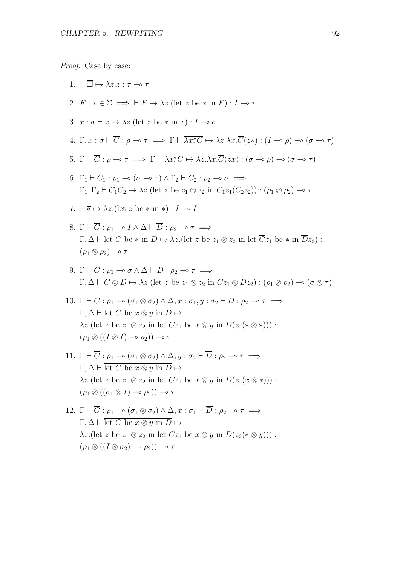Proof. Case by case:

1.  $\vdash \overline{\Box} \mapsto \lambda z. z : \tau \multimap \tau$ 2.  $F : \tau \in \Sigma \implies \vdash \overline{F} \mapsto \lambda z$ . (let z be \* in F) :  $I \multimap \tau$ 3.  $x : \sigma \vdash \overline{x} \mapsto \lambda z$ . (let z be  $*$  in  $x : I \multimap \sigma$ 4.  $\Gamma, x : \sigma \vdash \overline{C} : \rho \multimap \tau \implies \Gamma \vdash \overline{\lambda x^{\sigma}C} \mapsto \lambda z.\lambda x.\overline{C}(z*) : (I \multimap \rho) \multimap (\sigma \multimap \tau)$ 5.  $\Gamma \vdash \overline{C} : \rho \multimap \tau \implies \Gamma \vdash \overline{\lambda x^{\sigma} C} \mapsto \lambda z.\lambda x.\overline{C}(zx) : (\sigma \multimap \rho) \multimap (\sigma \multimap \tau)$ 6.  $\Gamma_1 \vdash \overline{C_1} : \rho_1 \multimap (\sigma \multimap \tau) \wedge \Gamma_2 \vdash \overline{C_2} : \rho_2 \multimap \sigma \implies$  $\Gamma_1, \Gamma_2 \vdash \overline{C_1C_2} \mapsto \lambda z.$ (let z be  $z_1 \otimes z_2$  in  $\overline{C_1}z_1(\overline{C_2}z_2)$ ) :  $(\rho_1 \otimes \rho_2) \multimap \tau$ 7.  $\vdash \overline{*} \mapsto \lambda z$ . (let z be  $*$  in  $*$ ) :  $I \multimap I$ 8.  $\Gamma \vdash \overline{C} : \rho_1 \multimap I \wedge \Delta \vdash \overline{D} : \rho_2 \multimap \tau \implies$  $\Gamma, \Delta \vdash \overline{\text{let } C \text{ be } * \text{ in } D} \mapsto \lambda z. (\text{let } z \text{ be } z_1 \otimes z_2 \text{ in } \text{let } \overline{C} z_1 \text{ be } * \text{ in } \overline{D} z_2)$ :  $(\rho_1 \otimes \rho_2) \multimap \tau$ 9.  $\Gamma \vdash \overline{C} : \rho_1 \multimap \sigma \wedge \Delta \vdash \overline{D} : \rho_2 \multimap \tau \implies$  $\Gamma, \Delta \vdash \overline{C \otimes D} \mapsto \lambda z.$ (let z be  $z_1 \otimes z_2$  in  $\overline{C} z_1 \otimes \overline{D} z_2$ ) :  $(\rho_1 \otimes \rho_2) \multimap (\sigma \otimes \tau)$ 10.  $\Gamma \vdash \overline{C} : \rho_1 \multimap (\sigma_1 \otimes \sigma_2) \wedge \Delta, x : \sigma_1, y : \sigma_2 \vdash \overline{D} : \rho_2 \multimap \tau \implies$  $\Gamma, \Delta \vdash \overline{\mathrm{let} C \mathrm{be} x \otimes y \mathrm{in} D} \mapsto$  $\lambda z.$ (let z be  $z_1 \otimes z_2$  in let  $\overline{C}z_1$  be  $x \otimes y$  in  $\overline{D}(z_2(\ast \otimes \ast))$ ):  $(\rho_1 \otimes ((I \otimes I) \multimap \rho_2)) \multimap \tau$ 11.  $\Gamma \vdash \overline{C} : \rho_1 \multimap (\sigma_1 \otimes \sigma_2) \land \Delta, y : \sigma_2 \vdash \overline{D} : \rho_2 \multimap \tau \implies$  $\Gamma, \Delta \vdash \overline{\mathrm{let} C \mathrm{be} x \otimes u \mathrm{in} D} \mapsto$  $\lambda z.$ (let z be  $z_1 \otimes z_2$  in let  $\overline{C}z_1$  be  $x \otimes y$  in  $\overline{D}(z_2(x \otimes *)$ )):  $(\rho_1 \otimes ((\sigma_1 \otimes I) \multimap \rho_2)) \multimap \tau$ 12.  $\Gamma \vdash \overline{C} : \rho_1 \multimap (\sigma_1 \otimes \sigma_2) \wedge \Delta, x : \sigma_1 \vdash \overline{D} : \rho_2 \multimap \tau \implies$ 

 $\Gamma, \Delta \vdash \overline{\mathrm{let} C \mathrm{be} x \otimes y \mathrm{in} D} \mapsto$  $\lambda z.$ (let z be  $z_1 \otimes z_2$  in let  $\overline{C}z_1$  be  $x \otimes y$  in  $\overline{D}(z_2(*\otimes y))$ :  $(\rho_1 \otimes ((I \otimes \sigma_2) \multimap \rho_2)) \multimap \tau$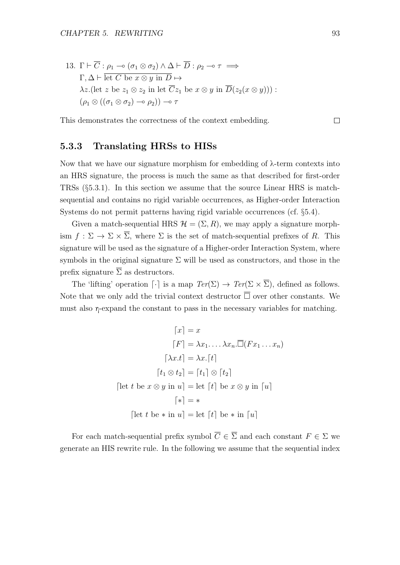13. 
$$
\Gamma \vdash \overline{C} : \rho_1 \multimap (\sigma_1 \otimes \sigma_2) \land \Delta \vdash \overline{D} : \rho_2 \multimap \tau \implies
$$
  
\n $\Gamma, \Delta \vdash \overline{\text{let } C \text{ be } x \otimes y \text{ in } D} \mapsto$   
\n $\lambda z.(\text{let } z \text{ be } z_1 \otimes z_2 \text{ in } \text{let } \overline{C} z_1 \text{ be } x \otimes y \text{ in } \overline{D}(z_2(x \otimes y))) :$   
\n $(\rho_1 \otimes ((\sigma_1 \otimes \sigma_2) \multimap \rho_2)) \multimap \tau$ 

This demonstrates the correctness of the context embedding.

#### 5.3.3 Translating HRSs to HISs

Now that we have our signature morphism for embedding of  $\lambda$ -term contexts into an HRS signature, the process is much the same as that described for first-order TRSs (§5.3.1). In this section we assume that the source Linear HRS is matchsequential and contains no rigid variable occurrences, as Higher-order Interaction Systems do not permit patterns having rigid variable occurrences (cf. §5.4).

Given a match-sequential HRS  $\mathcal{H} = (\Sigma, R)$ , we may apply a signature morphism  $f : \Sigma \to \Sigma \times \overline{\Sigma}$ , where  $\Sigma$  is the set of match-sequential prefixes of R. This signature will be used as the signature of a Higher-order Interaction System, where symbols in the original signature  $\Sigma$  will be used as constructors, and those in the prefix signature  $\overline{\Sigma}$  as destructors.

The 'lifting' operation  $\lceil \cdot \rceil$  is a map  $Ter(\Sigma) \to Ter(\Sigma \times \overline{\Sigma})$ , defined as follows. Note that we only add the trivial context destructor  $\overline{\Box}$  over other constants. We must also  $\eta$ -expand the constant to pass in the necessary variables for matching.

$$
\lceil x \rceil = x
$$

$$
\lceil F \rceil = \lambda x_1 \dots \lambda x_n \cdot \overline{\Box}(Fx_1 \dots x_n)
$$

$$
\lceil \lambda x.t \rceil = \lambda x \cdot \lceil t \rceil
$$

$$
\lceil t_1 \otimes t_2 \rceil = \lceil t_1 \rceil \otimes \lceil t_2 \rceil
$$

$$
\lceil \text{let } t \text{ be } x \otimes y \text{ in } u \rceil = \text{let } \lceil t \rceil \text{ be } x \otimes y \text{ in } \lceil u \rceil
$$

$$
\lceil * \rceil = *
$$

$$
\lceil \text{let } t \text{ be } * \text{ in } u \rceil = \text{let } \lceil t \rceil \text{ be } * \text{ in } \lceil u \rceil
$$

For each match-sequential prefix symbol  $\overline{C} \in \overline{\Sigma}$  and each constant  $F \in \Sigma$  we generate an HIS rewrite rule. In the following we assume that the sequential index

 $\Box$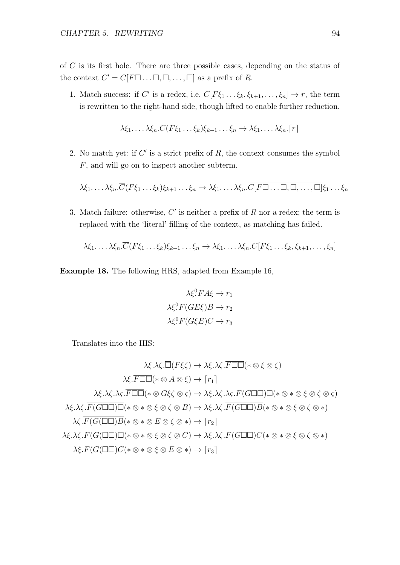of C is its first hole. There are three possible cases, depending on the status of the context  $C' = C[F \Box \dots \Box, \Box, \dots, \Box]$  as a prefix of R.

1. Match success: if C' is a redex, i.e.  $C[F\xi_1 \dots \xi_k, \xi_{k+1}, \dots, \xi_n] \to r$ , the term is rewritten to the right-hand side, though lifted to enable further reduction.

$$
\lambda \xi_1 \ldots \lambda \xi_n \cdot \overline{C}(F\xi_1 \ldots \xi_k) \xi_{k+1} \ldots \xi_n \to \lambda \xi_1 \ldots \lambda \xi_n \cdot \lceil r \rceil
$$

2. No match yet: if  $C'$  is a strict prefix of  $R$ , the context consumes the symbol F, and will go on to inspect another subterm.

 $\lambda \xi_1, \ldots, \lambda \xi_n$ . $\overline{C}(F\xi_1 \ldots \xi_k)\xi_{k+1} \ldots \xi_n \to \lambda \xi_1, \ldots, \lambda \xi_n$ . $\overline{C}[F \Box \ldots \Box, \Box, \ldots, \Box] \xi_1 \ldots \xi_n$ 

3. Match failure: otherwise,  $C'$  is neither a prefix of  $R$  nor a redex; the term is replaced with the 'literal' filling of the context, as matching has failed.

 $\lambda \xi_1 \ldots \lambda \xi_n \cdot \overline{C}(F\xi_1 \ldots \xi_k)\xi_{k+1} \ldots \xi_n \to \lambda \xi_1 \ldots \lambda \xi_n \cdot C[F\xi_1 \ldots \xi_k, \xi_{k+1}, \ldots, \xi_n]$ 

Example 18. The following HRS, adapted from Example 16,

$$
\lambda \xi^0 F A \xi \to r_1
$$

$$
\lambda \xi^0 F (G E \xi) B \to r_2
$$

$$
\lambda \xi^0 F (G \xi E) C \to r_3
$$

Translates into the HIS:

$$
\lambda \xi . \lambda \zeta . \overline{\Box} (F\xi \zeta) \to \lambda \xi . \lambda \zeta . \overline{F \Box \Box} (* \otimes \xi \otimes \zeta)
$$
  
\n
$$
\lambda \xi . \overline{F \Box \Box} (* \otimes A \otimes \xi) \to [r_1]
$$
  
\n
$$
\lambda \xi . \lambda \zeta . \lambda \zeta . \overline{F \Box \Box} (* \otimes G\xi \zeta \otimes \zeta) \to \lambda \xi . \lambda \zeta . \lambda \zeta . \overline{F(G \Box \Box) \Box} (* \otimes * \otimes \xi \otimes \zeta \otimes \zeta)
$$
  
\n
$$
\lambda \xi . \lambda \zeta . \overline{F(G \Box \Box) \Box} (* \otimes * \otimes \xi \otimes \zeta \otimes B) \to \lambda \xi . \lambda \zeta . \overline{F(G \Box \Box) B} (* \otimes * \otimes \xi \otimes \zeta \otimes *)
$$
  
\n
$$
\lambda \zeta . \overline{F(G(\Box \Box) B} (* \otimes * \otimes E \otimes \zeta \otimes \zeta) \to \lambda \xi . \lambda \zeta . \overline{F(G \Box \Box) C} (* \otimes * \otimes \xi \otimes \zeta \otimes *)
$$
  
\n
$$
\lambda \xi . \overline{F(G(\Box \Box) \Box)} (\ast \otimes * \otimes \xi \otimes \zeta \otimes C) \to \lambda \xi . \lambda \zeta . \overline{F(G \Box \Box) C} (* \otimes * \otimes \xi \otimes \zeta \otimes *)
$$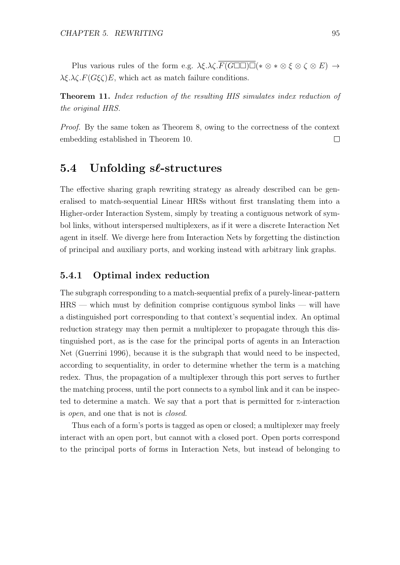Plus various rules of the form e.g.  $\lambda \xi \cdot \lambda \zeta \cdot \overline{F(G \square \square) \square} (*) \otimes * \otimes \xi \otimes \zeta \otimes E) \rightarrow$  $\lambda \xi \cdot \lambda \zeta \cdot F(G\xi \zeta)E$ , which act as match failure conditions.

Theorem 11. Index reduction of the resulting HIS simulates index reduction of the original HRS.

Proof. By the same token as Theorem 8, owing to the correctness of the context embedding established in Theorem 10.  $\Box$ 

## 5.4 Unfolding sℓ-structures

The effective sharing graph rewriting strategy as already described can be generalised to match-sequential Linear HRSs without first translating them into a Higher-order Interaction System, simply by treating a contiguous network of symbol links, without interspersed multiplexers, as if it were a discrete Interaction Net agent in itself. We diverge here from Interaction Nets by forgetting the distinction of principal and auxiliary ports, and working instead with arbitrary link graphs.

#### 5.4.1 Optimal index reduction

The subgraph corresponding to a match-sequential prefix of a purely-linear-pattern HRS — which must by definition comprise contiguous symbol links — will have a distinguished port corresponding to that context's sequential index. An optimal reduction strategy may then permit a multiplexer to propagate through this distinguished port, as is the case for the principal ports of agents in an Interaction Net (Guerrini 1996), because it is the subgraph that would need to be inspected, according to sequentiality, in order to determine whether the term is a matching redex. Thus, the propagation of a multiplexer through this port serves to further the matching process, until the port connects to a symbol link and it can be inspected to determine a match. We say that a port that is permitted for  $\pi$ -interaction is open, and one that is not is closed.

Thus each of a form's ports is tagged as open or closed; a multiplexer may freely interact with an open port, but cannot with a closed port. Open ports correspond to the principal ports of forms in Interaction Nets, but instead of belonging to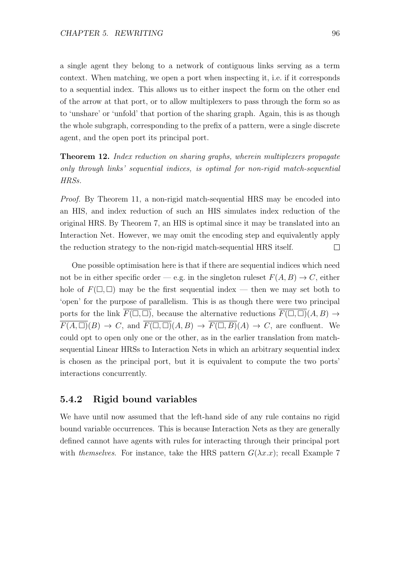a single agent they belong to a network of contiguous links serving as a term context. When matching, we open a port when inspecting it, i.e. if it corresponds to a sequential index. This allows us to either inspect the form on the other end of the arrow at that port, or to allow multiplexers to pass through the form so as to 'unshare' or 'unfold' that portion of the sharing graph. Again, this is as though the whole subgraph, corresponding to the prefix of a pattern, were a single discrete agent, and the open port its principal port.

Theorem 12. Index reduction on sharing graphs, wherein multiplexers propagate only through links' sequential indices, is optimal for non-rigid match-sequential HRSs.

Proof. By Theorem 11, a non-rigid match-sequential HRS may be encoded into an HIS, and index reduction of such an HIS simulates index reduction of the original HRS. By Theorem 7, an HIS is optimal since it may be translated into an Interaction Net. However, we may omit the encoding step and equivalently apply the reduction strategy to the non-rigid match-sequential HRS itself.  $\Box$ 

One possible optimisation here is that if there are sequential indices which need not be in either specific order — e.g. in the singleton rules  $F(A, B) \to C$ , either hole of  $F(\Box, \Box)$  may be the first sequential index — then we may set both to 'open' for the purpose of parallelism. This is as though there were two principal ports for the link  $\overline{F(\Box,\Box)}$ , because the alternative reductions  $\overline{F(\Box,\Box)}(A, B) \rightarrow$  $\overline{F(A,\Box)}(B) \to C$ , and  $\overline{F(\Box,\Box)}(A,B) \to \overline{F(\Box,B)}(A) \to C$ , are confluent. We could opt to open only one or the other, as in the earlier translation from matchsequential Linear HRSs to Interaction Nets in which an arbitrary sequential index is chosen as the principal port, but it is equivalent to compute the two ports' interactions concurrently.

#### 5.4.2 Rigid bound variables

We have until now assumed that the left-hand side of any rule contains no rigid bound variable occurrences. This is because Interaction Nets as they are generally defined cannot have agents with rules for interacting through their principal port with themselves. For instance, take the HRS pattern  $G(\lambda x.x)$ ; recall Example 7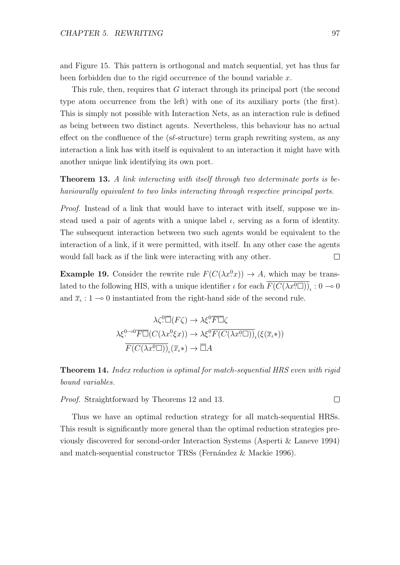and Figure 15. This pattern is orthogonal and match sequential, yet has thus far been forbidden due to the rigid occurrence of the bound variable  $x$ .

This rule, then, requires that G interact through its principal port (the second type atom occurrence from the left) with one of its auxiliary ports (the first). This is simply not possible with Interaction Nets, as an interaction rule is defined as being between two distinct agents. Nevertheless, this behaviour has no actual effect on the confluence of the (s $\ell$ -structure) term graph rewriting system, as any interaction a link has with itself is equivalent to an interaction it might have with another unique link identifying its own port.

Theorem 13. A link interacting with itself through two determinate ports is behaviourally equivalent to two links interacting through respective principal ports.

Proof. Instead of a link that would have to interact with itself, suppose we instead used a pair of agents with a unique label  $\iota$ , serving as a form of identity. The subsequent interaction between two such agents would be equivalent to the interaction of a link, if it were permitted, with itself. In any other case the agents would fall back as if the link were interacting with any other.  $\Box$ 

**Example 19.** Consider the rewrite rule  $F(C(\lambda x^0 x)) \to A$ , which may be translated to the following HIS, with a unique identifier  $\iota$  for each  $\overline{F(C(\lambda x^0\Box))}_\iota: 0 \to 0$ and  $\bar{x}_i : 1 \to 0$  instantiated from the right-hand side of the second rule.

$$
\lambda \zeta^0 \overline{\Box}(F\zeta) \to \lambda \xi^0 \overline{F\Box}\zeta
$$

$$
\lambda \xi^{0\to 0} \overline{F\Box}(C(\lambda x^0 \xi x)) \to \lambda \xi^0 \overline{F(C(\lambda x^0 \Box))}_\iota(\xi(\overline{x}_\iota*))
$$

$$
\overline{F(C(\lambda x^0 \Box))}_\iota(\overline{x}_\iota*) \to \overline{\Box}A
$$

**Theorem 14.** Index reduction is optimal for match-sequential HRS even with rigid bound variables.

Proof. Straightforward by Theorems 12 and 13.

Thus we have an optimal reduction strategy for all match-sequential HRSs. This result is significantly more general than the optimal reduction strategies previously discovered for second-order Interaction Systems (Asperti & Laneve 1994) and match-sequential constructor TRSs (Fernández & Mackie 1996).

 $\Box$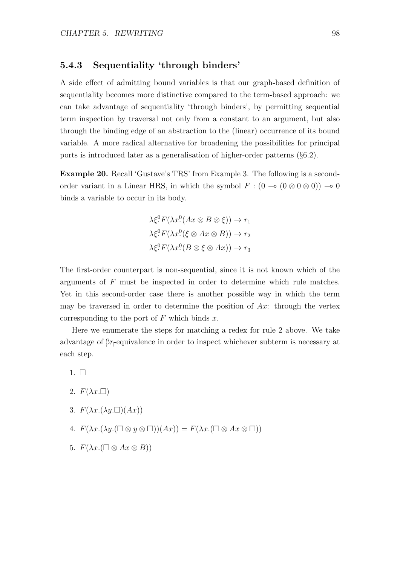#### 5.4.3 Sequentiality 'through binders'

A side effect of admitting bound variables is that our graph-based definition of sequentiality becomes more distinctive compared to the term-based approach: we can take advantage of sequentiality 'through binders', by permitting sequential term inspection by traversal not only from a constant to an argument, but also through the binding edge of an abstraction to the (linear) occurrence of its bound variable. A more radical alternative for broadening the possibilities for principal ports is introduced later as a generalisation of higher-order patterns (§6.2).

Example 20. Recall 'Gustave's TRS' from Example 3. The following is a secondorder variant in a Linear HRS, in which the symbol  $F : (0 \to (0 \otimes 0 \otimes 0)) \to 0$ binds a variable to occur in its body.

$$
\lambda \xi^0 F(\lambda x^0 (Ax \otimes B \otimes \xi)) \to r_1
$$
  

$$
\lambda \xi^0 F(\lambda x^0 (\xi \otimes Ax \otimes B)) \to r_2
$$
  

$$
\lambda \xi^0 F(\lambda x^0 (B \otimes \xi \otimes Ax)) \to r_3
$$

The first-order counterpart is non-sequential, since it is not known which of the arguments of F must be inspected in order to determine which rule matches. Yet in this second-order case there is another possible way in which the term may be traversed in order to determine the position of  $Ax$ : through the vertex corresponding to the port of  $F$  which binds  $x$ .

Here we enumerate the steps for matching a redex for rule 2 above. We take advantage of βη-equivalence in order to inspect whichever subterm is necessary at each step.

- $1. \square$
- 2.  $F(\lambda x.\Box)$
- 3.  $F(\lambda x.(\lambda y. \Box)(Ax))$
- 4.  $F(\lambda x.(\lambda y.(\Box \otimes y \otimes \Box))(Ax)) = F(\lambda x.(\Box \otimes Ax \otimes \Box))$
- 5.  $F(\lambda x. (\Box \otimes Ax \otimes B))$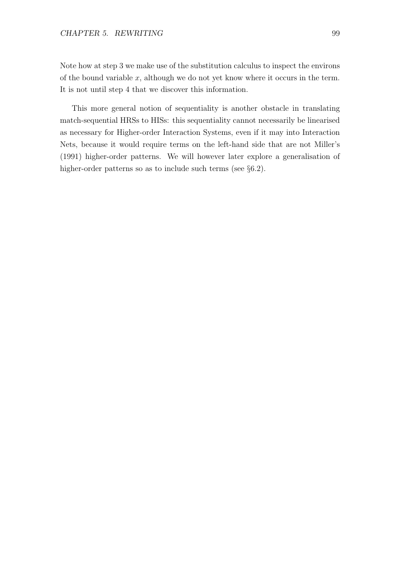Note how at step 3 we make use of the substitution calculus to inspect the environs of the bound variable  $x$ , although we do not yet know where it occurs in the term. It is not until step 4 that we discover this information.

This more general notion of sequentiality is another obstacle in translating match-sequential HRSs to HISs: this sequentiality cannot necessarily be linearised as necessary for Higher-order Interaction Systems, even if it may into Interaction Nets, because it would require terms on the left-hand side that are not Miller's (1991) higher-order patterns. We will however later explore a generalisation of higher-order patterns so as to include such terms (see  $\S6.2$ ).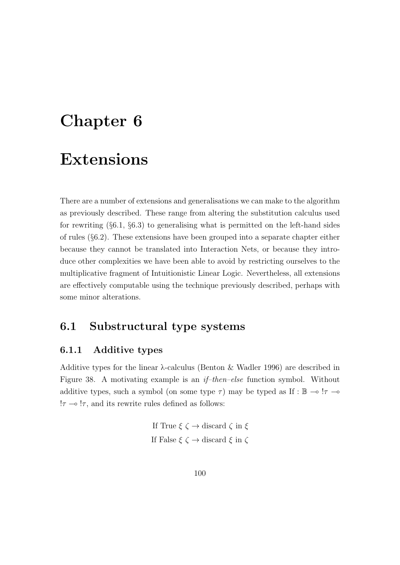# Chapter 6

# Extensions

There are a number of extensions and generalisations we can make to the algorithm as previously described. These range from altering the substitution calculus used for rewriting  $(\S6.1, \S6.3)$  to generalising what is permitted on the left-hand sides of rules (§6.2). These extensions have been grouped into a separate chapter either because they cannot be translated into Interaction Nets, or because they introduce other complexities we have been able to avoid by restricting ourselves to the multiplicative fragment of Intuitionistic Linear Logic. Nevertheless, all extensions are effectively computable using the technique previously described, perhaps with some minor alterations.

## 6.1 Substructural type systems

#### 6.1.1 Additive types

Additive types for the linear λ-calculus (Benton & Wadler 1996) are described in Figure 38. A motivating example is an if–then–else function symbol. Without additive types, such a symbol (on some type  $\tau$ ) may be typed as If : B  $\rightarrow$  ! $\tau$   $\rightarrow$  $!\tau \rightarrow \tau$ , and its rewrite rules defined as follows:

> If True  $\xi \zeta \rightarrow$  discard  $\zeta$  in  $\xi$ If False  $\xi$   $\zeta$ <br> $\rightarrow$  discard  $\xi$  in  $\zeta$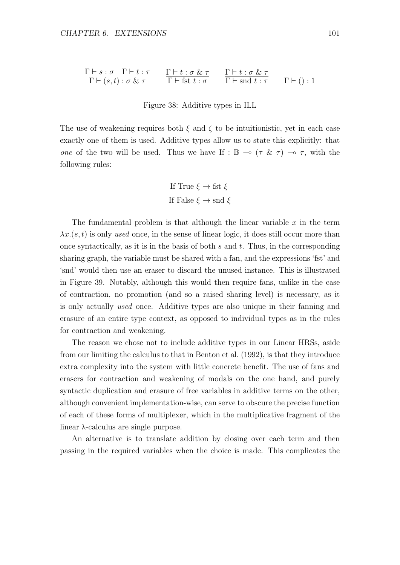$$
\frac{\Gamma\vdash s:\sigma\quad \Gamma\vdash t:\tau}{\Gamma\vdash (s,t):\sigma\ \&\ \tau}\qquad \frac{\Gamma\vdash t:\sigma\ \&\ \tau}{\Gamma\vdash \text{fst}\ t:\sigma}\qquad \frac{\Gamma\vdash t:\sigma\ \&\ \tau}{\Gamma\vdash \text{snd}\ t:\tau}\qquad \frac{}{\Gamma\vdash (\text{)}:1}
$$

Figure 38: Additive types in ILL

The use of weakening requires both  $\xi$  and  $\zeta$  to be intuitionistic, yet in each case exactly one of them is used. Additive types allow us to state this explicitly: that one of the two will be used. Thus we have If :  $\mathbb{B} \to (\tau \& \tau) \to \tau$ , with the following rules:

If True 
$$
\xi \to \text{fst } \xi
$$
  
If False  $\xi \to \text{snd } \xi$ 

The fundamental problem is that although the linear variable  $x$  in the term  $\lambda x.(s,t)$  is only used once, in the sense of linear logic, it does still occur more than once syntactically, as it is in the basis of both  $s$  and  $t$ . Thus, in the corresponding sharing graph, the variable must be shared with a fan, and the expressions 'fst' and 'snd' would then use an eraser to discard the unused instance. This is illustrated in Figure 39. Notably, although this would then require fans, unlike in the case of contraction, no promotion (and so a raised sharing level) is necessary, as it is only actually used once. Additive types are also unique in their fanning and erasure of an entire type context, as opposed to individual types as in the rules for contraction and weakening.

The reason we chose not to include additive types in our Linear HRSs, aside from our limiting the calculus to that in Benton et al. (1992), is that they introduce extra complexity into the system with little concrete benefit. The use of fans and erasers for contraction and weakening of modals on the one hand, and purely syntactic duplication and erasure of free variables in additive terms on the other, although convenient implementation-wise, can serve to obscure the precise function of each of these forms of multiplexer, which in the multiplicative fragment of the linear λ-calculus are single purpose.

An alternative is to translate addition by closing over each term and then passing in the required variables when the choice is made. This complicates the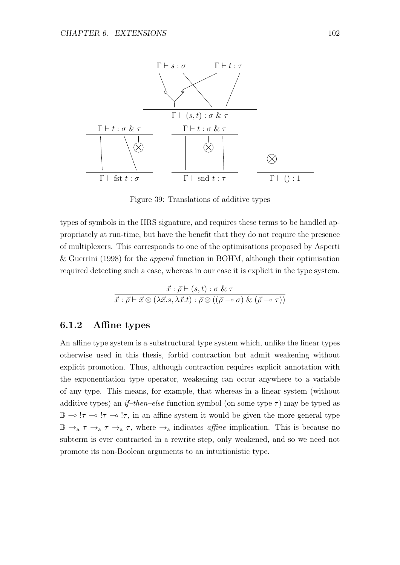

Figure 39: Translations of additive types

types of symbols in the HRS signature, and requires these terms to be handled appropriately at run-time, but have the benefit that they do not require the presence of multiplexers. This corresponds to one of the optimisations proposed by Asperti & Guerrini (1998) for the append function in BOHM, although their optimisation required detecting such a case, whereas in our case it is explicit in the type system.

$$
\vec{x} : \vec{\rho} \vdash (s, t) : \sigma \& \tau
$$

$$
\vec{x} : \vec{\rho} \vdash \vec{x} \otimes (\lambda \vec{x}.s, \lambda \vec{x}.t) : \vec{\rho} \otimes ((\vec{\rho} \multimap \sigma) \& (\vec{\rho} \multimap \tau))
$$

#### 6.1.2 Affine types

An affine type system is a substructural type system which, unlike the linear types otherwise used in this thesis, forbid contraction but admit weakening without explicit promotion. Thus, although contraction requires explicit annotation with the exponentiation type operator, weakening can occur anywhere to a variable of any type. This means, for example, that whereas in a linear system (without additive types) an if-then-else function symbol (on some type  $\tau$ ) may be typed as  $\mathbb{B} \to !\tau \to !\tau \to !\tau$ , in an affine system it would be given the more general type  $\mathbb{B} \to_{\text{a}} \tau \to_{\text{a}} \tau$ , where  $\to_{\text{a}}$  indicates affine implication. This is because no subterm is ever contracted in a rewrite step, only weakened, and so we need not promote its non-Boolean arguments to an intuitionistic type.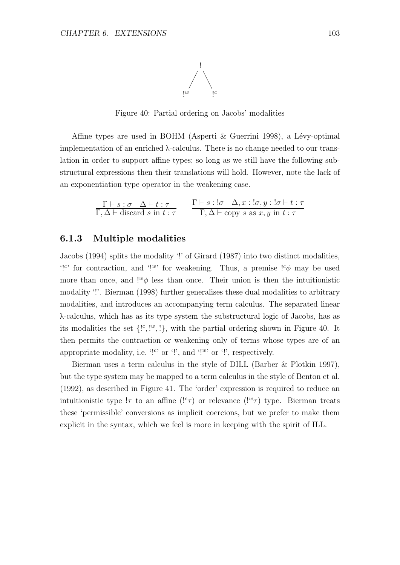

Figure 40: Partial ordering on Jacobs' modalities

Affine types are used in BOHM (Asperti  $\&$  Guerrini 1998), a Lévy-optimal implementation of an enriched  $\lambda$ -calculus. There is no change needed to our translation in order to support affine types; so long as we still have the following substructural expressions then their translations will hold. However, note the lack of an exponentiation type operator in the weakening case.

$$
\frac{\Gamma\vdash s:\sigma\quad \Delta\vdash t:\tau}{\Gamma,\Delta\vdash \text{ discard } s \text{ in } t:\tau} \qquad \frac{\Gamma\vdash s:\mathsf{!}\sigma\quad \Delta,x:\mathsf{!}\sigma,y:\mathsf{!}\sigma\vdash t:\tau}{\Gamma,\Delta\vdash \text{copy } s \text{ as } x,y \text{ in } t:\tau}
$$

#### 6.1.3 Multiple modalities

Jacobs (1994) splits the modality '!' of Girard (1987) into two distinct modalities, '!c' for contraction, and '!"' for weakening. Thus, a premise  $\lbrack {^c\phi}$  may be used more than once, and  $\mu^* \phi$  less than once. Their union is then the intuitionistic modality '!'. Bierman (1998) further generalises these dual modalities to arbitrary modalities, and introduces an accompanying term calculus. The separated linear λ-calculus, which has as its type system the substructural logic of Jacobs, has as its modalities the set  $\{S^{i}, S^{i} \}$ , with the partial ordering shown in Figure 40. It then permits the contraction or weakening only of terms whose types are of an appropriate modality, i.e.  $'$ !" or '!', and '!"' or '!', respectively.

Bierman uses a term calculus in the style of DILL (Barber & Plotkin 1997), but the type system may be mapped to a term calculus in the style of Benton et al. (1992), as described in Figure 41. The 'order' expression is required to reduce an intuitionistic type  $\tau$  to an affine  $($ !<sup>c</sup> $\tau$  $)$  or relevance  $($ !<sup>w</sup> $\tau$  $)$  type. Bierman treats these 'permissible' conversions as implicit coercions, but we prefer to make them explicit in the syntax, which we feel is more in keeping with the spirit of ILL.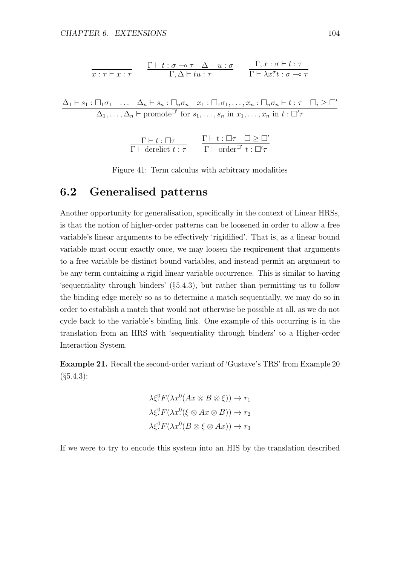$$
\frac{\Gamma\vdash t:\sigma\multimap\tau\quad\Delta\vdash u:\sigma}{\Gamma,\Delta\vdash tu:\tau}\qquad\frac{\Gamma,x:\sigma\vdash t:\tau}{\Gamma\vdash\lambda x^\sigma t:\sigma\multimap\tau}
$$

$$
\frac{\Delta_1 \vdash s_1 : \Box_1 \sigma_1 \quad \dots \quad \Delta_n \vdash s_n : \Box_n \sigma_n \quad x_1 : \Box_1 \sigma_1, \dots, x_n : \Box_n \sigma_n \vdash t : \tau \quad \Box_i \geq \Box'}{\Delta_1, \dots, \Delta_n \vdash \text{promote}^{\Box'}} \text{ for } s_1, \dots, s_n \text{ in } x_1, \dots, x_n \text{ in } t : \Box' \tau
$$

$$
\frac{\Gamma\vdash t:\Box\tau}{\Gamma\vdash \mathrm{derelict}\; t:\tau} \qquad \frac{\Gamma\vdash t:\Box\tau\quad \Box\geq\Box'}{\Gamma\vdash \mathrm{order}^{\Box'}\; t:\Box'\tau}
$$

Figure 41: Term calculus with arbitrary modalities

## 6.2 Generalised patterns

Another opportunity for generalisation, specifically in the context of Linear HRSs, is that the notion of higher-order patterns can be loosened in order to allow a free variable's linear arguments to be effectively 'rigidified'. That is, as a linear bound variable must occur exactly once, we may loosen the requirement that arguments to a free variable be distinct bound variables, and instead permit an argument to be any term containing a rigid linear variable occurrence. This is similar to having 'sequentiality through binders' (§5.4.3), but rather than permitting us to follow the binding edge merely so as to determine a match sequentially, we may do so in order to establish a match that would not otherwise be possible at all, as we do not cycle back to the variable's binding link. One example of this occurring is in the translation from an HRS with 'sequentiality through binders' to a Higher-order Interaction System.

Example 21. Recall the second-order variant of 'Gustave's TRS' from Example 20  $($ §5.4.3):

$$
\lambda \xi^0 F(\lambda x^0 (Ax \otimes B \otimes \xi)) \to r_1
$$
  

$$
\lambda \xi^0 F(\lambda x^0 (\xi \otimes Ax \otimes B)) \to r_2
$$
  

$$
\lambda \xi^0 F(\lambda x^0 (B \otimes \xi \otimes Ax)) \to r_3
$$

If we were to try to encode this system into an HIS by the translation described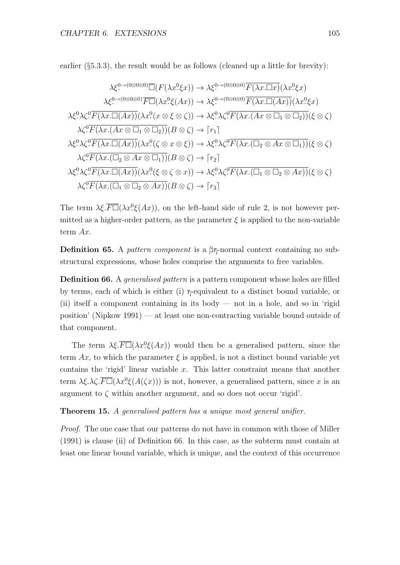earlier  $(\S 5.3.3)$ , the result would be as follows (cleaned up a little for brevity):

$$
\lambda \xi^{0\to(0\otimes 0\otimes 0)} \overline{\Box} (F(\lambda x^0 \xi x)) \to \lambda \xi^{0\to(0\otimes 0\otimes 0)} \overline{F(\lambda x.\Box x)}(\lambda x^0 \xi x)
$$
  
\n
$$
\lambda \xi^{0\to(0\otimes 0\otimes 0)} \overline{F\Box}(\lambda x^0 \xi (Ax)) \to \lambda \xi^{0\to(0\otimes 0\otimes 0)} \overline{F(\lambda x.\Box(Ax))}(\lambda x^0 \xi x)
$$
  
\n
$$
\lambda \xi^0 \lambda \zeta^0 \overline{F(\lambda x.\Box(Ax))}(\lambda x^0 (x \otimes \xi \otimes \zeta)) \to \lambda \xi^0 \lambda \zeta^0 \overline{F(\lambda x.(Ax \otimes \Box_1 \otimes \Box_2))}(\xi \otimes \zeta)
$$
  
\n
$$
\lambda \zeta^0 \overline{F(\lambda x.(Ax \otimes \Box_1 \otimes \Box_2))} (B \otimes \zeta) \to [r_1]
$$
  
\n
$$
\lambda \xi^0 \lambda \zeta^0 \overline{F(\lambda x.\Box(Ax))}(\lambda x^0 (\zeta \otimes x \otimes \xi)) \to \lambda \xi^0 \lambda \zeta^0 \overline{F(\lambda x.(\Box_2 \otimes Ax \otimes \Box_1))}(\xi \otimes \zeta)
$$
  
\n
$$
\lambda \zeta^0 \overline{F(\lambda x.(\Box_2 \otimes Ax \otimes \Box_1))} (B \otimes \zeta) \to [r_2]
$$
  
\n
$$
\lambda \xi^0 \lambda \zeta^0 \overline{F(\lambda x.(\Box_1 \otimes \Box_2 \otimes Ax))}(\lambda x^0 (\xi \otimes \zeta \otimes x)) \to \lambda \xi^0 \lambda \zeta^0 \overline{F(\lambda x.(\Box_1 \otimes \Box_2 \otimes Ax))}(\xi \otimes \zeta)
$$
  
\n
$$
\lambda \zeta^0 \overline{F(\lambda x.(\Box_1 \otimes \Box_2 \otimes Ax))} (B \otimes \zeta) \to [r_3]
$$

The term  $\lambda \xi \cdot \overline{F} \overline{\Box}(\lambda x^0 \xi(Ax))$ , on the left-hand side of rule 2, is not however permitted as a higher-order pattern, as the parameter  $\xi$  is applied to the non-variable term Ax.

Definition 65. A *pattern component* is a βη-normal context containing no substructural expressions, whose holes comprise the arguments to free variables.

**Definition 66.** A *generalised pattern* is a pattern component whose holes are filled by terms, each of which is either (i) η-equivalent to a distinct bound variable, or (ii) itself a component containing in its body  $-$  not in a hole, and so in 'rigid position' (Nipkow 1991) — at least one non-contracting variable bound outside of that component.

The term  $\lambda \xi \cdot \overline{F} \overline{D}(\lambda x^0 \xi (Ax))$  would then be a generalised pattern, since the term Ax, to which the parameter  $\xi$  is applied, is not a distinct bound variable yet contains the 'rigid' linear variable  $x$ . This latter constraint means that another term  $\lambda \xi \cdot \lambda \zeta \cdot \overline{F} \overline{D}(\lambda x^0 \xi(A(\zeta x)))$  is not, however, a generalised pattern, since x is an argument to  $\zeta$  within another argument, and so does not occur 'rigid'.

Theorem 15. A generalised pattern has a unique most general unifier.

Proof. The one case that our patterns do not have in common with those of Miller (1991) is clause (ii) of Definition 66. In this case, as the subterm must contain at least one linear bound variable, which is unique, and the context of this occurrence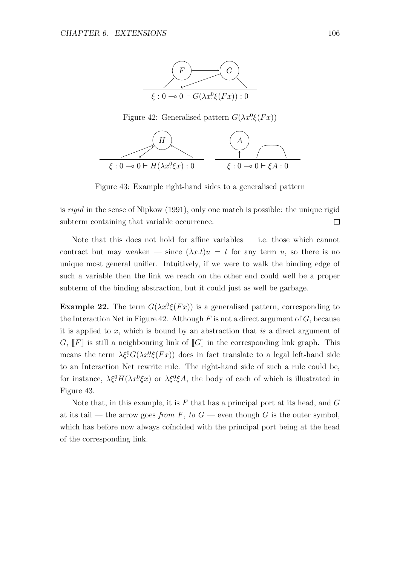

Figure 42: Generalised pattern  $G(\lambda x^0 \xi(Fx))$ 



Figure 43: Example right-hand sides to a generalised pattern

is rigid in the sense of Nipkow (1991), only one match is possible: the unique rigid subterm containing that variable occurrence.  $\Box$ 

Note that this does not hold for affine variables — i.e. those which cannot contract but may weaken — since  $(\lambda x.t)u = t$  for any term u, so there is no unique most general unifier. Intuitively, if we were to walk the binding edge of such a variable then the link we reach on the other end could well be a proper subterm of the binding abstraction, but it could just as well be garbage.

**Example 22.** The term  $G(\lambda x^0 \xi(Fx))$  is a generalised pattern, corresponding to the Interaction Net in Figure 42. Although  $F$  is not a direct argument of  $G$ , because it is applied to  $x$ , which is bound by an abstraction that is a direct argument of G,  $\llbracket F \rrbracket$  is still a neighbouring link of  $\llbracket G \rrbracket$  in the corresponding link graph. This means the term  $\lambda \xi^0 G(\lambda x^0 \xi(Fx))$  does in fact translate to a legal left-hand side to an Interaction Net rewrite rule. The right-hand side of such a rule could be, for instance,  $\lambda \xi^0 H(\lambda x^0 \xi x)$  or  $\lambda \xi^0 \xi A$ , the body of each of which is illustrated in Figure 43.

Note that, in this example, it is  $F$  that has a principal port at its head, and  $G$ at its tail — the arrow goes from F, to  $G$  — even though G is the outer symbol, which has before now always coincided with the principal port being at the head of the corresponding link.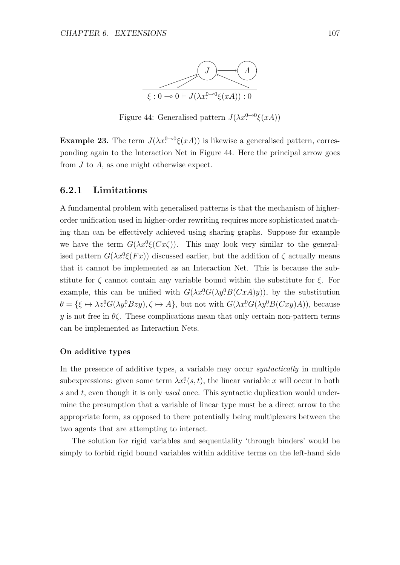

Figure 44: Generalised pattern  $J(\lambda x^{0-0}\xi(xA))$ 

Example 23. The term  $J(\lambda x^0)$ <sup>- $0 \xi(xA)$ </sup> is likewise a generalised pattern, corresponding again to the Interaction Net in Figure 44. Here the principal arrow goes from  $J$  to  $A$ , as one might otherwise expect.

#### 6.2.1 Limitations

A fundamental problem with generalised patterns is that the mechanism of higherorder unification used in higher-order rewriting requires more sophisticated matching than can be effectively achieved using sharing graphs. Suppose for example we have the term  $G(\lambda x^0 \xi(Cx\zeta))$ . This may look very similar to the generalised pattern  $G(\lambda x^0 \xi(Fx))$  discussed earlier, but the addition of  $\zeta$  actually means that it cannot be implemented as an Interaction Net. This is because the substitute for  $\zeta$  cannot contain any variable bound within the substitute for  $\xi$ . For example, this can be unified with  $G(\lambda x^0 G(\lambda y^0 B(CxA)y))$ , by the substitution  $\theta = {\xi \mapsto \lambda z! G(\lambda y! Bzy), \zeta \mapsto A},$  but not with  $G(\lambda x! G(\lambda y! B(Cxy)A)),$  because y is not free in  $\theta \zeta$ . These complications mean that only certain non-pattern terms can be implemented as Interaction Nets.

#### On additive types

In the presence of additive types, a variable may occur *syntactically* in multiple subexpressions: given some term  $\lambda x^0(s,t)$ , the linear variable x will occur in both s and t, even though it is only used once. This syntactic duplication would undermine the presumption that a variable of linear type must be a direct arrow to the appropriate form, as opposed to there potentially being multiplexers between the two agents that are attempting to interact.

The solution for rigid variables and sequentiality 'through binders' would be simply to forbid rigid bound variables within additive terms on the left-hand side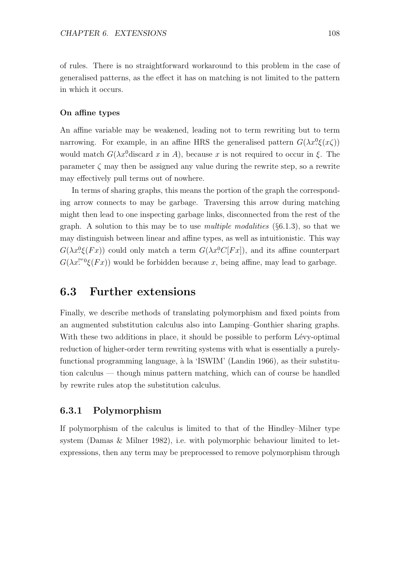of rules. There is no straightforward workaround to this problem in the case of generalised patterns, as the effect it has on matching is not limited to the pattern in which it occurs.

#### On affine types

An affine variable may be weakened, leading not to term rewriting but to term narrowing. For example, in an affine HRS the generalised pattern  $G(\lambda x^0 \xi(x\zeta))$ would match  $G(\lambda x^0)$ discard x in A, because x is not required to occur in  $\xi$ . The parameter  $\zeta$  may then be assigned any value during the rewrite step, so a rewrite may effectively pull terms out of nowhere.

In terms of sharing graphs, this means the portion of the graph the corresponding arrow connects to may be garbage. Traversing this arrow during matching might then lead to one inspecting garbage links, disconnected from the rest of the graph. A solution to this may be to use *multiple modalities*  $(\S 6.1.3)$ , so that we may distinguish between linear and affine types, as well as intuitionistic. This way  $G(\lambda x^0 \xi(Fx))$  could only match a term  $G(\lambda x^0 C[Fx])$ , and its affine counterpart  $G(\lambda x!^{w_0}\xi(Fx))$  would be forbidden because x, being affine, may lead to garbage.

## 6.3 Further extensions

Finally, we describe methods of translating polymorphism and fixed points from an augmented substitution calculus also into Lamping–Gonthier sharing graphs. With these two additions in place, it should be possible to perform Lévy-optimal reduction of higher-order term rewriting systems with what is essentially a purelyfunctional programming language, à la 'ISWIM' (Landin 1966), as their substitution calculus — though minus pattern matching, which can of course be handled by rewrite rules atop the substitution calculus.

#### 6.3.1 Polymorphism

If polymorphism of the calculus is limited to that of the Hindley–Milner type system (Damas & Milner 1982), i.e. with polymorphic behaviour limited to letexpressions, then any term may be preprocessed to remove polymorphism through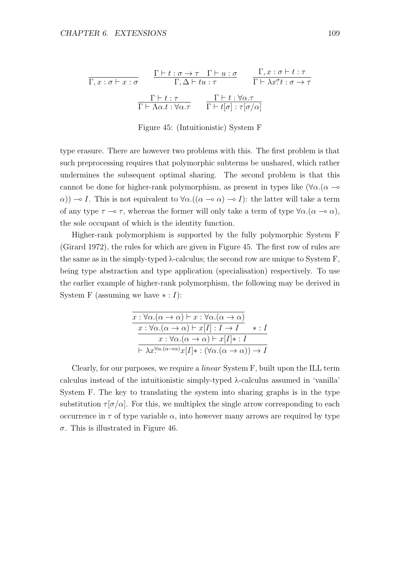$$
\frac{\Gamma \vdash t : \sigma \to \tau \quad \Gamma \vdash u : \sigma}{\Gamma, \Delta \vdash tu : \tau} \qquad \frac{\Gamma, x : \sigma \vdash t : \tau}{\Gamma \vdash \lambda x^{\sigma} t : \sigma \to \tau}
$$
\n
$$
\frac{\Gamma \vdash t : \tau}{\Gamma \vdash \Lambda \alpha. t : \forall \alpha. \tau} \qquad \frac{\Gamma \vdash t : \forall \alpha. \tau}{\Gamma \vdash t [\sigma] : \tau [\sigma/\alpha]}
$$

Figure 45: (Intuitionistic) System F

type erasure. There are however two problems with this. The first problem is that such preprocessing requires that polymorphic subterms be unshared, which rather undermines the subsequent optimal sharing. The second problem is that this cannot be done for higher-rank polymorphism, as present in types like  $(\forall \alpha.(\alpha \rightarrow$  $\alpha$ ))  $\rightarrow$  I. This is not equivalent to  $\forall \alpha . ((\alpha \rightarrow \alpha) \rightarrow I)$ : the latter will take a term of any type  $\tau \to \tau$ , whereas the former will only take a term of type  $\forall \alpha . (\alpha \to \alpha)$ , the sole occupant of which is the identity function.

Higher-rank polymorphism is supported by the fully polymorphic System F (Girard 1972), the rules for which are given in Figure 45. The first row of rules are the same as in the simply-typed  $\lambda$ -calculus; the second row are unique to System F, being type abstraction and type application (specialisation) respectively. To use the earlier example of higher-rank polymorphism, the following may be derived in System F (assuming we have  $\ast : I$ ):

| $x: \forall \alpha . (\alpha \rightarrow \alpha) \vdash x : \forall \alpha . (\alpha \rightarrow \alpha)$  |         |
|------------------------------------------------------------------------------------------------------------|---------|
| $x : \forall \alpha . (\alpha \to \alpha) \vdash x[I] : I \to I$                                           | $* : I$ |
| $x: \forall \alpha . (\alpha \rightarrow \alpha) \vdash x[I] * : I$                                        |         |
| $\vdash \lambda x^{\forall \alpha.(\alpha \to \alpha)}x[I] * : (\forall \alpha.(\alpha \to \alpha)) \to I$ |         |

Clearly, for our purposes, we require a linear System F, built upon the ILL term calculus instead of the intuitionistic simply-typed λ-calculus assumed in 'vanilla' System F. The key to translating the system into sharing graphs is in the type substitution  $\tau[\sigma/\alpha]$ . For this, we multiplex the single arrow corresponding to each occurrence in  $\tau$  of type variable  $\alpha$ , into however many arrows are required by type σ. This is illustrated in Figure 46.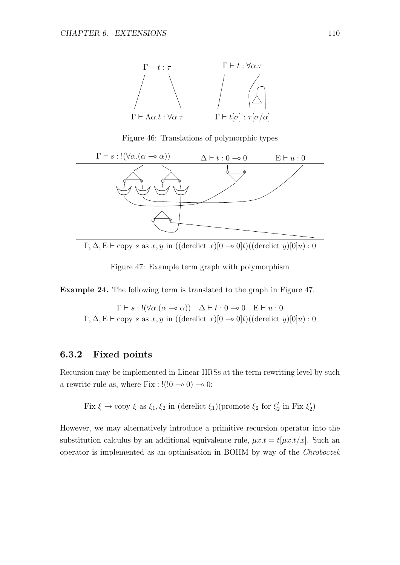

Figure 46: Translations of polymorphic types



 $\Gamma, \Delta, E \vdash \text{copy } s \text{ as } x, y \text{ in } ((\text{derelicity } x)[0 \multimap 0]t)((\text{derelicity } y)[0]u) : 0$ 

Figure 47: Example term graph with polymorphism

Example 24. The following term is translated to the graph in Figure 47.

$$
\frac{\Gamma\vdash s:!(\forall\alpha.(\alpha\multimap\alpha))\quad\Delta\vdash t:0\multimap 0\quad\mathcal{E}\vdash u:0}{\Gamma,\Delta,\mathcal{E}\vdash \text{copy }s\text{ as }x,y\text{ in }((\text{derelict }x)[0\multimap 0]t)((\text{derelict }y)[0]u):0}
$$

#### 6.3.2 Fixed points

Recursion may be implemented in Linear HRSs at the term rewriting level by such a rewrite rule as, where Fix :  $!(0 - 0) \rightarrow 0$ :

Fix  $\xi \to \text{copy } \xi$  as  $\xi_1, \xi_2$  in (derelict  $\xi_1$ )(promote  $\xi_2$  for  $\xi_2'$  $\zeta_2'$  in Fix  $\xi_2'$  $\binom{7}{2}$ 

However, we may alternatively introduce a primitive recursion operator into the substitution calculus by an additional equivalence rule,  $\mu x.t = t[\mu x.t/x]$ . Such an operator is implemented as an optimisation in BOHM by way of the Chroboczek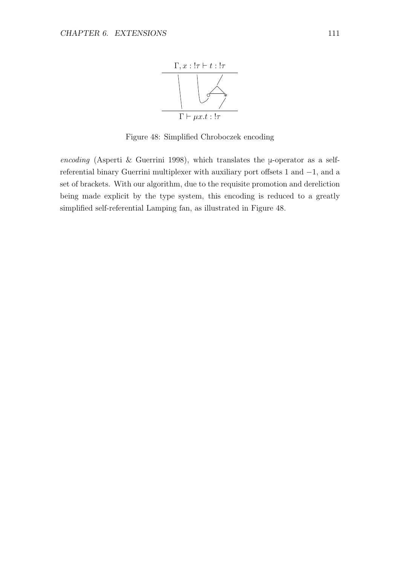

Figure 48: Simplified Chroboczek encoding

encoding (Asperti & Guerrini 1998), which translates the  $\mu$ -operator as a selfreferential binary Guerrini multiplexer with auxiliary port offsets 1 and −1, and a set of brackets. With our algorithm, due to the requisite promotion and dereliction being made explicit by the type system, this encoding is reduced to a greatly simplified self-referential Lamping fan, as illustrated in Figure 48.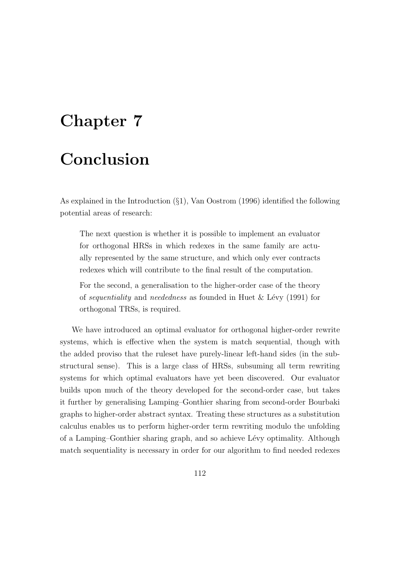# Chapter 7

# Conclusion

As explained in the Introduction (§1), Van Oostrom (1996) identified the following potential areas of research:

The next question is whether it is possible to implement an evaluator for orthogonal HRSs in which redexes in the same family are actually represented by the same structure, and which only ever contracts redexes which will contribute to the final result of the computation.

For the second, a generalisation to the higher-order case of the theory of *sequentiality* and *neededness* as founded in Huet  $\&$  Lévy (1991) for orthogonal TRSs, is required.

We have introduced an optimal evaluator for orthogonal higher-order rewrite systems, which is effective when the system is match sequential, though with the added proviso that the ruleset have purely-linear left-hand sides (in the substructural sense). This is a large class of HRSs, subsuming all term rewriting systems for which optimal evaluators have yet been discovered. Our evaluator builds upon much of the theory developed for the second-order case, but takes it further by generalising Lamping–Gonthier sharing from second-order Bourbaki graphs to higher-order abstract syntax. Treating these structures as a substitution calculus enables us to perform higher-order term rewriting modulo the unfolding of a Lamping–Gonthier sharing graph, and so achieve L´evy optimality. Although match sequentiality is necessary in order for our algorithm to find needed redexes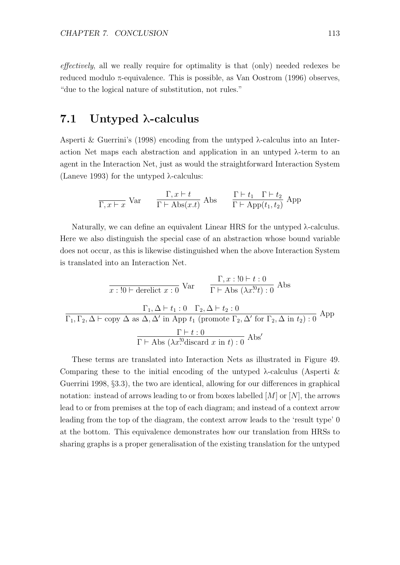effectively, all we really require for optimality is that (only) needed redexes be reduced modulo π-equivalence. This is possible, as Van Oostrom (1996) observes, "due to the logical nature of substitution, not rules."

### 7.1 Untyped λ-calculus

Asperti & Guerrini's (1998) encoding from the untyped  $\lambda$ -calculus into an Interaction Net maps each abstraction and application in an untyped  $\lambda$ -term to an agent in the Interaction Net, just as would the straightforward Interaction System (Laneve 1993) for the untyped  $λ$ -calculus:

$$
\frac{\Gamma, x \vdash t}{\Gamma, x \vdash x} \text{Var} \qquad \frac{\Gamma, x \vdash t}{\Gamma \vdash \text{Abs}(x.t)} \text{Abs} \qquad \frac{\Gamma \vdash t_1 \quad \Gamma \vdash t_2}{\Gamma \vdash \text{App}(t_1, t_2)} \text{App}
$$

Naturally, we can define an equivalent Linear HRS for the untyped λ-calculus. Here we also distinguish the special case of an abstraction whose bound variable does not occur, as this is likewise distinguished when the above Interaction System is translated into an Interaction Net.

$$
\frac{\Gamma, x: !0 \vdash t: 0}{x: !0 \vdash \text{derelict } x: 0} \text{Var} \qquad \frac{\Gamma, x: !0 \vdash t: 0}{\Gamma \vdash \text{Abs } (\lambda x!^!0t): 0} \text{Abs}
$$
\n
$$
\frac{\Gamma_1, \Delta \vdash t_1: 0 \quad \Gamma_2, \Delta \vdash t_2: 0}{\Gamma_1, \Gamma_2, \Delta \vdash \text{copy } \Delta \text{ as } \Delta, \Delta' \text{ in App } t_1 \text{ (promote } \Gamma_2, \Delta' \text{ for } \Gamma_2, \Delta \text{ in } t_2): 0} \text{ App}
$$
\n
$$
\frac{\Gamma \vdash t: 0}{\Gamma \vdash \text{Abs } (\lambda x!^0 \text{discard } x \text{ in } t): 0} \text{ Abs}'
$$

These terms are translated into Interaction Nets as illustrated in Figure 49. Comparing these to the initial encoding of the untyped  $\lambda$ -calculus (Asperti & Guerrini 1998, §3.3), the two are identical, allowing for our differences in graphical notation: instead of arrows leading to or from boxes labelled  $[M]$  or  $[N]$ , the arrows lead to or from premises at the top of each diagram; and instead of a context arrow leading from the top of the diagram, the context arrow leads to the 'result type' 0 at the bottom. This equivalence demonstrates how our translation from HRSs to sharing graphs is a proper generalisation of the existing translation for the untyped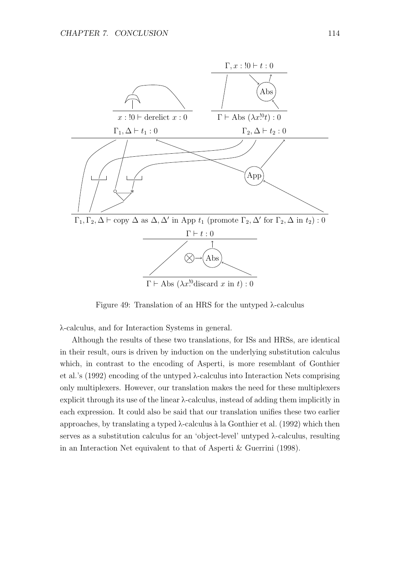

Figure 49: Translation of an HRS for the untyped λ-calculus

λ-calculus, and for Interaction Systems in general.

Although the results of these two translations, for ISs and HRSs, are identical in their result, ours is driven by induction on the underlying substitution calculus which, in contrast to the encoding of Asperti, is more resemblant of Gonthier et al.'s (1992) encoding of the untyped λ-calculus into Interaction Nets comprising only multiplexers. However, our translation makes the need for these multiplexers explicit through its use of the linear  $\lambda$ -calculus, instead of adding them implicitly in each expression. It could also be said that our translation unifies these two earlier approaches, by translating a typed  $\lambda$ -calculus à la Gonthier et al. (1992) which then serves as a substitution calculus for an 'object-level' untyped λ-calculus, resulting in an Interaction Net equivalent to that of Asperti & Guerrini (1998).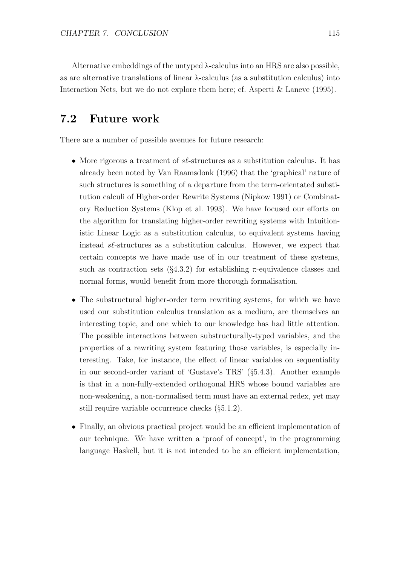Alternative embeddings of the untyped  $\lambda$ -calculus into an HRS are also possible, as are alternative translations of linear λ-calculus (as a substitution calculus) into Interaction Nets, but we do not explore them here; cf. Asperti & Laneve (1995).

## 7.2 Future work

There are a number of possible avenues for future research:

- More rigorous a treatment of  $s\ell$ -structures as a substitution calculus. It has already been noted by Van Raamsdonk (1996) that the 'graphical' nature of such structures is something of a departure from the term-orientated substitution calculi of Higher-order Rewrite Systems (Nipkow 1991) or Combinatory Reduction Systems (Klop et al. 1993). We have focused our efforts on the algorithm for translating higher-order rewriting systems with Intuitionistic Linear Logic as a substitution calculus, to equivalent systems having instead sℓ-structures as a substitution calculus. However, we expect that certain concepts we have made use of in our treatment of these systems, such as contraction sets ( $\S 4.3.2$ ) for establishing π-equivalence classes and normal forms, would benefit from more thorough formalisation.
- The substructural higher-order term rewriting systems, for which we have used our substitution calculus translation as a medium, are themselves an interesting topic, and one which to our knowledge has had little attention. The possible interactions between substructurally-typed variables, and the properties of a rewriting system featuring those variables, is especially interesting. Take, for instance, the effect of linear variables on sequentiality in our second-order variant of 'Gustave's TRS' (§5.4.3). Another example is that in a non-fully-extended orthogonal HRS whose bound variables are non-weakening, a non-normalised term must have an external redex, yet may still require variable occurrence checks (§5.1.2).
- Finally, an obvious practical project would be an efficient implementation of our technique. We have written a 'proof of concept', in the programming language Haskell, but it is not intended to be an efficient implementation,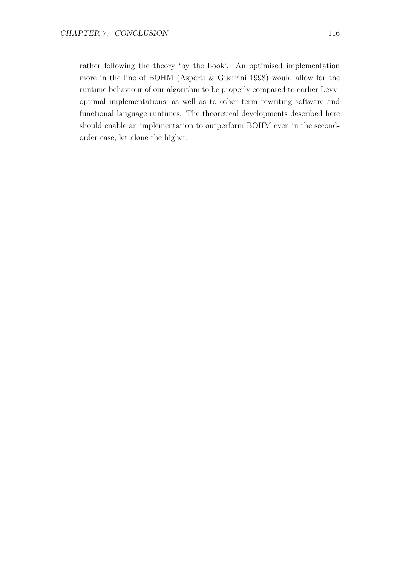rather following the theory 'by the book'. An optimised implementation more in the line of BOHM (Asperti & Guerrini 1998) would allow for the runtime behaviour of our algorithm to be properly compared to earlier Lévyoptimal implementations, as well as to other term rewriting software and functional language runtimes. The theoretical developments described here should enable an implementation to outperform BOHM even in the secondorder case, let alone the higher.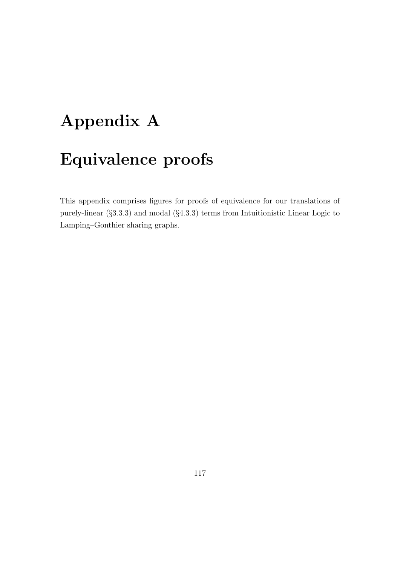# Appendix A Equivalence proofs

This appendix comprises figures for proofs of equivalence for our translations of purely-linear (§3.3.3) and modal (§4.3.3) terms from Intuitionistic Linear Logic to Lamping–Gonthier sharing graphs.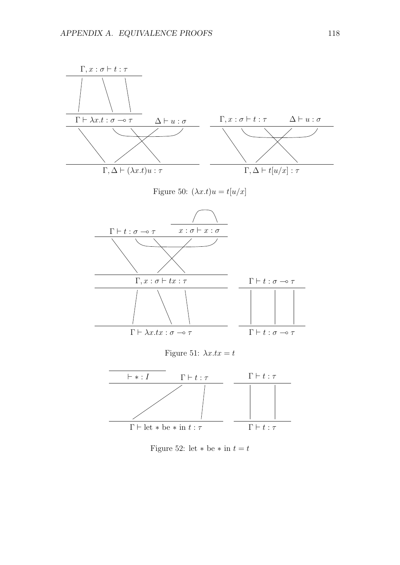

Figure 52: let  $\ast$  be  $\ast$  in  $t = t$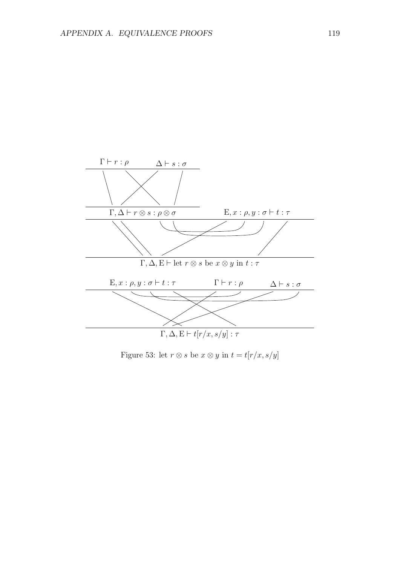

Figure 53: let  $r \otimes s$  be  $x \otimes y$  in  $t = t[r/x,s/y]$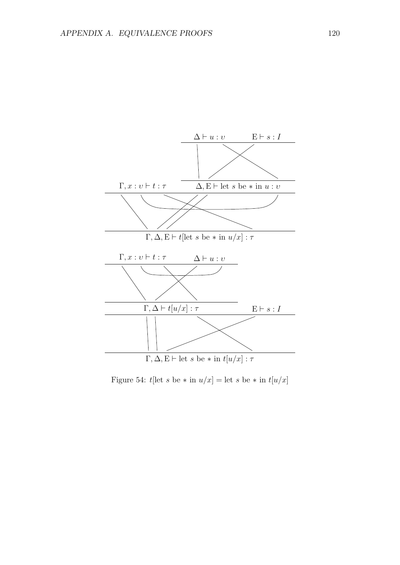

Figure 54: t[let s be  $*$  in  $u/x$ ] = let s be  $*$  in  $t[u/x]$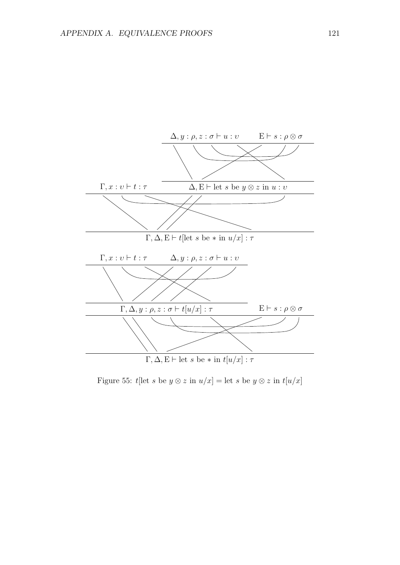

Figure 55: t[let s be  $y \otimes z$  in  $u/x$ ] = let s be  $y \otimes z$  in  $t[u/x]$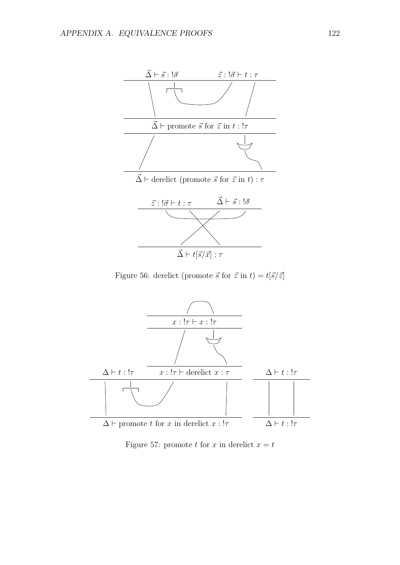

Figure 56: derelict (promote  $\vec{s}$  for  $\vec{z}$  in  $t$ ) =  $t[\vec{s}/\vec{z}]$ 



Figure 57: promote t for x in derelict  $x = t$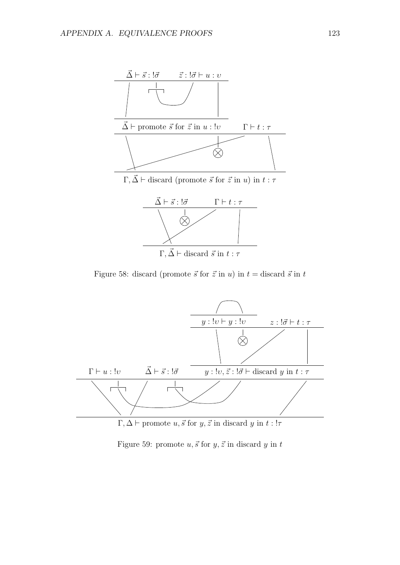

Figure 58: discard (promote  $\vec{s}$  for  $\vec{z}$  in u) in  $t =$  discard  $\vec{s}$  in t



 $\Gamma, \Delta \vdash$  promote  $u, \vec{s}$  for  $y, \vec{z}$  in discard y in  $t : !\tau$ 

Figure 59: promote  $u, \vec{s}$  for  $y, \vec{z}$  in discard  $y$  in  $t$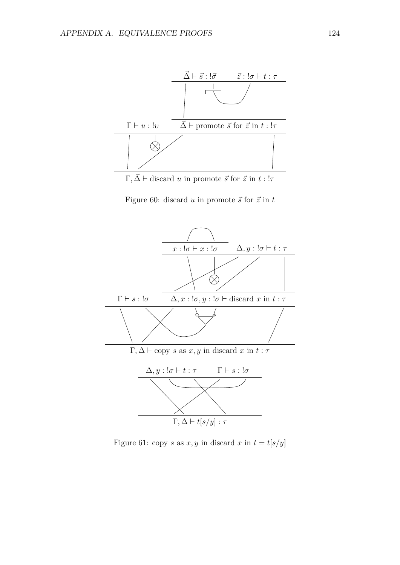

 $\Gamma, \vec{\Delta} \vdash$  discard u in promote  $\vec{s}$  for  $\vec{z}$  in  $t : !\tau$ 

Figure 60: discard u in promote  $\vec{s}$  for  $\vec{z}$  in t



Figure 61: copy s as  $x, y$  in discard  $x$  in  $t = t[s/y]$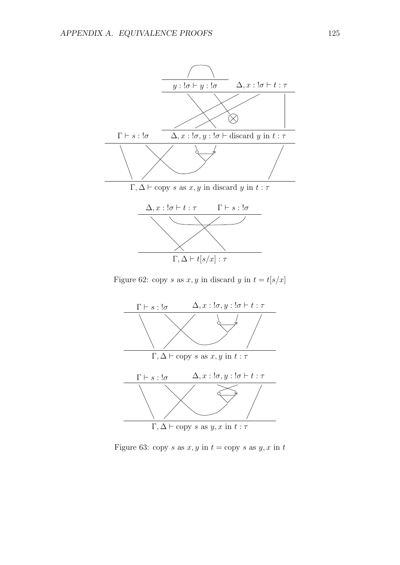

Figure 62: copy s as  $x, y$  in discard y in  $t = t[s/x]$ 



Figure 63: copy s as  $x, y$  in  $t =$ copy s as  $y, x$  in  $t$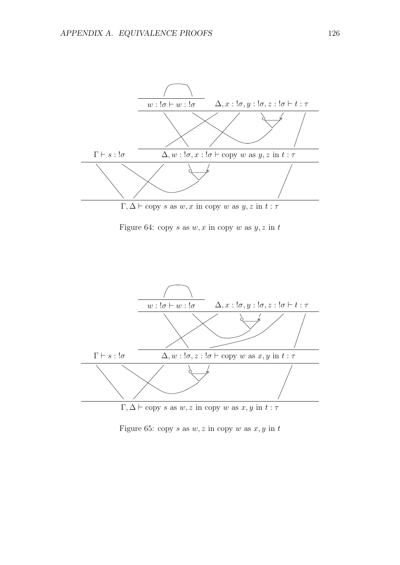

Figure 64: copy s as  $w, x$  in copy w as  $y, z$  in t



 $Γ, Δ ⊢ copy s as w, z in copy w as x, y in t : τ$ 

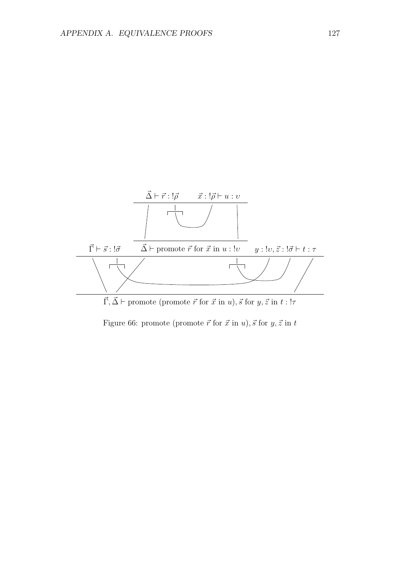

Figure 66: promote (promote  $\vec{r}$  for  $\vec{x}$  in  $u$ ),  $\vec{s}$  for  $y, \vec{z}$  in  $t$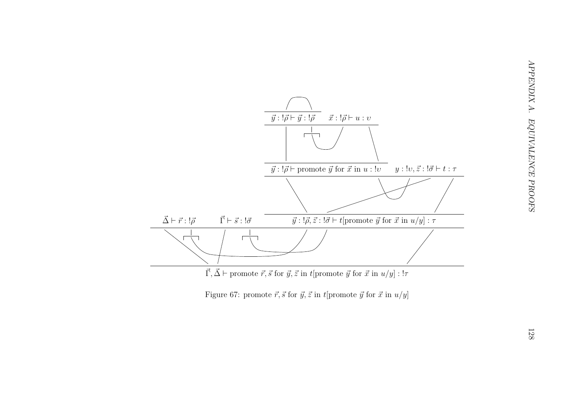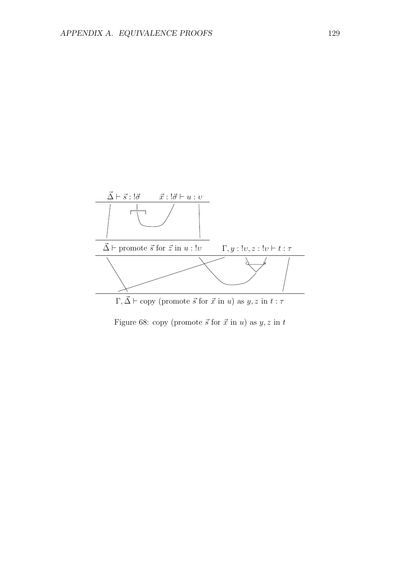

Figure 68: copy (promote  $\vec{s}$  for  $\vec{x}$  in u) as  $y, z$  in t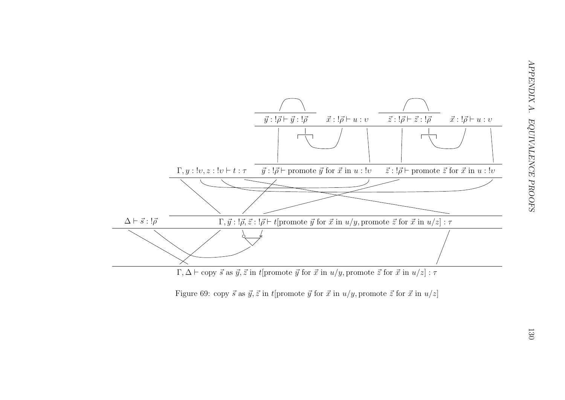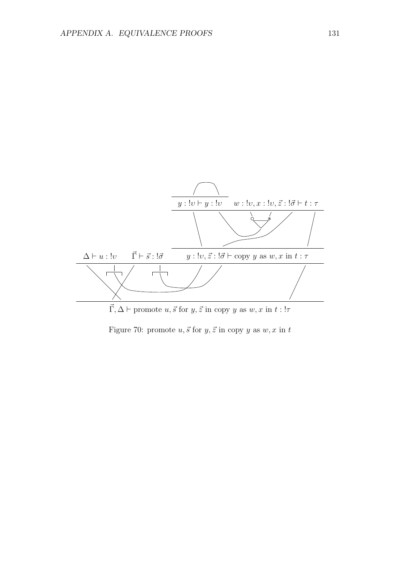

Figure 70: promote  $u, \vec{s}$  for  $y, \vec{z}$  in copy y as  $w, x$  in t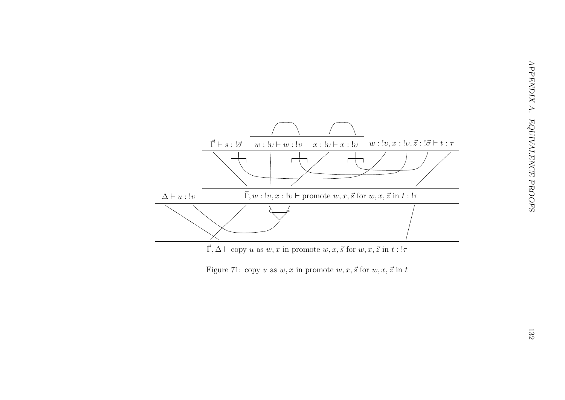



APPENDIX A. EQUIVALENCE PROOFS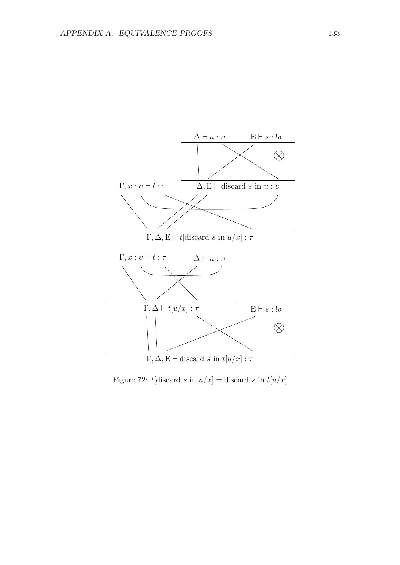

Figure 72: t[discard s in  $u/x$ ] = discard s in  $t[u/x]$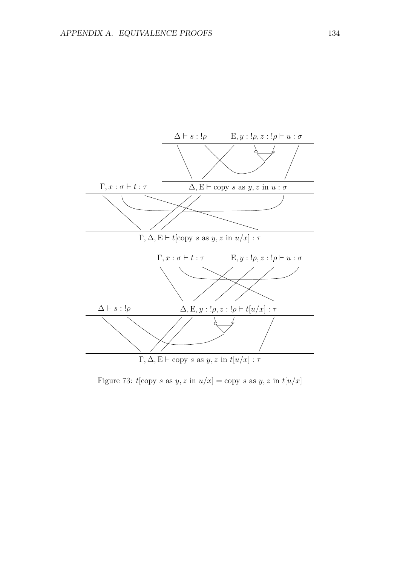

Figure 73:  $t[copy s as y, z in u/x] = copy s as y, z in t[u/x]$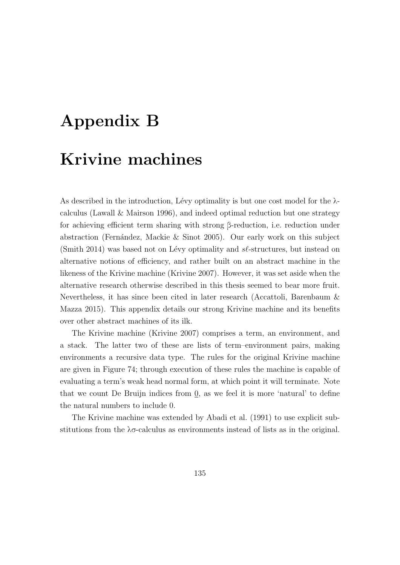## Appendix B

## Krivine machines

As described in the introduction, Lévy optimality is but one cost model for the  $\lambda$ calculus (Lawall & Mairson 1996), and indeed optimal reduction but one strategy for achieving efficient term sharing with strong β-reduction, i.e. reduction under abstraction (Fernández, Mackie & Sinot 2005). Our early work on this subject (Smith 2014) was based not on Lévy optimality and  $s\ell$ -structures, but instead on alternative notions of efficiency, and rather built on an abstract machine in the likeness of the Krivine machine (Krivine 2007). However, it was set aside when the alternative research otherwise described in this thesis seemed to bear more fruit. Nevertheless, it has since been cited in later research (Accattoli, Barenbaum & Mazza 2015). This appendix details our strong Krivine machine and its benefits over other abstract machines of its ilk.

The Krivine machine (Krivine 2007) comprises a term, an environment, and a stack. The latter two of these are lists of term–environment pairs, making environments a recursive data type. The rules for the original Krivine machine are given in Figure 74; through execution of these rules the machine is capable of evaluating a term's weak head normal form, at which point it will terminate. Note that we count De Bruijn indices from 0, as we feel it is more 'natural' to define the natural numbers to include 0.

The Krivine machine was extended by Abadi et al. (1991) to use explicit substitutions from the  $\lambda \sigma$ -calculus as environments instead of lists as in the original.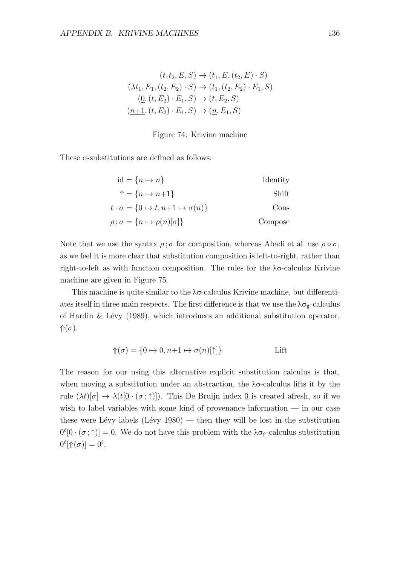$$
(t_1t_2, E, S) \to (t_1, E, (t_2, E) \cdot S)
$$
  

$$
(\lambda t_1, E_1, (t_2, E_2) \cdot S) \to (t_1, (t_2, E_2) \cdot E_1, S)
$$
  

$$
(\underline{0}, (t, E_2) \cdot E_1, S) \to (t, E_2, S)
$$
  

$$
(\underline{n+1}, (t, E_2) \cdot E_1, S) \to (\underline{n}, E_1, S)
$$

## Figure 74: Krivine machine

These σ-substitutions are defined as follows:

| $id = \{n \mapsto n\}$                                     | Identity |
|------------------------------------------------------------|----------|
| $\uparrow = \{n \mapsto n+1\}$                             | Shift    |
| $t \cdot \sigma = \{0 \mapsto t, n+1 \mapsto \sigma(n)\}\$ | Cons     |
| $\rho$ ; $\sigma = \{n \mapsto \rho(n)[\sigma]\}\;$        | Compose  |

Note that we use the syntax  $\rho$ ;  $\sigma$  for composition, whereas Abadi et al. use  $\rho \circ \sigma$ , as we feel it is more clear that substitution composition is left-to-right, rather than right-to-left as with function composition. The rules for the λσ-calculus Krivine machine are given in Figure 75.

This machine is quite similar to the  $\lambda \sigma$ -calculus Krivine machine, but differentiates itself in three main respects. The first difference is that we use the  $\lambda \sigma_{\theta}$ -calculus of Hardin & Lévy (1989), which introduces an additional substitution operator,  $\Uparrow(\sigma)$ .

$$
\Uparrow(\sigma) = \{0 \mapsto 0, n+1 \mapsto \sigma(n)[\uparrow]\}
$$
 *Little*

The reason for our using this alternative explicit substitution calculus is that, when moving a substitution under an abstraction, the  $\lambda \sigma$ -calculus lifts it by the rule  $(\lambda t)[\sigma] \to \lambda(t[0 \cdot (\sigma, \uparrow)])$ . This De Bruijn index 0 is created afresh, so if we wish to label variables with some kind of provenance information — in our case these were Lévy labels (Lévy 1980) — then they will be lost in the substitution  $\underline{0}^{\ell}[\underline{0} \cdot (\sigma;\uparrow)] = \underline{0}$ . We do not have this problem with the  $\lambda \sigma_{\uparrow}$ -calculus substitution  $\underline{0}^{\ell}[\Uparrow(\sigma)]=\underline{0}^{\ell}.$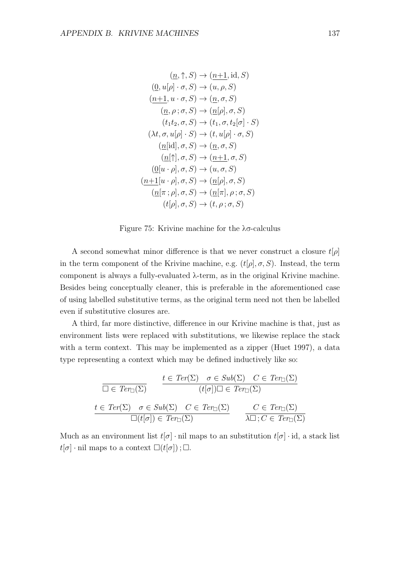$$
(\underline{n}, \uparrow, S) \rightarrow (\underline{n+1}, \mathrm{id}, S)
$$
  
\n
$$
(\underline{0}, u[\rho] \cdot \sigma, S) \rightarrow (u, \rho, S)
$$
  
\n
$$
(\underline{n+1}, u \cdot \sigma, S) \rightarrow (\underline{n}, \sigma, S)
$$
  
\n
$$
(\underline{n}, \rho; \sigma, S) \rightarrow (\underline{n}[\rho], \sigma, S)
$$
  
\n
$$
(t_1 t_2, \sigma, S) \rightarrow (t_1, \sigma, t_2[\sigma] \cdot S)
$$
  
\n
$$
(\lambda t, \sigma, u[\rho] \cdot S) \rightarrow (t, u[\rho] \cdot \sigma, S)
$$
  
\n
$$
(\underline{n}[\mathrm{id}], \sigma, S) \rightarrow (\underline{n}, \sigma, S)
$$
  
\n
$$
(\underline{n}[\uparrow], \sigma, S) \rightarrow (u_1, \sigma, S)
$$
  
\n
$$
(\underline{0}[\underline{u} \cdot \rho], \sigma, S) \rightarrow (u, \sigma, S)
$$
  
\n
$$
(\underline{n+1}[\underline{u} \cdot \rho], \sigma, S) \rightarrow (\underline{n}[\rho], \sigma, S)
$$
  
\n
$$
(\underline{n}[\pi; \rho], \sigma, S) \rightarrow (\underline{n}[\pi], \rho; \sigma, S)
$$
  
\n
$$
(t[\rho], \sigma, S) \rightarrow (t, \rho; \sigma, S)
$$

Figure 75: Krivine machine for the λσ-calculus

A second somewhat minor difference is that we never construct a closure  $t[\rho]$ in the term component of the Krivine machine, e.g.  $(t[\rho], \sigma, S)$ . Instead, the term component is always a fully-evaluated λ-term, as in the original Krivine machine. Besides being conceptually cleaner, this is preferable in the aforementioned case of using labelled substitutive terms, as the original term need not then be labelled even if substitutive closures are.

A third, far more distinctive, difference in our Krivine machine is that, just as environment lists were replaced with substitutions, we likewise replace the stack with a term context. This may be implemented as a zipper (Huet 1997), a data type representing a context which may be defined inductively like so:

$$
\frac{t \in \text{Ter}(\Sigma) \quad \sigma \in \text{Sub}(\Sigma) \quad C \in \text{Ter}_{\square}(\Sigma)}{(t[\sigma])\square \in \text{Ter}_{\square}(\Sigma)}
$$
\n
$$
\frac{t \in \text{Ter}(\Sigma) \quad \sigma \in \text{Sub}(\Sigma) \quad C \in \text{Ter}_{\square}(\Sigma)}{\square(t[\sigma]) \in \text{Ter}_{\square}(\Sigma)} \qquad \frac{C \in \text{Ter}_{\square}(\Sigma)}{\lambda \square; C \in \text{Ter}_{\square}(\Sigma)}
$$

Much as an environment list  $t[\sigma] \cdot \text{nil}$  maps to an substitution  $t[\sigma] \cdot \text{id}$ , a stack list  $t[\sigma]$  · nil maps to a context  $\square(t[\sigma])$ ;  $\square$ .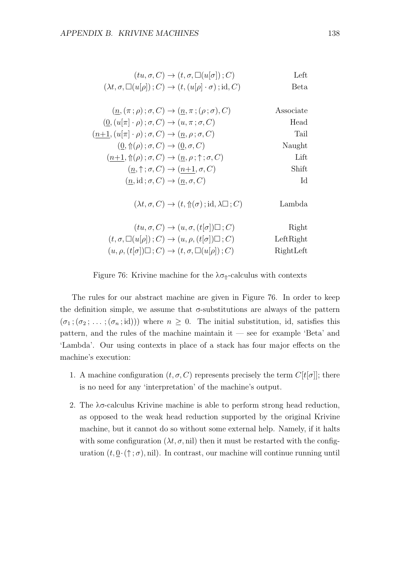| $(tu, \sigma, C) \rightarrow (t, \sigma, \Box(u[\sigma]); C)$                          | Left |
|----------------------------------------------------------------------------------------|------|
| $(\lambda t, \sigma, \Box(u[\rho]); C) \rightarrow (t, (u[\rho] \cdot \sigma); id, C)$ | Beta |

| $(0, (u[\pi]\cdot \rho); \sigma, C) \rightarrow (u, \pi; \sigma, C)$                | Head   |
|-------------------------------------------------------------------------------------|--------|
| $(n+1, (u \pi  \cdot \rho); \sigma, C) \rightarrow (n, \rho; \sigma, C)$            | Tail   |
| $(0, \Uparrow(\rho) ; \sigma, C) \rightarrow (0, \sigma, C)$                        | Naught |
| $(n+1, \mathcal{n}(\rho); \sigma, C) \rightarrow (n, \rho; \mathcal{n}; \sigma, C)$ | Lift   |
| $(\underline{n}, \uparrow; \sigma, C) \rightarrow (n+1, \sigma, C)$                 | Shift. |
| $(n, id; \sigma, C) \rightarrow (n, \sigma, C)$                                     | Id     |

 $(\lambda t, \sigma, C) \rightarrow (t, \Uparrow(\sigma); \mathrm{id}, \lambda \square; C)$  Lambda

| $(tu, \sigma, C) \rightarrow (u, \sigma, (t[\sigma]) \square; C)$                | Right     |
|----------------------------------------------------------------------------------|-----------|
| $(t, \sigma, \Box(u[\rho]); C) \rightarrow (u, \rho, (t[\sigma]) \Box; C)$       | LeftRight |
| $(u, \rho, (t[\sigma]) \square; C) \rightarrow (t, \sigma, \square(u[\rho]); C)$ | RightLeft |

Figure 76: Krivine machine for the  $\lambda \sigma_{\Uparrow}$ -calculus with contexts

The rules for our abstract machine are given in Figure 76. In order to keep the definition simple, we assume that  $\sigma$ -substitutions are always of the pattern  $(\sigma_1; (\sigma_2; \ldots; (\sigma_n; \mathrm{id})))$  where  $n \geq 0$ . The initial substitution, id, satisfies this pattern, and the rules of the machine maintain it — see for example 'Beta' and 'Lambda'. Our using contexts in place of a stack has four major effects on the machine's execution:

- 1. A machine configuration  $(t, \sigma, C)$  represents precisely the term  $C[t[\sigma]]$ ; there is no need for any 'interpretation' of the machine's output.
- 2. The λσ-calculus Krivine machine is able to perform strong head reduction, as opposed to the weak head reduction supported by the original Krivine machine, but it cannot do so without some external help. Namely, if it halts with some configuration  $(\lambda t, \sigma, \text{nil})$  then it must be restarted with the configuration  $(t, \underline{0} \cdot (\uparrow; \sigma), \text{nil})$ . In contrast, our machine will continue running until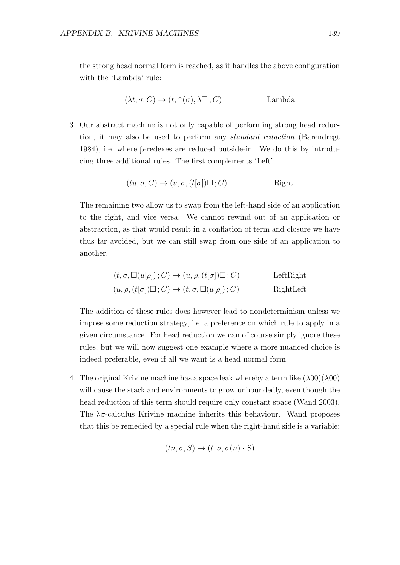the strong head normal form is reached, as it handles the above configuration with the 'Lambda' rule:

$$
(\lambda t, \sigma, C) \to (t, \Uparrow(\sigma), \lambda \square; C) \qquad \text{Lambda}
$$

3. Our abstract machine is not only capable of performing strong head reduction, it may also be used to perform any standard reduction (Barendregt 1984), i.e. where β-redexes are reduced outside-in. We do this by introducing three additional rules. The first complements 'Left':

$$
(tu, \sigma, C) \to (u, \sigma, (t[\sigma]) \square; C) \qquad \text{Right}
$$

The remaining two allow us to swap from the left-hand side of an application to the right, and vice versa. We cannot rewind out of an application or abstraction, as that would result in a conflation of term and closure we have thus far avoided, but we can still swap from one side of an application to another.

$$
(t, \sigma, \Box(u[\rho]); C) \to (u, \rho, (t[\sigma]) \Box; C)
$$
LeftRight  

$$
(u, \rho, (t[\sigma]) \Box; C) \to (t, \sigma, \Box(u[\rho]); C)
$$
RightLeft

The addition of these rules does however lead to nondeterminism unless we impose some reduction strategy, i.e. a preference on which rule to apply in a given circumstance. For head reduction we can of course simply ignore these rules, but we will now suggest one example where a more nuanced choice is indeed preferable, even if all we want is a head normal form.

4. The original Krivine machine has a space leak whereby a term like  $(\lambda 00)(\lambda 00)$ will cause the stack and environments to grow unboundedly, even though the head reduction of this term should require only constant space (Wand 2003). The λσ-calculus Krivine machine inherits this behaviour. Wand proposes that this be remedied by a special rule when the right-hand side is a variable:

$$
(t\underline{n}, \sigma, S) \to (t, \sigma, \sigma(\underline{n}) \cdot S)
$$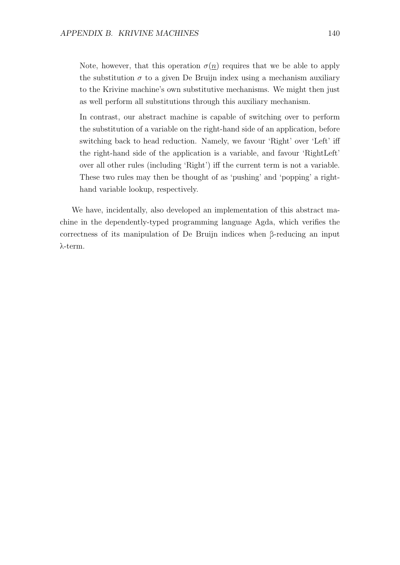Note, however, that this operation  $\sigma(n)$  requires that we be able to apply the substitution  $\sigma$  to a given De Bruijn index using a mechanism auxiliary to the Krivine machine's own substitutive mechanisms. We might then just as well perform all substitutions through this auxiliary mechanism.

In contrast, our abstract machine is capable of switching over to perform the substitution of a variable on the right-hand side of an application, before switching back to head reduction. Namely, we favour 'Right' over 'Left' iff the right-hand side of the application is a variable, and favour 'RightLeft' over all other rules (including 'Right') iff the current term is not a variable. These two rules may then be thought of as 'pushing' and 'popping' a righthand variable lookup, respectively.

We have, incidentally, also developed an implementation of this abstract machine in the dependently-typed programming language Agda, which verifies the correctness of its manipulation of De Bruijn indices when β-reducing an input λ-term.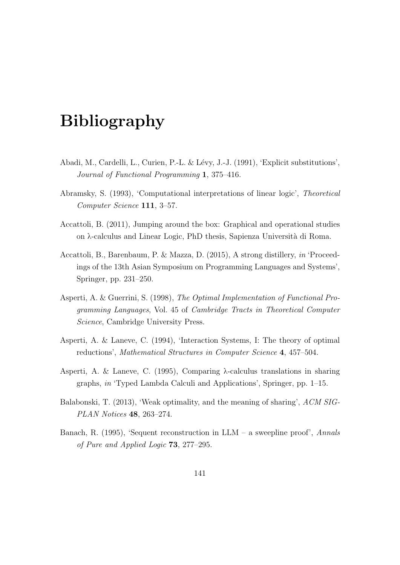## Bibliography

- Abadi, M., Cardelli, L., Curien, P.-L. & Lévy, J.-J. (1991), 'Explicit substitutions', Journal of Functional Programming 1, 375–416.
- Abramsky, S. (1993), 'Computational interpretations of linear logic', Theoretical Computer Science 111, 3–57.
- Accattoli, B. (2011), Jumping around the box: Graphical and operational studies on λ-calculus and Linear Logic, PhD thesis, Sapienza Universit`a di Roma.
- Accattoli, B., Barenbaum, P. & Mazza, D. (2015), A strong distillery, in 'Proceedings of the 13th Asian Symposium on Programming Languages and Systems', Springer, pp. 231–250.
- Asperti, A. & Guerrini, S. (1998), The Optimal Implementation of Functional Programming Languages, Vol. 45 of Cambridge Tracts in Theoretical Computer Science, Cambridge University Press.
- Asperti, A. & Laneve, C. (1994), 'Interaction Systems, I: The theory of optimal reductions', Mathematical Structures in Computer Science 4, 457–504.
- Asperti, A. & Laneve, C. (1995), Comparing λ-calculus translations in sharing graphs, in 'Typed Lambda Calculi and Applications', Springer, pp. 1–15.
- Balabonski, T. (2013), 'Weak optimality, and the meaning of sharing', ACM SIG-PLAN Notices 48, 263–274.
- Banach, R. (1995), 'Sequent reconstruction in  $LLM a$  sweepline proof', Annals of Pure and Applied Logic 73, 277–295.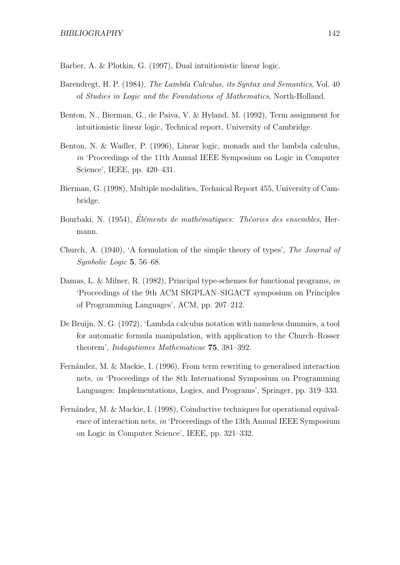Barber, A. & Plotkin, G. (1997), Dual intuitionistic linear logic.

- Barendregt, H. P. (1984), The Lambda Calculus, its Syntax and Semantics, Vol. 40 of Studies in Logic and the Foundations of Mathematics, North-Holland.
- Benton, N., Bierman, G., de Paiva, V. & Hyland, M. (1992), Term assignment for intuitionistic linear logic, Technical report, University of Cambridge.
- Benton, N. & Wadler, P. (1996), Linear logic, monads and the lambda calculus, in 'Proceedings of the 11th Annual IEEE Symposium on Logic in Computer Science', IEEE, pp. 420–431.
- Bierman, G. (1998), Multiple modalities, Technical Report 455, University of Cambridge.
- Bourbaki, N. (1954), Éléments de mathématiques: Théories des ensembles, Hermann.
- Church, A. (1940), 'A formulation of the simple theory of types', The Journal of Symbolic Logic 5, 56–68.
- Damas, L. & Milner, R. (1982), Principal type-schemes for functional programs, in 'Proceedings of the 9th ACM SIGPLAN–SIGACT symposium on Principles of Programming Languages', ACM, pp. 207–212.
- De Bruijn, N. G. (1972), 'Lambda calculus notation with nameless dummies, a tool for automatic formula manipulation, with application to the Church–Rosser theorem', Indagationes Mathematicae 75, 381–392.
- Fernández, M. & Mackie, I. (1996), From term rewriting to generalised interaction nets, in 'Proceedings of the 8th International Symposium on Programming Languages: Implementations, Logics, and Programs', Springer, pp. 319–333.
- Fernández, M. & Mackie, I. (1998), Coinductive techniques for operational equivalence of interaction nets, in 'Proceedings of the 13th Annual IEEE Symposium on Logic in Computer Science', IEEE, pp. 321–332.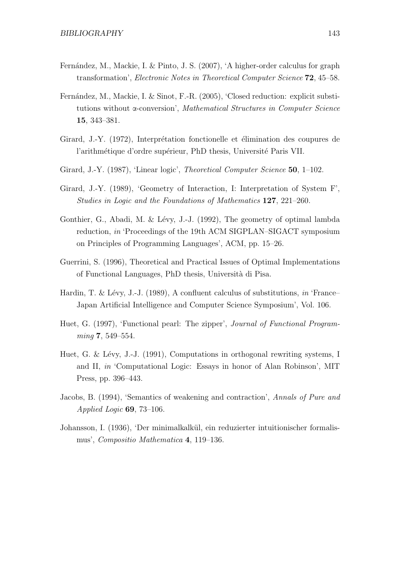- Fernández, M., Mackie, I. & Pinto, J. S. (2007), 'A higher-order calculus for graph transformation', Electronic Notes in Theoretical Computer Science 72, 45–58.
- Fernández, M., Mackie, I. & Sinot, F.-R. (2005), 'Closed reduction: explicit substitutions without α-conversion', Mathematical Structures in Computer Science 15, 343–381.
- Girard, J.-Y. (1972), Interprétation fonctionelle et élimination des coupures de l'arithmétique d'ordre supérieur, PhD thesis, Université Paris VII.
- Girard, J.-Y. (1987), 'Linear logic', *Theoretical Computer Science* 50, 1–102.
- Girard, J.-Y. (1989), 'Geometry of Interaction, I: Interpretation of System F', Studies in Logic and the Foundations of Mathematics 127, 221–260.
- Gonthier, G., Abadi, M. & Lévy, J.-J. (1992), The geometry of optimal lambda reduction, in 'Proceedings of the 19th ACM SIGPLAN–SIGACT symposium on Principles of Programming Languages', ACM, pp. 15–26.
- Guerrini, S. (1996), Theoretical and Practical Issues of Optimal Implementations of Functional Languages, PhD thesis, Universit`a di Pisa.
- Hardin, T. & Lévy, J.-J. (1989), A confluent calculus of substitutions, in 'France– Japan Artificial Intelligence and Computer Science Symposium', Vol. 106.
- Huet, G. (1997), 'Functional pearl: The zipper', Journal of Functional Programming 7, 549-554.
- Huet, G. & Lévy, J.-J. (1991), Computations in orthogonal rewriting systems, I and II, in 'Computational Logic: Essays in honor of Alan Robinson', MIT Press, pp. 396–443.
- Jacobs, B. (1994), 'Semantics of weakening and contraction', Annals of Pure and Applied Logic  $69, 73-106$ .
- Johansson, I. (1936), 'Der minimalkalk¨ul, ein reduzierter intuitionischer formalismus', Compositio Mathematica 4, 119–136.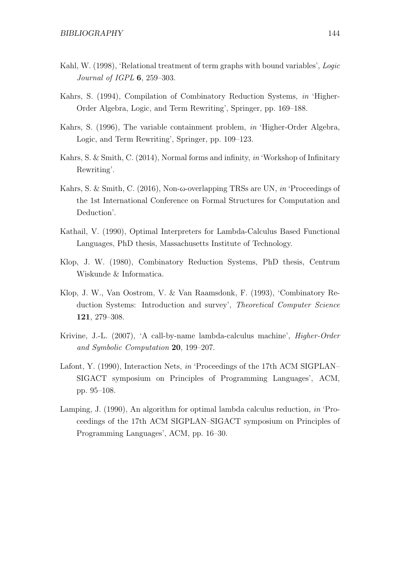- Kahl, W. (1998), 'Relational treatment of term graphs with bound variables', Logic Journal of IGPL 6, 259–303.
- Kahrs, S. (1994), Compilation of Combinatory Reduction Systems, in 'Higher-Order Algebra, Logic, and Term Rewriting', Springer, pp. 169–188.
- Kahrs, S. (1996), The variable containment problem, in 'Higher-Order Algebra, Logic, and Term Rewriting', Springer, pp. 109–123.
- Kahrs, S. & Smith, C. (2014), Normal forms and infinity, in 'Workshop of Infinitary Rewriting'.
- Kahrs, S. & Smith, C. (2016), Non-ω-overlapping TRSs are UN, in 'Proceedings of the 1st International Conference on Formal Structures for Computation and Deduction'.
- Kathail, V. (1990), Optimal Interpreters for Lambda-Calculus Based Functional Languages, PhD thesis, Massachusetts Institute of Technology.
- Klop, J. W. (1980), Combinatory Reduction Systems, PhD thesis, Centrum Wiskunde & Informatica.
- Klop, J. W., Van Oostrom, V. & Van Raamsdonk, F. (1993), 'Combinatory Reduction Systems: Introduction and survey', Theoretical Computer Science 121, 279–308.
- Krivine, J.-L. (2007), 'A call-by-name lambda-calculus machine', Higher-Order and Symbolic Computation 20, 199–207.
- Lafont, Y. (1990), Interaction Nets, in 'Proceedings of the 17th ACM SIGPLAN– SIGACT symposium on Principles of Programming Languages', ACM, pp. 95–108.
- Lamping, J. (1990), An algorithm for optimal lambda calculus reduction, *in* 'Proceedings of the 17th ACM SIGPLAN–SIGACT symposium on Principles of Programming Languages', ACM, pp. 16–30.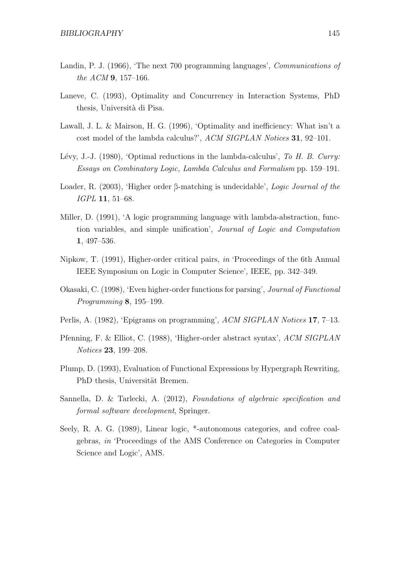- Landin, P. J. (1966), 'The next 700 programming languages', *Communications of* the ACM 9, 157–166.
- Laneve, C. (1993), Optimality and Concurrency in Interaction Systems, PhD thesis, Università di Pisa.
- Lawall, J. L. & Mairson, H. G. (1996), 'Optimality and inefficiency: What isn't a cost model of the lambda calculus?', ACM SIGPLAN Notices 31, 92–101.
- Lévy, J.-J. (1980), 'Optimal reductions in the lambda-calculus', To H. B. Curry: Essays on Combinatory Logic, Lambda Calculus and Formalism pp. 159–191.
- Loader, R. (2003), 'Higher order β-matching is undecidable', Logic Journal of the IGPL 11, 51–68.
- Miller, D. (1991), 'A logic programming language with lambda-abstraction, function variables, and simple unification', Journal of Logic and Computation 1, 497–536.
- Nipkow, T. (1991), Higher-order critical pairs, in 'Proceedings of the 6th Annual IEEE Symposium on Logic in Computer Science', IEEE, pp. 342–349.
- Okasaki, C. (1998), 'Even higher-order functions for parsing', Journal of Functional Programming 8, 195–199.
- Perlis, A. (1982), 'Epigrams on programming', ACM SIGPLAN Notices 17, 7-13.
- Pfenning, F. & Elliot, C. (1988), 'Higher-order abstract syntax', ACM SIGPLAN Notices 23, 199–208.
- Plump, D. (1993), Evaluation of Functional Expressions by Hypergraph Rewriting, PhD thesis, Universität Bremen.
- Sannella, D. & Tarlecki, A. (2012), Foundations of algebraic specification and formal software development, Springer.
- Seely, R. A. G. (1989), Linear logic, \*-autonomous categories, and cofree coalgebras, in 'Proceedings of the AMS Conference on Categories in Computer Science and Logic', AMS.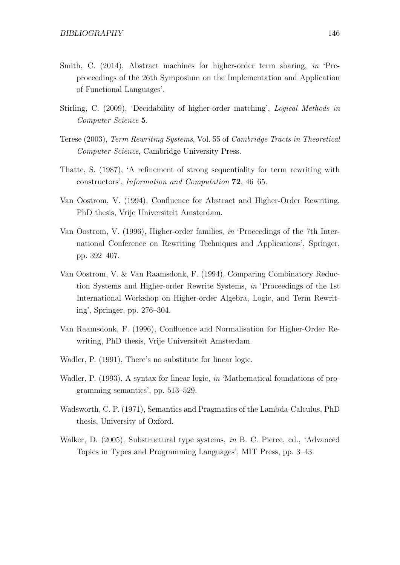- Smith, C. (2014), Abstract machines for higher-order term sharing, in 'Preproceedings of the 26th Symposium on the Implementation and Application of Functional Languages'.
- Stirling, C. (2009), 'Decidability of higher-order matching', Logical Methods in Computer Science 5.
- Terese (2003), Term Rewriting Systems, Vol. 55 of Cambridge Tracts in Theoretical Computer Science, Cambridge University Press.
- Thatte, S. (1987), 'A refinement of strong sequentiality for term rewriting with constructors', Information and Computation 72, 46–65.
- Van Oostrom, V. (1994), Confluence for Abstract and Higher-Order Rewriting, PhD thesis, Vrije Universiteit Amsterdam.
- Van Oostrom, V. (1996), Higher-order families, in 'Proceedings of the 7th International Conference on Rewriting Techniques and Applications', Springer, pp. 392–407.
- Van Oostrom, V. & Van Raamsdonk, F. (1994), Comparing Combinatory Reduction Systems and Higher-order Rewrite Systems, in 'Proceedings of the 1st International Workshop on Higher-order Algebra, Logic, and Term Rewriting', Springer, pp. 276–304.
- Van Raamsdonk, F. (1996), Confluence and Normalisation for Higher-Order Rewriting, PhD thesis, Vrije Universiteit Amsterdam.
- Wadler, P. (1991), There's no substitute for linear logic.
- Wadler, P. (1993), A syntax for linear logic, in 'Mathematical foundations of programming semantics', pp. 513–529.
- Wadsworth, C. P. (1971), Semantics and Pragmatics of the Lambda-Calculus, PhD thesis, University of Oxford.
- Walker, D. (2005), Substructural type systems, in B. C. Pierce, ed., 'Advanced Topics in Types and Programming Languages', MIT Press, pp. 3–43.